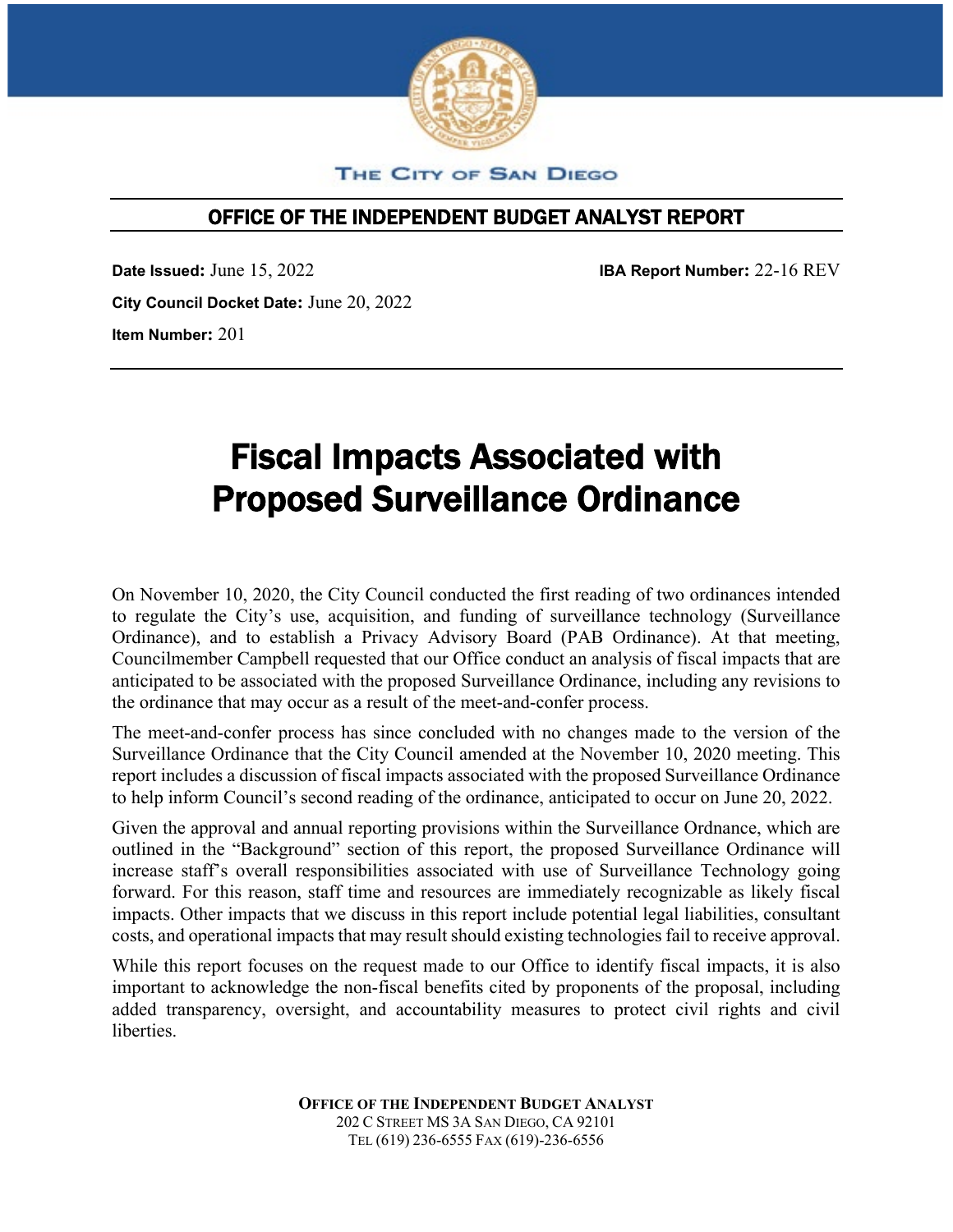

THE CITY OF SAN DIEGO

# OFFICE OF THE INDEPENDENT BUDGET ANALYST REPORT

**Date Issued:** June 15, 2022 **IBA Report Number:** 22-16 REV **City Council Docket Date:** June 20, 2022 **Item Number:** 201

# Fiscal Impacts Associated with Proposed Surveillance Ordinance

On November 10, 2020, the City Council conducted the first reading of two ordinances intended to regulate the City's use, acquisition, and funding of surveillance technology (Surveillance Ordinance), and to establish a Privacy Advisory Board (PAB Ordinance). At that meeting, Councilmember Campbell requested that our Office conduct an analysis of fiscal impacts that are anticipated to be associated with the proposed Surveillance Ordinance, including any revisions to the ordinance that may occur as a result of the meet-and-confer process.

The meet-and-confer process has since concluded with no changes made to the version of the Surveillance Ordinance that the City Council amended at the November 10, 2020 meeting. This report includes a discussion of fiscal impacts associated with the proposed Surveillance Ordinance to help inform Council's second reading of the ordinance, anticipated to occur on June 20, 2022.

Given the approval and annual reporting provisions within the Surveillance Ordnance, which are outlined in the "Background" section of this report, the proposed Surveillance Ordinance will increase staff's overall responsibilities associated with use of Surveillance Technology going forward. For this reason, staff time and resources are immediately recognizable as likely fiscal impacts. Other impacts that we discuss in this report include potential legal liabilities, consultant costs, and operational impacts that may result should existing technologies fail to receive approval.

While this report focuses on the request made to our Office to identify fiscal impacts, it is also important to acknowledge the non-fiscal benefits cited by proponents of the proposal, including added transparency, oversight, and accountability measures to protect civil rights and civil liberties.

> **OFFICE OF THE INDEPENDENT BUDGET ANALYST** 202 C STREET MS 3A SAN DIEGO, CA 92101 TEL (619) 236-6555 FAX (619)-236-6556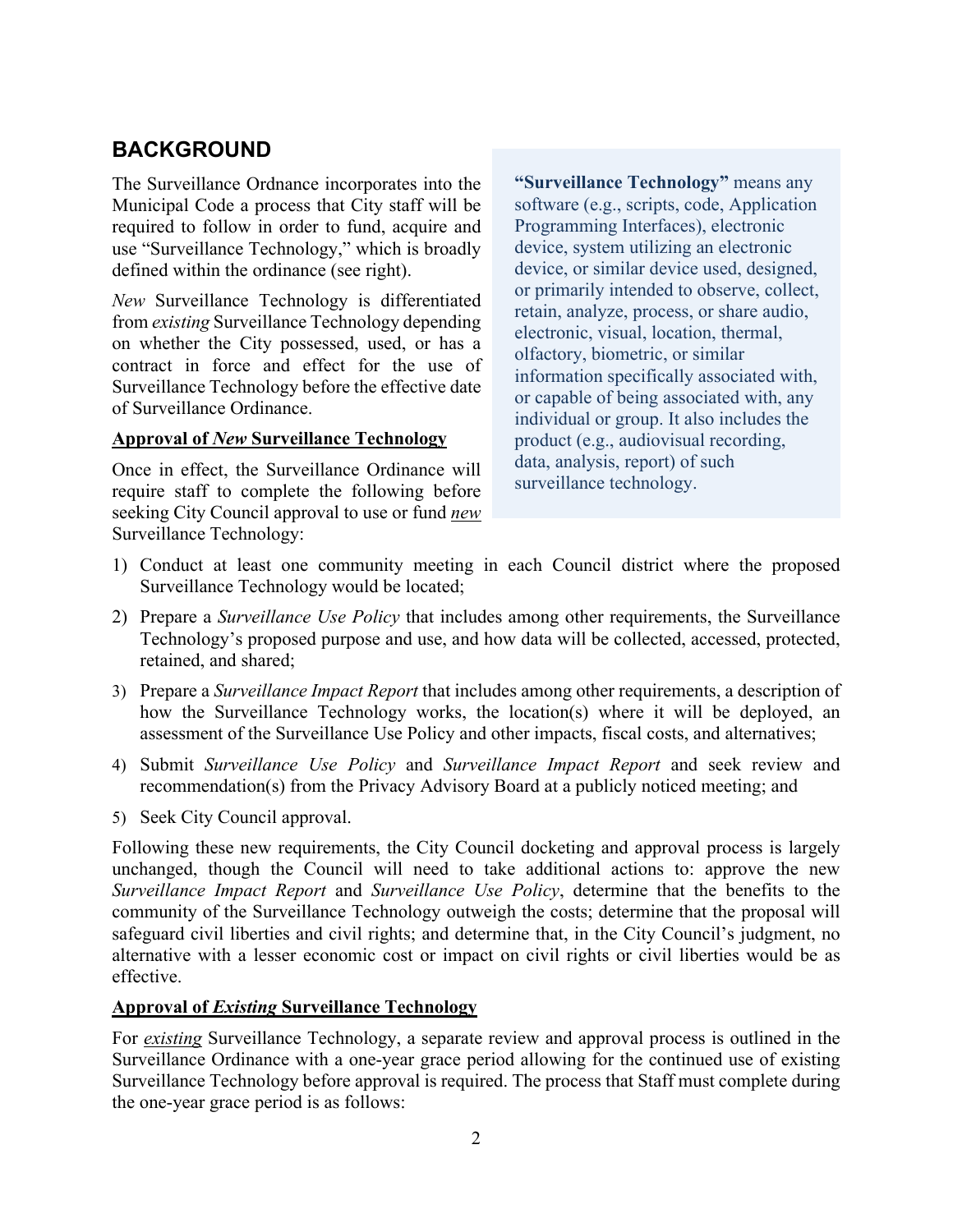# **BACKGROUND**

The Surveillance Ordnance incorporates into the Municipal Code a process that City staff will be required to follow in order to fund, acquire and use "Surveillance Technology," which is broadly defined within the ordinance (see right).

*New* Surveillance Technology is differentiated from *existing* Surveillance Technology depending on whether the City possessed, used, or has a contract in force and effect for the use of Surveillance Technology before the effective date of Surveillance Ordinance.

#### **Approval of** *New* **Surveillance Technology**

Once in effect, the Surveillance Ordinance will require staff to complete the following before seeking City Council approval to use or fund *new* Surveillance Technology:

**"Surveillance Technology"** means any software (e.g., scripts, code, Application Programming Interfaces), electronic device, system utilizing an electronic device, or similar device used, designed, or primarily intended to observe, collect, retain, analyze, process, or share audio, electronic, visual, location, thermal, olfactory, biometric, or similar information specifically associated with, or capable of being associated with, any individual or group. It also includes the product (e.g., audiovisual recording, data, analysis, report) of such surveillance technology.

- 1) Conduct at least one community meeting in each Council district where the proposed Surveillance Technology would be located;
- 2) Prepare a *Surveillance Use Policy* that includes among other requirements, the Surveillance Technology's proposed purpose and use, and how data will be collected, accessed, protected, retained, and shared;
- 3) Prepare a *Surveillance Impact Report* that includes among other requirements, a description of how the Surveillance Technology works, the location(s) where it will be deployed, an assessment of the Surveillance Use Policy and other impacts, fiscal costs, and alternatives;
- 4) Submit *Surveillance Use Policy* and *Surveillance Impact Report* and seek review and recommendation(s) from the Privacy Advisory Board at a publicly noticed meeting; and
- 5) Seek City Council approval.

Following these new requirements, the City Council docketing and approval process is largely unchanged, though the Council will need to take additional actions to: approve the new *Surveillance Impact Report* and *Surveillance Use Policy*, determine that the benefits to the community of the Surveillance Technology outweigh the costs; determine that the proposal will safeguard civil liberties and civil rights; and determine that, in the City Council's judgment, no alternative with a lesser economic cost or impact on civil rights or civil liberties would be as effective.

#### **Approval of** *Existing* **Surveillance Technology**

For *existing* Surveillance Technology, a separate review and approval process is outlined in the Surveillance Ordinance with a one-year grace period allowing for the continued use of existing Surveillance Technology before approval is required. The process that Staff must complete during the one-year grace period is as follows: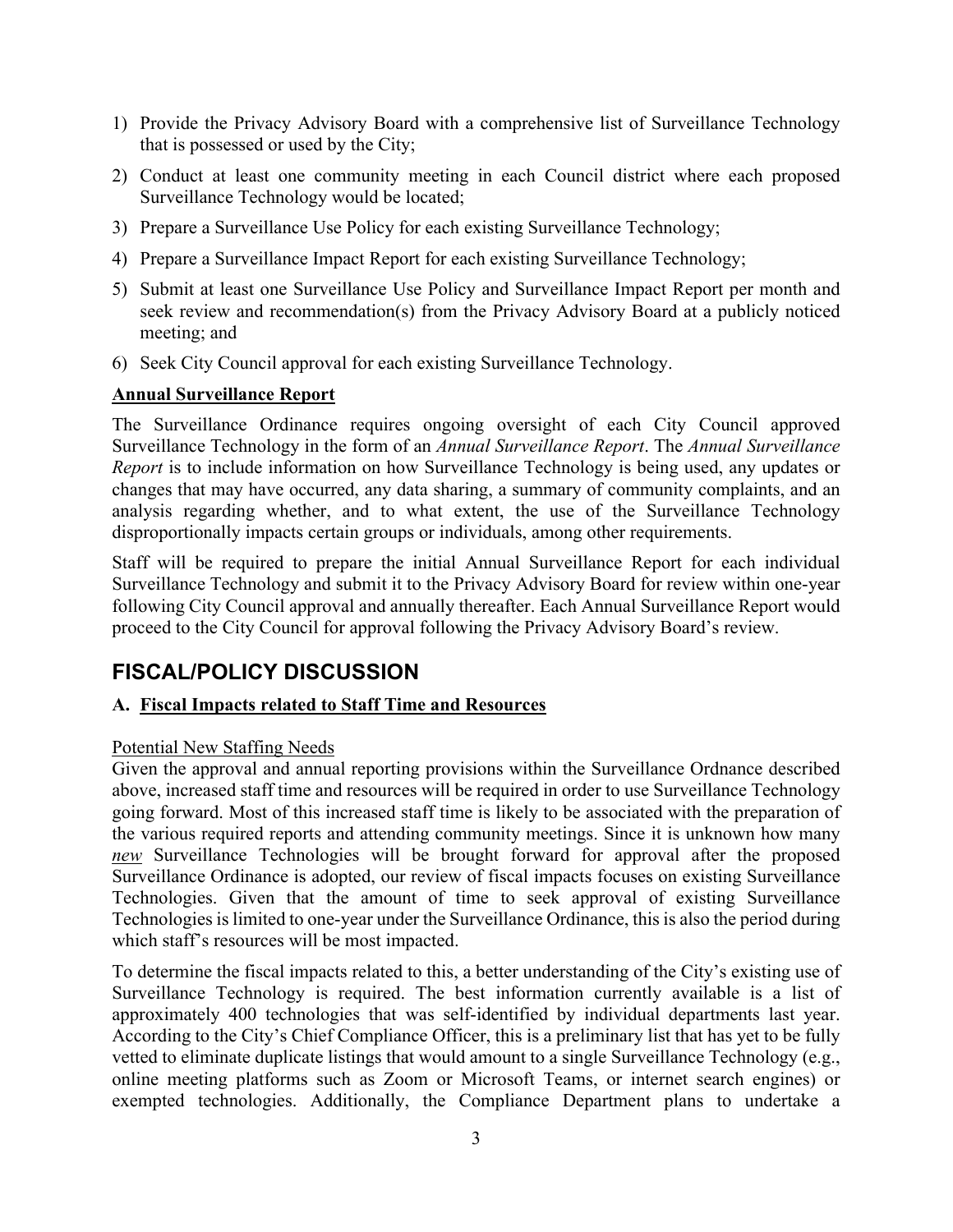- 1) Provide the Privacy Advisory Board with a comprehensive list of Surveillance Technology that is possessed or used by the City;
- 2) Conduct at least one community meeting in each Council district where each proposed Surveillance Technology would be located;
- 3) Prepare a Surveillance Use Policy for each existing Surveillance Technology;
- 4) Prepare a Surveillance Impact Report for each existing Surveillance Technology;
- 5) Submit at least one Surveillance Use Policy and Surveillance Impact Report per month and seek review and recommendation(s) from the Privacy Advisory Board at a publicly noticed meeting; and
- 6) Seek City Council approval for each existing Surveillance Technology.

## **Annual Surveillance Report**

The Surveillance Ordinance requires ongoing oversight of each City Council approved Surveillance Technology in the form of an *Annual Surveillance Report*. The *Annual Surveillance Report* is to include information on how Surveillance Technology is being used, any updates or changes that may have occurred, any data sharing, a summary of community complaints, and an analysis regarding whether, and to what extent, the use of the Surveillance Technology disproportionally impacts certain groups or individuals, among other requirements.

Staff will be required to prepare the initial Annual Surveillance Report for each individual Surveillance Technology and submit it to the Privacy Advisory Board for review within one-year following City Council approval and annually thereafter. Each Annual Surveillance Report would proceed to the City Council for approval following the Privacy Advisory Board's review.

# **FISCAL/POLICY DISCUSSION**

# **A. Fiscal Impacts related to Staff Time and Resources**

#### Potential New Staffing Needs

Given the approval and annual reporting provisions within the Surveillance Ordnance described above, increased staff time and resources will be required in order to use Surveillance Technology going forward. Most of this increased staff time is likely to be associated with the preparation of the various required reports and attending community meetings. Since it is unknown how many *new* Surveillance Technologies will be brought forward for approval after the proposed Surveillance Ordinance is adopted, our review of fiscal impacts focuses on existing Surveillance Technologies. Given that the amount of time to seek approval of existing Surveillance Technologies is limited to one-year under the Surveillance Ordinance, this is also the period during which staff's resources will be most impacted.

To determine the fiscal impacts related to this, a better understanding of the City's existing use of Surveillance Technology is required. The best information currently available is a list of approximately 400 technologies that was self-identified by individual departments last year. According to the City's Chief Compliance Officer, this is a preliminary list that has yet to be fully vetted to eliminate duplicate listings that would amount to a single Surveillance Technology (e.g., online meeting platforms such as Zoom or Microsoft Teams, or internet search engines) or exempted technologies. Additionally, the Compliance Department plans to undertake a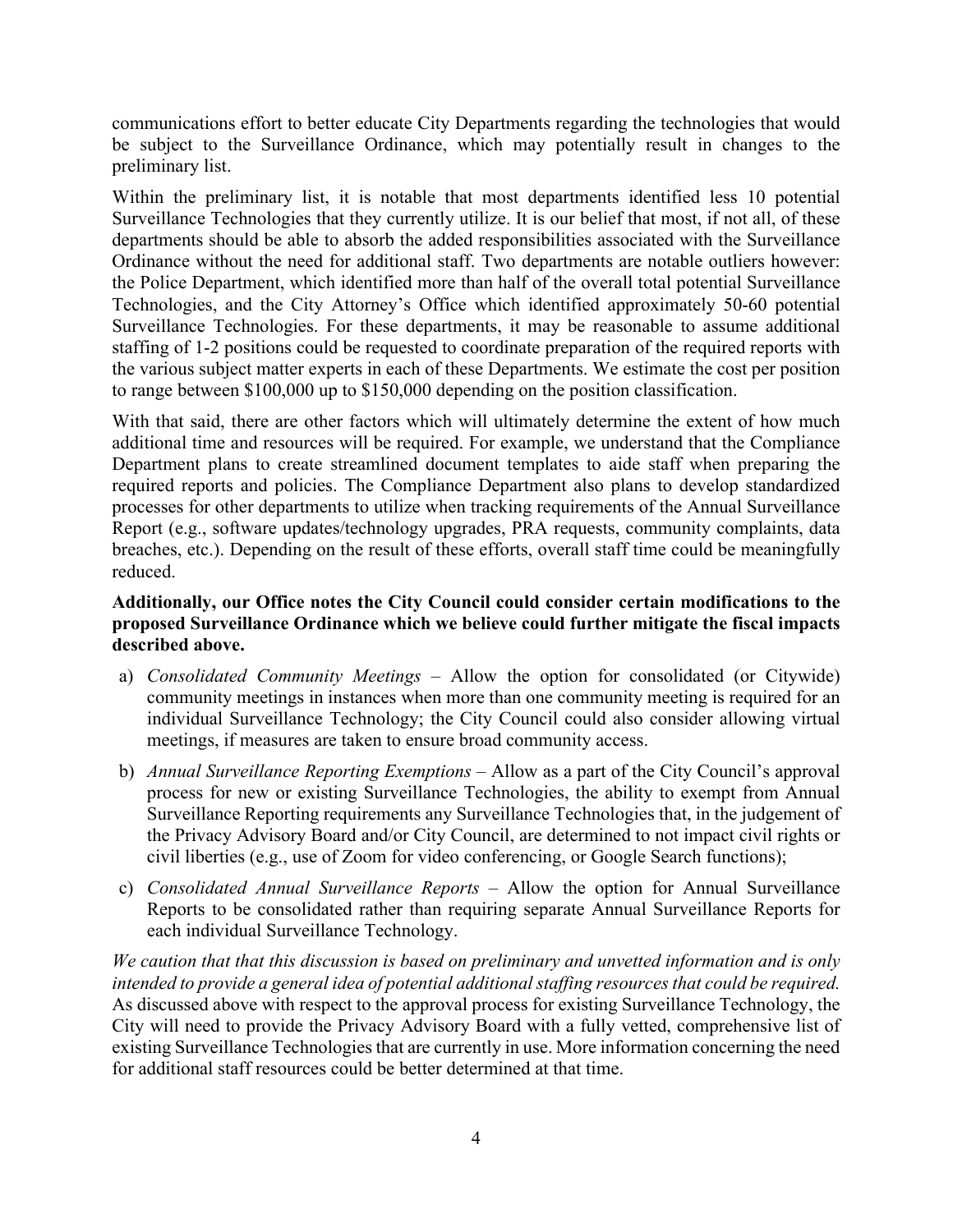communications effort to better educate City Departments regarding the technologies that would be subject to the Surveillance Ordinance, which may potentially result in changes to the preliminary list.

Within the preliminary list, it is notable that most departments identified less 10 potential Surveillance Technologies that they currently utilize. It is our belief that most, if not all, of these departments should be able to absorb the added responsibilities associated with the Surveillance Ordinance without the need for additional staff. Two departments are notable outliers however: the Police Department, which identified more than half of the overall total potential Surveillance Technologies, and the City Attorney's Office which identified approximately 50-60 potential Surveillance Technologies. For these departments, it may be reasonable to assume additional staffing of 1-2 positions could be requested to coordinate preparation of the required reports with the various subject matter experts in each of these Departments. We estimate the cost per position to range between \$100,000 up to \$150,000 depending on the position classification.

With that said, there are other factors which will ultimately determine the extent of how much additional time and resources will be required. For example, we understand that the Compliance Department plans to create streamlined document templates to aide staff when preparing the required reports and policies. The Compliance Department also plans to develop standardized processes for other departments to utilize when tracking requirements of the Annual Surveillance Report (e.g., software updates/technology upgrades, PRA requests, community complaints, data breaches, etc.). Depending on the result of these efforts, overall staff time could be meaningfully reduced.

# **Additionally, our Office notes the City Council could consider certain modifications to the proposed Surveillance Ordinance which we believe could further mitigate the fiscal impacts described above.**

- a) *Consolidated Community Meetings* Allow the option for consolidated (or Citywide) community meetings in instances when more than one community meeting is required for an individual Surveillance Technology; the City Council could also consider allowing virtual meetings, if measures are taken to ensure broad community access.
- b) *Annual Surveillance Reporting Exemptions* Allow as a part of the City Council's approval process for new or existing Surveillance Technologies, the ability to exempt from Annual Surveillance Reporting requirements any Surveillance Technologies that, in the judgement of the Privacy Advisory Board and/or City Council, are determined to not impact civil rights or civil liberties (e.g., use of Zoom for video conferencing, or Google Search functions);
- c) *Consolidated Annual Surveillance Reports* Allow the option for Annual Surveillance Reports to be consolidated rather than requiring separate Annual Surveillance Reports for each individual Surveillance Technology.

*We caution that that this discussion is based on preliminary and unvetted information and is only intended to provide a general idea of potential additional staffing resources that could be required.* As discussed above with respect to the approval process for existing Surveillance Technology, the City will need to provide the Privacy Advisory Board with a fully vetted, comprehensive list of existing Surveillance Technologies that are currently in use. More information concerning the need for additional staff resources could be better determined at that time.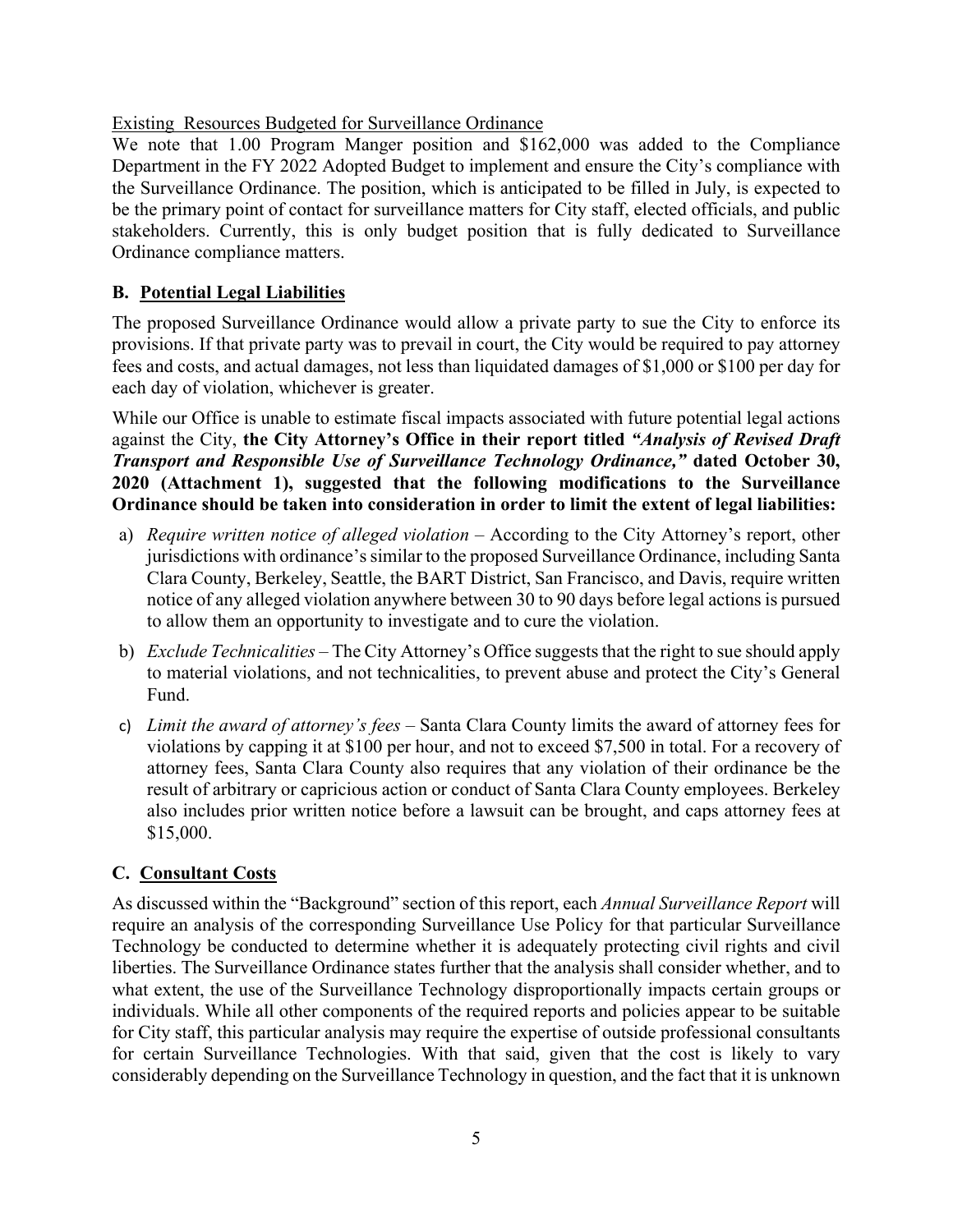Existing Resources Budgeted for Surveillance Ordinance

We note that 1.00 Program Manger position and \$162,000 was added to the Compliance Department in the FY 2022 Adopted Budget to implement and ensure the City's compliance with the Surveillance Ordinance. The position, which is anticipated to be filled in July, is expected to be the primary point of contact for surveillance matters for City staff, elected officials, and public stakeholders. Currently, this is only budget position that is fully dedicated to Surveillance Ordinance compliance matters.

# **B. Potential Legal Liabilities**

The proposed Surveillance Ordinance would allow a private party to sue the City to enforce its provisions. If that private party was to prevail in court, the City would be required to pay attorney fees and costs, and actual damages, not less than liquidated damages of \$1,000 or \$100 per day for each day of violation, whichever is greater.

While our Office is unable to estimate fiscal impacts associated with future potential legal actions against the City, **the City Attorney's Office in their report titled** *"Analysis of Revised Draft Transport and Responsible Use of Surveillance Technology Ordinance,"* **dated October 30, 2020 (Attachment 1), suggested that the following modifications to the Surveillance Ordinance should be taken into consideration in order to limit the extent of legal liabilities:**

- a) *Require written notice of alleged violation –* According to the City Attorney's report, other jurisdictions with ordinance's similar to the proposed Surveillance Ordinance, including Santa Clara County, Berkeley, Seattle, the BART District, San Francisco, and Davis, require written notice of any alleged violation anywhere between 30 to 90 days before legal actions is pursued to allow them an opportunity to investigate and to cure the violation.
- b) *Exclude Technicalities –* The City Attorney's Office suggests that the right to sue should apply to material violations, and not technicalities, to prevent abuse and protect the City's General Fund.
- c) *Limit the award of attorney's fees* Santa Clara County limits the award of attorney fees for violations by capping it at \$100 per hour, and not to exceed \$7,500 in total. For a recovery of attorney fees, Santa Clara County also requires that any violation of their ordinance be the result of arbitrary or capricious action or conduct of Santa Clara County employees. Berkeley also includes prior written notice before a lawsuit can be brought, and caps attorney fees at \$15,000.

# **C. Consultant Costs**

As discussed within the "Background" section of this report, each *Annual Surveillance Report* will require an analysis of the corresponding Surveillance Use Policy for that particular Surveillance Technology be conducted to determine whether it is adequately protecting civil rights and civil liberties. The Surveillance Ordinance states further that the analysis shall consider whether, and to what extent, the use of the Surveillance Technology disproportionally impacts certain groups or individuals. While all other components of the required reports and policies appear to be suitable for City staff, this particular analysis may require the expertise of outside professional consultants for certain Surveillance Technologies. With that said, given that the cost is likely to vary considerably depending on the Surveillance Technology in question, and the fact that it is unknown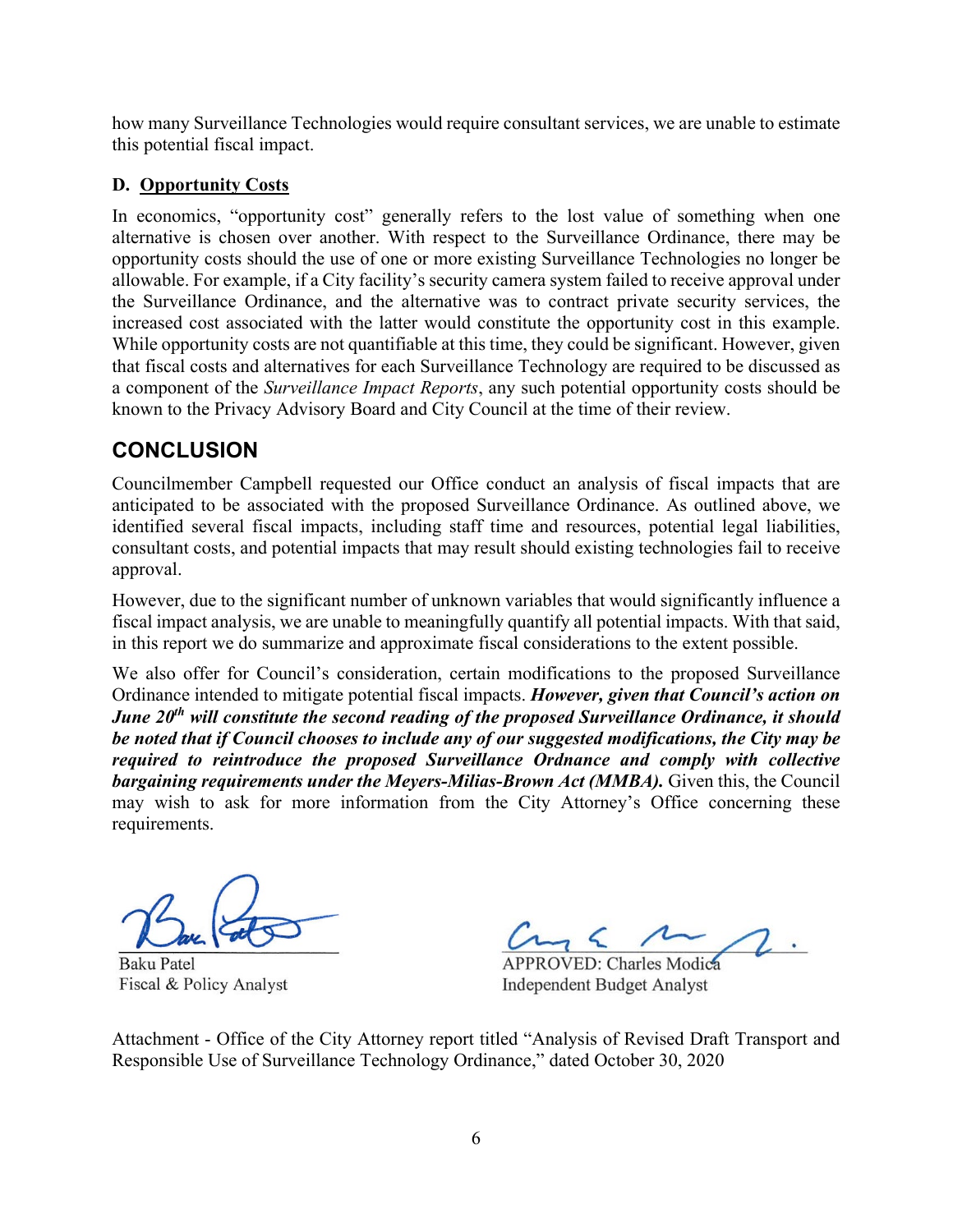how many Surveillance Technologies would require consultant services, we are unable to estimate this potential fiscal impact.

# **D. Opportunity Costs**

In economics, "opportunity cost" generally refers to the lost value of something when one alternative is chosen over another. With respect to the Surveillance Ordinance, there may be opportunity costs should the use of one or more existing Surveillance Technologies no longer be allowable. For example, if a City facility's security camera system failed to receive approval under the Surveillance Ordinance, and the alternative was to contract private security services, the increased cost associated with the latter would constitute the opportunity cost in this example. While opportunity costs are not quantifiable at this time, they could be significant. However, given that fiscal costs and alternatives for each Surveillance Technology are required to be discussed as a component of the *Surveillance Impact Reports*, any such potential opportunity costs should be known to the Privacy Advisory Board and City Council at the time of their review.

# **CONCLUSION**

Councilmember Campbell requested our Office conduct an analysis of fiscal impacts that are anticipated to be associated with the proposed Surveillance Ordinance. As outlined above, we identified several fiscal impacts, including staff time and resources, potential legal liabilities, consultant costs, and potential impacts that may result should existing technologies fail to receive approval.

However, due to the significant number of unknown variables that would significantly influence a fiscal impact analysis, we are unable to meaningfully quantify all potential impacts. With that said, in this report we do summarize and approximate fiscal considerations to the extent possible.

We also offer for Council's consideration, certain modifications to the proposed Surveillance Ordinance intended to mitigate potential fiscal impacts. *However, given that Council's action on June 20<sup>th</sup> will constitute the second reading of the proposed Surveillance Ordinance, it should be noted that if Council chooses to include any of our suggested modifications, the City may be required to reintroduce the proposed Surveillance Ordnance and comply with collective bargaining requirements under the Meyers-Milias-Brown Act (MMBA).* Given this, the Council may wish to ask for more information from the City Attorney's Office concerning these requirements.

**Baku Patel** Fiscal & Policy Analyst

**APPROVED: Charles Modica Independent Budget Analyst** 

Attachment - Office of the City Attorney report titled "Analysis of Revised Draft Transport and Responsible Use of Surveillance Technology Ordinance," dated October 30, 2020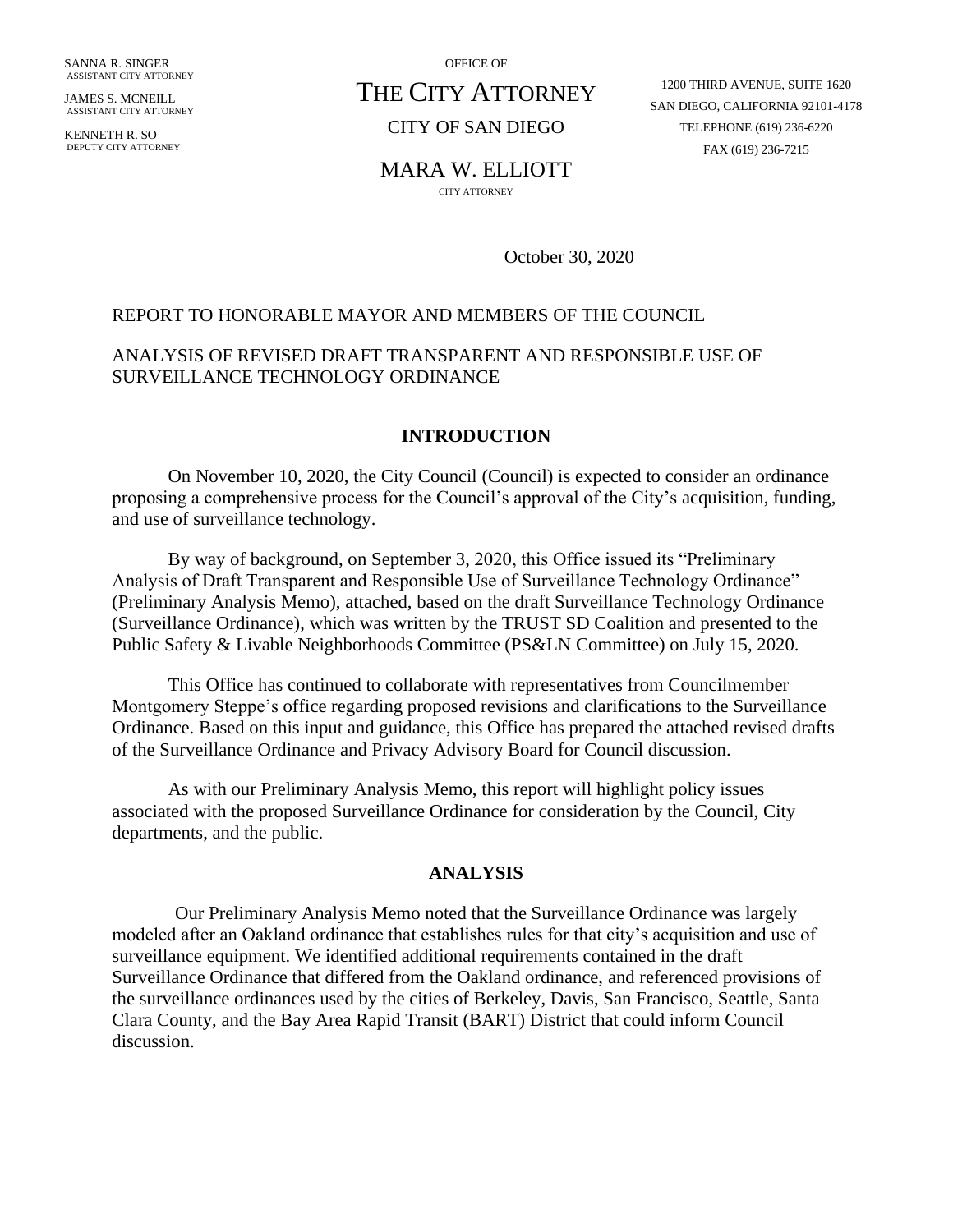SANNA R. SINGER ASSISTANT CITY ATTORNEY

JAMES S. MCNEILL ASSISTANT CITY ATTORNEY

KENNETH R. SO DEPUTY CITY ATTORNEY OFFICE OF

# THE CITY ATTORNEY

CITY OF SAN DIEGO

1200 THIRD AVENUE, SUITE 1620 SAN DIEGO, CALIFORNIA 92101-4178 TELEPHONE (619) 236-6220 FAX (619) 236-7215

#### MARA W. ELLIOTT

CITY ATTORNEY

October 30, 2020

#### REPORT TO HONORABLE MAYOR AND MEMBERS OF THE COUNCIL

# ANALYSIS OF REVISED DRAFT TRANSPARENT AND RESPONSIBLE USE OF SURVEILLANCE TECHNOLOGY ORDINANCE

#### **INTRODUCTION**

On November 10, 2020, the City Council (Council) is expected to consider an ordinance proposing a comprehensive process for the Council's approval of the City's acquisition, funding, and use of surveillance technology.

By way of background, on September 3, 2020, this Office issued its "Preliminary Analysis of Draft Transparent and Responsible Use of Surveillance Technology Ordinance" (Preliminary Analysis Memo), attached, based on the draft Surveillance Technology Ordinance (Surveillance Ordinance), which was written by the TRUST SD Coalition and presented to the Public Safety & Livable Neighborhoods Committee (PS&LN Committee) on July 15, 2020.

This Office has continued to collaborate with representatives from Councilmember Montgomery Steppe's office regarding proposed revisions and clarifications to the Surveillance Ordinance. Based on this input and guidance, this Office has prepared the attached revised drafts of the Surveillance Ordinance and Privacy Advisory Board for Council discussion.

As with our Preliminary Analysis Memo, this report will highlight policy issues associated with the proposed Surveillance Ordinance for consideration by the Council, City departments, and the public.

#### **ANALYSIS**

Our Preliminary Analysis Memo noted that the Surveillance Ordinance was largely modeled after an Oakland ordinance that establishes rules for that city's acquisition and use of surveillance equipment. We identified additional requirements contained in the draft Surveillance Ordinance that differed from the Oakland ordinance, and referenced provisions of the surveillance ordinances used by the cities of Berkeley, Davis, San Francisco, Seattle, Santa Clara County, and the Bay Area Rapid Transit (BART) District that could inform Council discussion.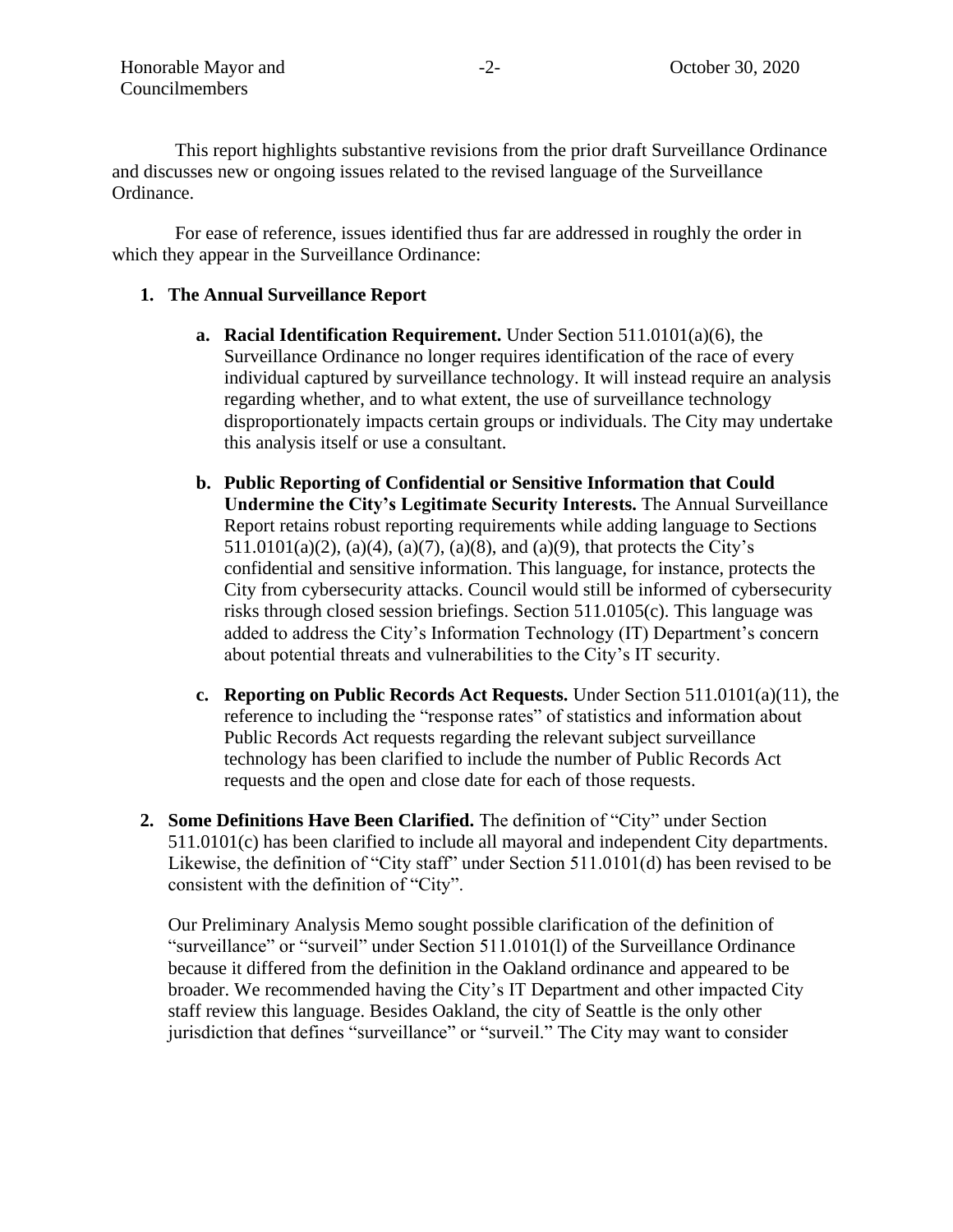This report highlights substantive revisions from the prior draft Surveillance Ordinance and discusses new or ongoing issues related to the revised language of the Surveillance Ordinance.

For ease of reference, issues identified thus far are addressed in roughly the order in which they appear in the Surveillance Ordinance:

#### **1. The Annual Surveillance Report**

- **a. Racial Identification Requirement.** Under Section 511.0101(a)(6), the Surveillance Ordinance no longer requires identification of the race of every individual captured by surveillance technology. It will instead require an analysis regarding whether, and to what extent, the use of surveillance technology disproportionately impacts certain groups or individuals. The City may undertake this analysis itself or use a consultant.
- **b. Public Reporting of Confidential or Sensitive Information that Could Undermine the City's Legitimate Security Interests.** The Annual Surveillance Report retains robust reporting requirements while adding language to Sections 511.0101(a)(2), (a)(4), (a)(7), (a)(8), and (a)(9), that protects the City's confidential and sensitive information. This language, for instance, protects the City from cybersecurity attacks. Council would still be informed of cybersecurity risks through closed session briefings. Section 511.0105(c). This language was added to address the City's Information Technology (IT) Department's concern about potential threats and vulnerabilities to the City's IT security.
- **c. Reporting on Public Records Act Requests.** Under Section 511.0101(a)(11), the reference to including the "response rates" of statistics and information about Public Records Act requests regarding the relevant subject surveillance technology has been clarified to include the number of Public Records Act requests and the open and close date for each of those requests.
- **2. Some Definitions Have Been Clarified.** The definition of "City" under Section 511.0101(c) has been clarified to include all mayoral and independent City departments. Likewise, the definition of "City staff" under Section 511.0101(d) has been revised to be consistent with the definition of "City".

Our Preliminary Analysis Memo sought possible clarification of the definition of "surveillance" or "surveil" under Section 511.0101(l) of the Surveillance Ordinance because it differed from the definition in the Oakland ordinance and appeared to be broader. We recommended having the City's IT Department and other impacted City staff review this language. Besides Oakland, the city of Seattle is the only other jurisdiction that defines "surveillance" or "surveil." The City may want to consider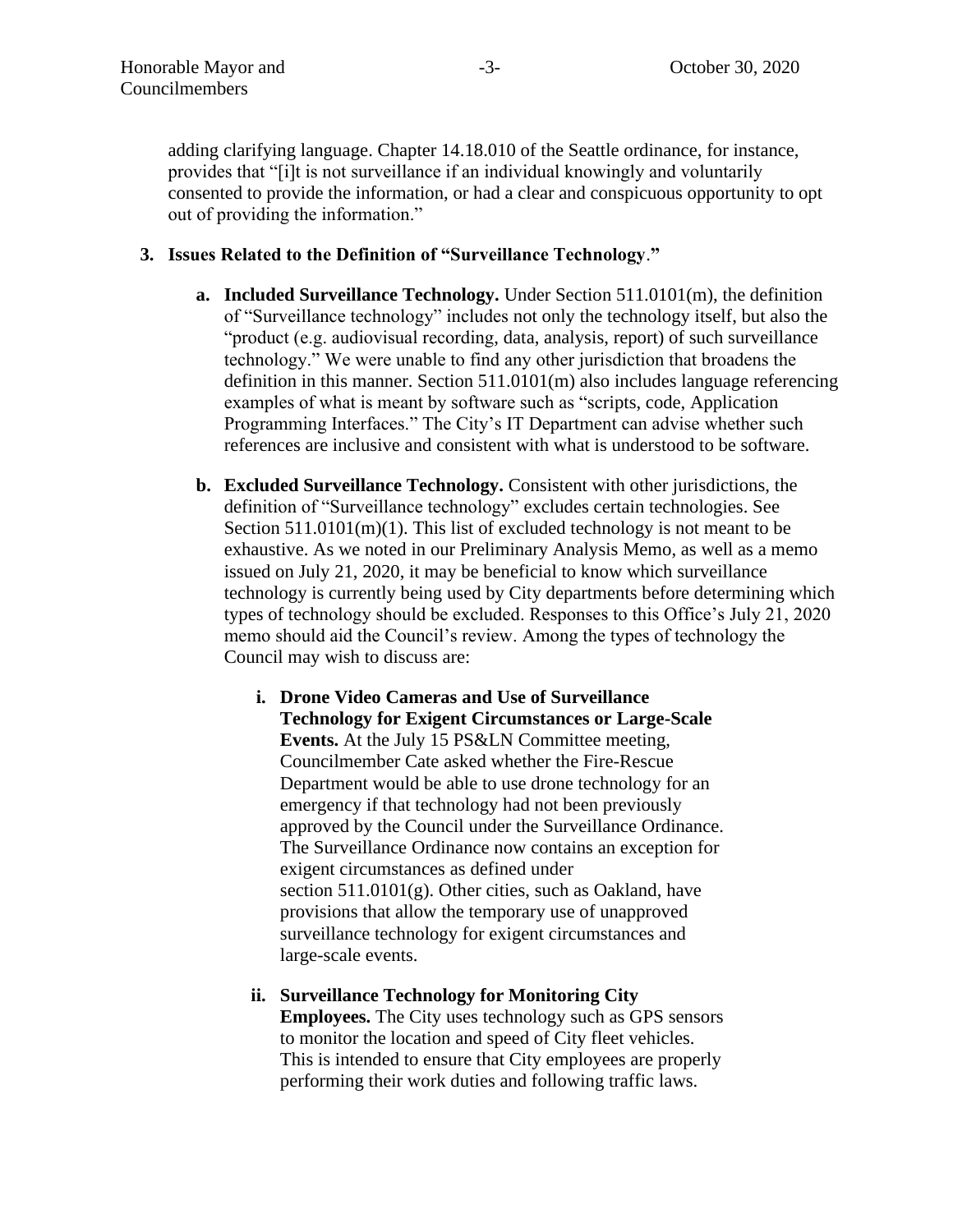adding clarifying language. Chapter 14.18.010 of the Seattle ordinance, for instance, provides that "[i]t is not surveillance if an individual knowingly and voluntarily consented to provide the information, or had a clear and conspicuous opportunity to opt out of providing the information."

## **3. Issues Related to the Definition of "Surveillance Technology**.**"**

- **a. Included Surveillance Technology.** Under Section 511.0101(m), the definition of "Surveillance technology" includes not only the technology itself, but also the "product (e.g. audiovisual recording, data, analysis, report) of such surveillance technology." We were unable to find any other jurisdiction that broadens the definition in this manner. Section 511.0101(m) also includes language referencing examples of what is meant by software such as "scripts, code, Application Programming Interfaces." The City's IT Department can advise whether such references are inclusive and consistent with what is understood to be software.
- **b. Excluded Surveillance Technology.** Consistent with other jurisdictions, the definition of "Surveillance technology" excludes certain technologies. See Section  $511.0101(m)(1)$ . This list of excluded technology is not meant to be exhaustive. As we noted in our Preliminary Analysis Memo, as well as a memo issued on July 21, 2020, it may be beneficial to know which surveillance technology is currently being used by City departments before determining which types of technology should be excluded. Responses to this Office's July 21, 2020 memo should aid the Council's review. Among the types of technology the Council may wish to discuss are:
	- **i. Drone Video Cameras and Use of Surveillance Technology for Exigent Circumstances or Large-Scale Events.** At the July 15 PS&LN Committee meeting, Councilmember Cate asked whether the Fire-Rescue Department would be able to use drone technology for an emergency if that technology had not been previously approved by the Council under the Surveillance Ordinance. The Surveillance Ordinance now contains an exception for exigent circumstances as defined under section 511.0101(g). Other cities, such as Oakland, have provisions that allow the temporary use of unapproved surveillance technology for exigent circumstances and large-scale events.
	- **ii. Surveillance Technology for Monitoring City Employees.** The City uses technology such as GPS sensors to monitor the location and speed of City fleet vehicles. This is intended to ensure that City employees are properly performing their work duties and following traffic laws.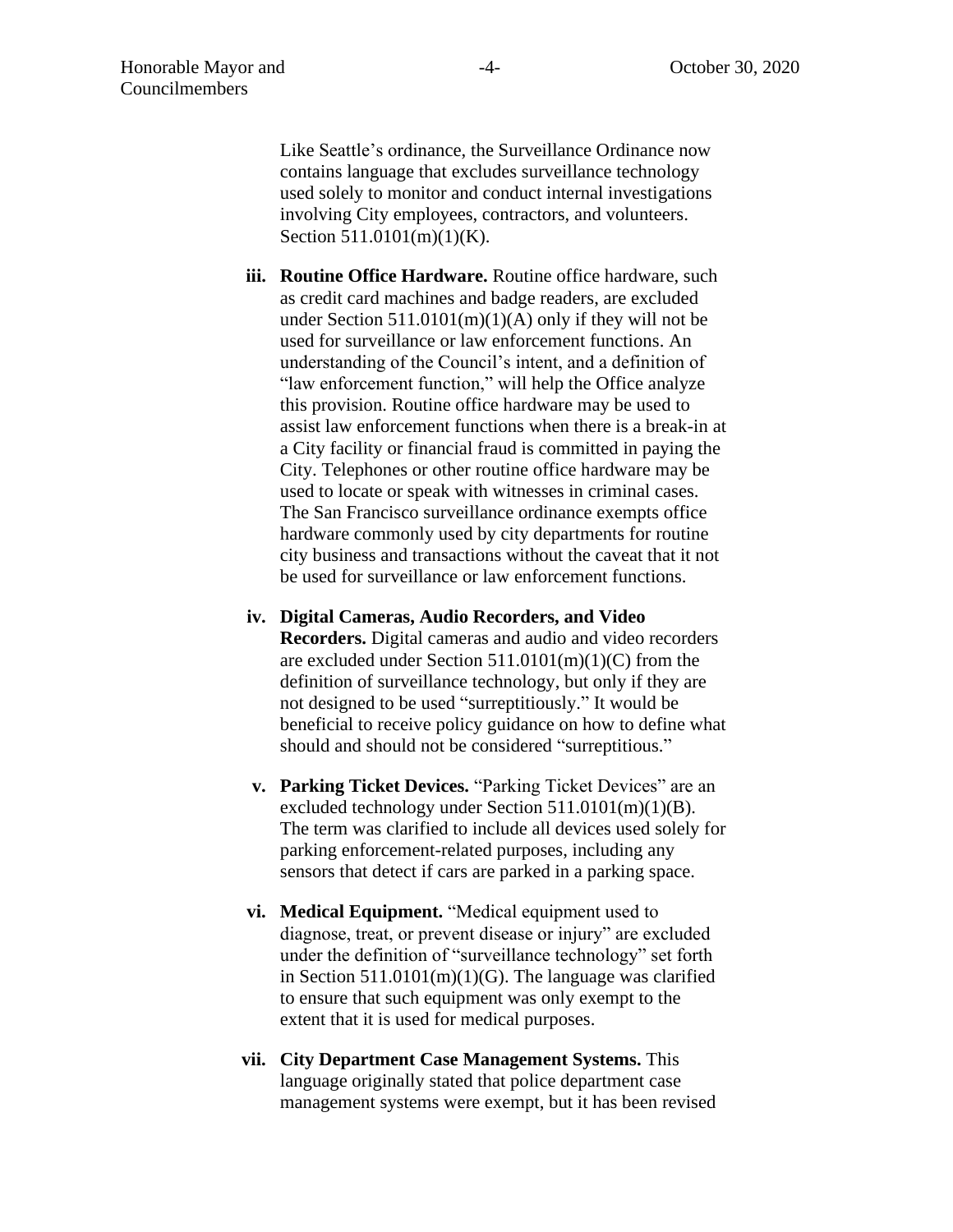Like Seattle's ordinance, the Surveillance Ordinance now contains language that excludes surveillance technology used solely to monitor and conduct internal investigations involving City employees, contractors, and volunteers. Section 511.0101(m)(1)(K).

- **iii. Routine Office Hardware.** Routine office hardware, such as credit card machines and badge readers, are excluded under Section  $511.0101(m)(1)(A)$  only if they will not be used for surveillance or law enforcement functions. An understanding of the Council's intent, and a definition of "law enforcement function," will help the Office analyze this provision. Routine office hardware may be used to assist law enforcement functions when there is a break-in at a City facility or financial fraud is committed in paying the City. Telephones or other routine office hardware may be used to locate or speak with witnesses in criminal cases. The San Francisco surveillance ordinance exempts office hardware commonly used by city departments for routine city business and transactions without the caveat that it not be used for surveillance or law enforcement functions.
- **iv. Digital Cameras, Audio Recorders, and Video Recorders.** Digital cameras and audio and video recorders are excluded under Section 511.0101(m)(1)(C) from the definition of surveillance technology, but only if they are not designed to be used "surreptitiously." It would be beneficial to receive policy guidance on how to define what should and should not be considered "surreptitious."
- **v. Parking Ticket Devices.** "Parking Ticket Devices" are an excluded technology under Section 511.0101(m)(1)(B). The term was clarified to include all devices used solely for parking enforcement-related purposes, including any sensors that detect if cars are parked in a parking space.
- **vi. Medical Equipment.** "Medical equipment used to diagnose, treat, or prevent disease or injury" are excluded under the definition of "surveillance technology" set forth in Section  $511.0101(m)(1)(G)$ . The language was clarified to ensure that such equipment was only exempt to the extent that it is used for medical purposes.
- **vii. City Department Case Management Systems.** This language originally stated that police department case management systems were exempt, but it has been revised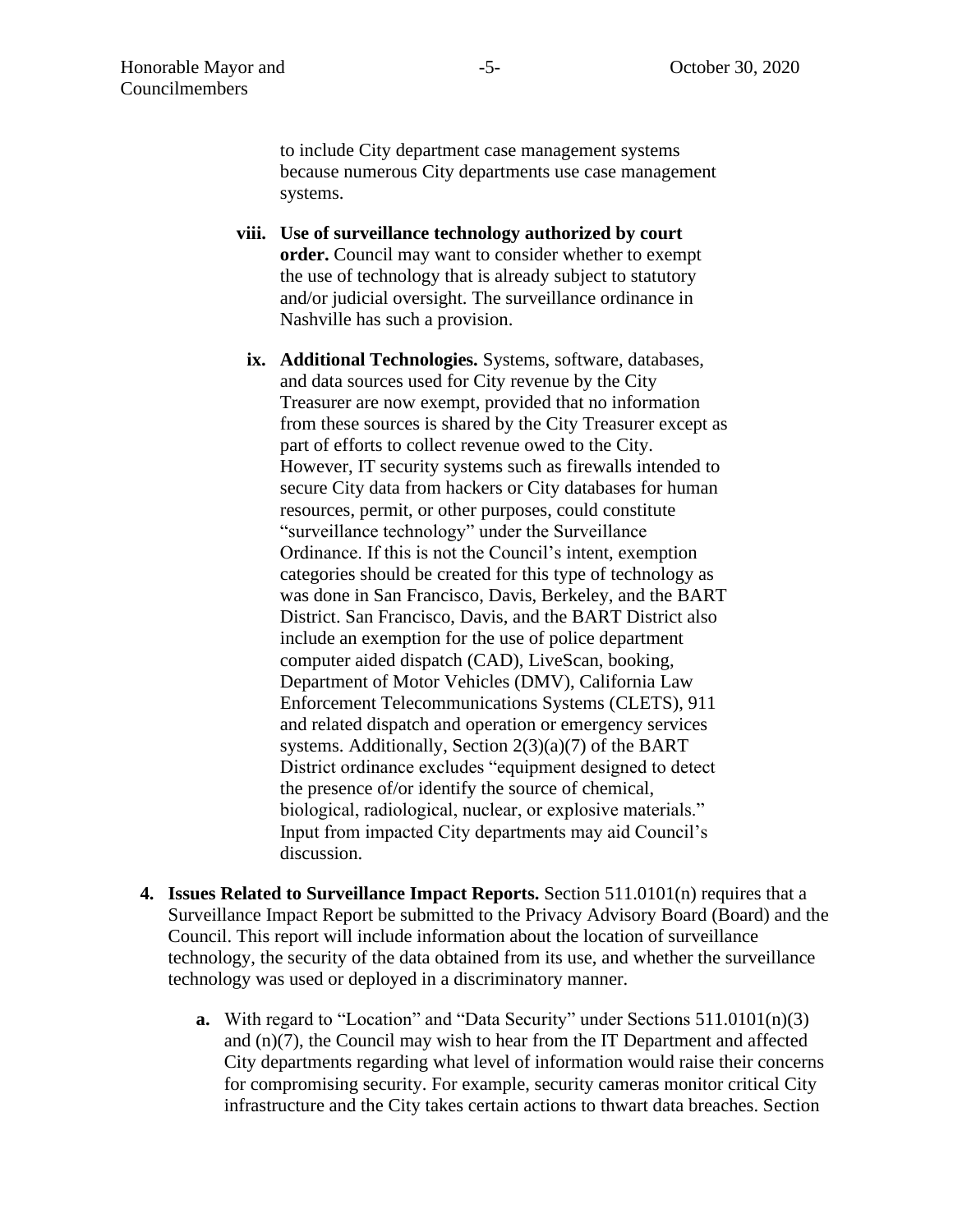to include City department case management systems because numerous City departments use case management systems.

- **viii. Use of surveillance technology authorized by court order.** Council may want to consider whether to exempt the use of technology that is already subject to statutory and/or judicial oversight. The surveillance ordinance in Nashville has such a provision.
- **ix. Additional Technologies.** Systems, software, databases, and data sources used for City revenue by the City Treasurer are now exempt, provided that no information from these sources is shared by the City Treasurer except as part of efforts to collect revenue owed to the City. However, IT security systems such as firewalls intended to secure City data from hackers or City databases for human resources, permit, or other purposes, could constitute "surveillance technology" under the Surveillance Ordinance. If this is not the Council's intent, exemption categories should be created for this type of technology as was done in San Francisco, Davis, Berkeley, and the BART District. San Francisco, Davis, and the BART District also include an exemption for the use of police department computer aided dispatch (CAD), LiveScan, booking, Department of Motor Vehicles (DMV), California Law Enforcement Telecommunications Systems (CLETS), 911 and related dispatch and operation or emergency services systems. Additionally, Section 2(3)(a)(7) of the BART District ordinance excludes "equipment designed to detect the presence of/or identify the source of chemical, biological, radiological, nuclear, or explosive materials." Input from impacted City departments may aid Council's discussion.
- **4. Issues Related to Surveillance Impact Reports.** Section 511.0101(n) requires that a Surveillance Impact Report be submitted to the Privacy Advisory Board (Board) and the Council. This report will include information about the location of surveillance technology, the security of the data obtained from its use, and whether the surveillance technology was used or deployed in a discriminatory manner.
	- **a.** With regard to "Location" and "Data Security" under Sections 511.0101(n)(3) and (n)(7), the Council may wish to hear from the IT Department and affected City departments regarding what level of information would raise their concerns for compromising security. For example, security cameras monitor critical City infrastructure and the City takes certain actions to thwart data breaches. Section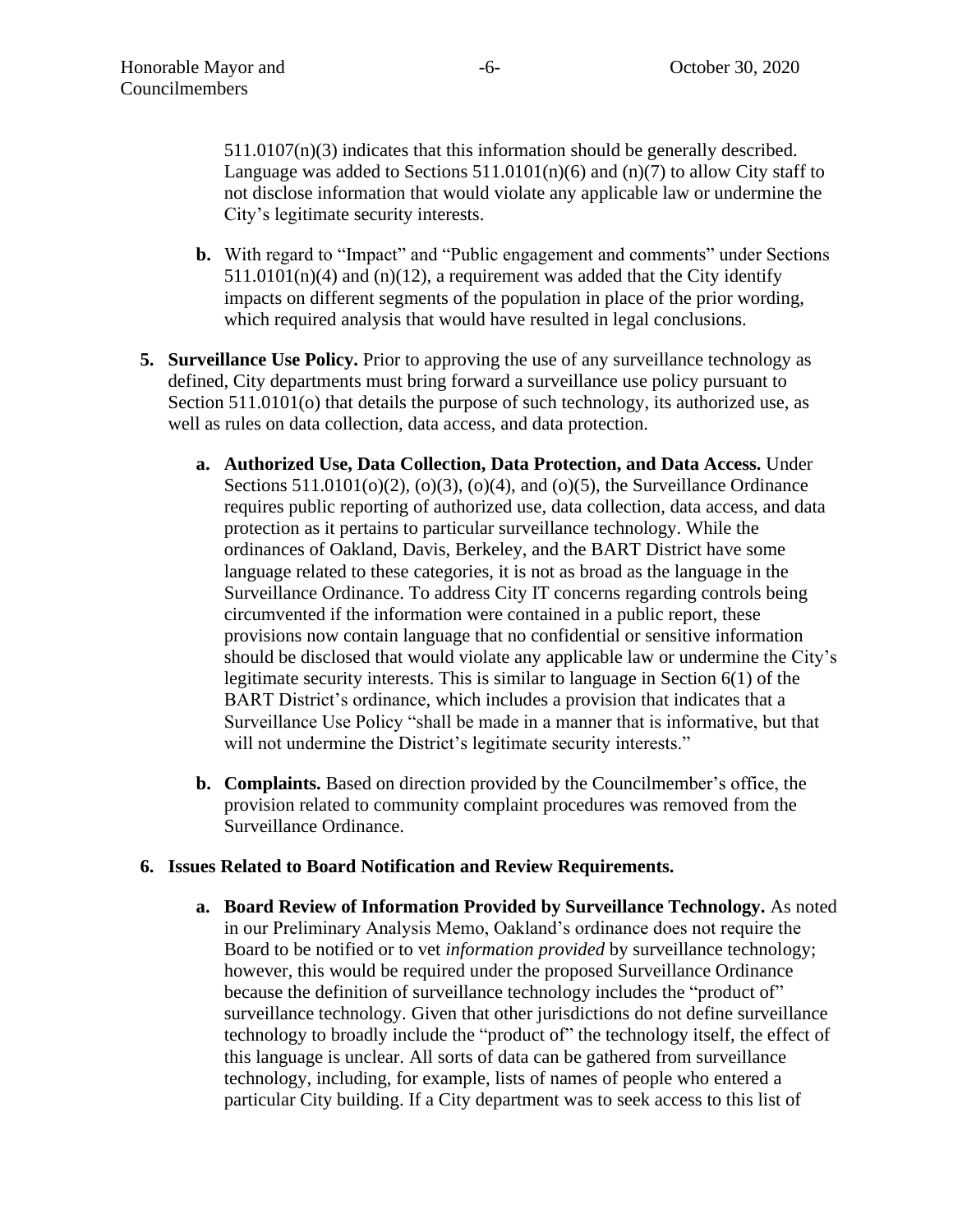511.0107(n)(3) indicates that this information should be generally described. Language was added to Sections  $511.0101(n)(6)$  and  $(n)(7)$  to allow City staff to not disclose information that would violate any applicable law or undermine the City's legitimate security interests.

- **b.** With regard to "Impact" and "Public engagement and comments" under Sections  $511.0101(n)(4)$  and  $(n)(12)$ , a requirement was added that the City identify impacts on different segments of the population in place of the prior wording, which required analysis that would have resulted in legal conclusions.
- **5. Surveillance Use Policy.** Prior to approving the use of any surveillance technology as defined, City departments must bring forward a surveillance use policy pursuant to Section 511.0101(o) that details the purpose of such technology, its authorized use, as well as rules on data collection, data access, and data protection.
	- **a. Authorized Use, Data Collection, Data Protection, and Data Access.** Under Sections  $511.0101(o)(2)$ ,  $(o)(3)$ ,  $(o)(4)$ , and  $(o)(5)$ , the Surveillance Ordinance requires public reporting of authorized use, data collection, data access, and data protection as it pertains to particular surveillance technology. While the ordinances of Oakland, Davis, Berkeley, and the BART District have some language related to these categories, it is not as broad as the language in the Surveillance Ordinance. To address City IT concerns regarding controls being circumvented if the information were contained in a public report, these provisions now contain language that no confidential or sensitive information should be disclosed that would violate any applicable law or undermine the City's legitimate security interests. This is similar to language in Section 6(1) of the BART District's ordinance, which includes a provision that indicates that a Surveillance Use Policy "shall be made in a manner that is informative, but that will not undermine the District's legitimate security interests."
	- **b. Complaints.** Based on direction provided by the Councilmember's office, the provision related to community complaint procedures was removed from the Surveillance Ordinance.

#### **6. Issues Related to Board Notification and Review Requirements.**

**a. Board Review of Information Provided by Surveillance Technology.** As noted in our Preliminary Analysis Memo, Oakland's ordinance does not require the Board to be notified or to vet *information provided* by surveillance technology; however, this would be required under the proposed Surveillance Ordinance because the definition of surveillance technology includes the "product of" surveillance technology. Given that other jurisdictions do not define surveillance technology to broadly include the "product of" the technology itself, the effect of this language is unclear. All sorts of data can be gathered from surveillance technology, including, for example, lists of names of people who entered a particular City building. If a City department was to seek access to this list of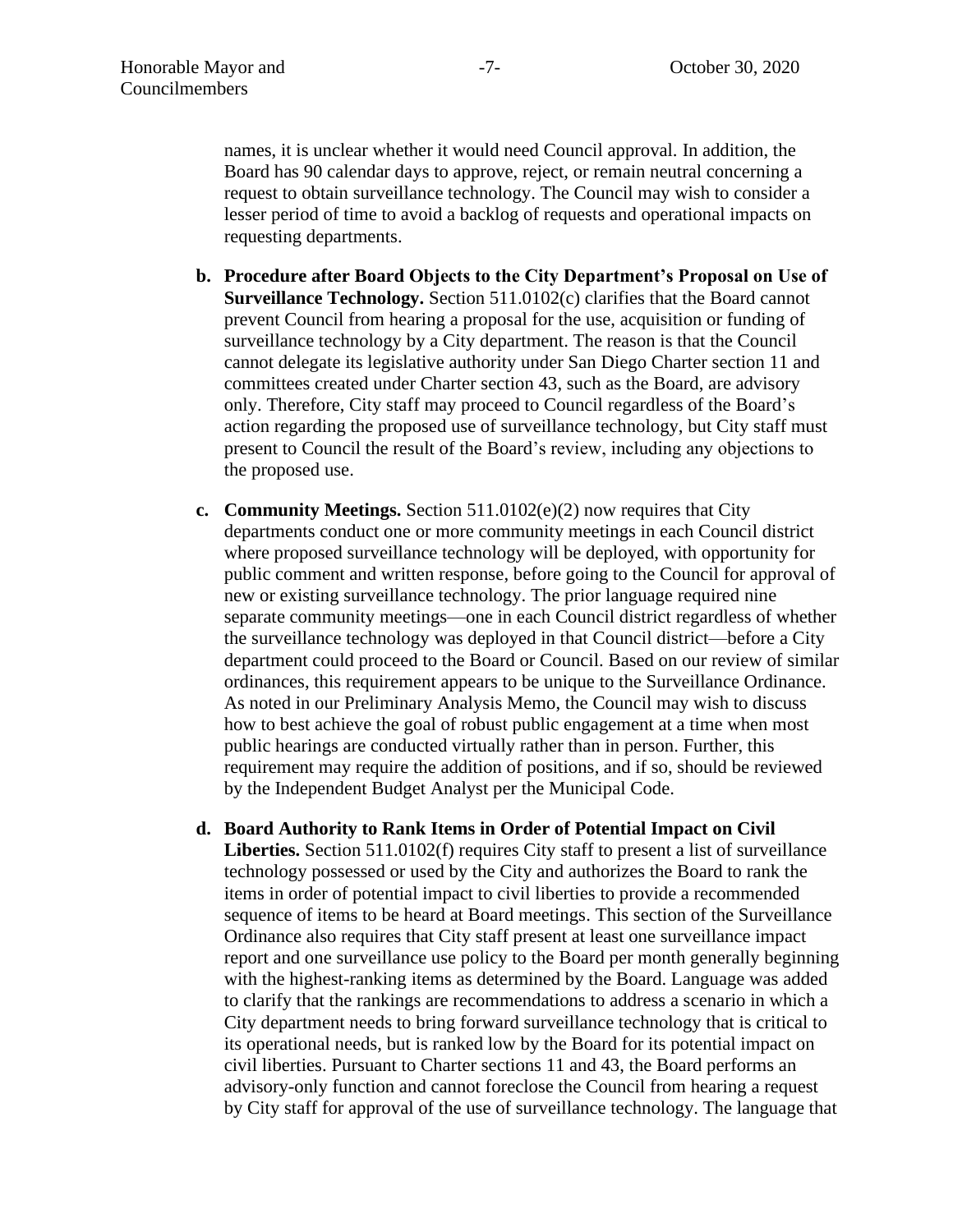names, it is unclear whether it would need Council approval. In addition, the Board has 90 calendar days to approve, reject, or remain neutral concerning a request to obtain surveillance technology. The Council may wish to consider a lesser period of time to avoid a backlog of requests and operational impacts on requesting departments.

- **b. Procedure after Board Objects to the City Department's Proposal on Use of Surveillance Technology.** Section 511.0102(c) clarifies that the Board cannot prevent Council from hearing a proposal for the use, acquisition or funding of surveillance technology by a City department. The reason is that the Council cannot delegate its legislative authority under San Diego Charter section 11 and committees created under Charter section 43, such as the Board, are advisory only. Therefore, City staff may proceed to Council regardless of the Board's action regarding the proposed use of surveillance technology, but City staff must present to Council the result of the Board's review, including any objections to the proposed use.
- **c. Community Meetings.** Section 511.0102(e)(2) now requires that City departments conduct one or more community meetings in each Council district where proposed surveillance technology will be deployed, with opportunity for public comment and written response, before going to the Council for approval of new or existing surveillance technology. The prior language required nine separate community meetings—one in each Council district regardless of whether the surveillance technology was deployed in that Council district—before a City department could proceed to the Board or Council. Based on our review of similar ordinances, this requirement appears to be unique to the Surveillance Ordinance. As noted in our Preliminary Analysis Memo, the Council may wish to discuss how to best achieve the goal of robust public engagement at a time when most public hearings are conducted virtually rather than in person. Further, this requirement may require the addition of positions, and if so, should be reviewed by the Independent Budget Analyst per the Municipal Code.
- **d. Board Authority to Rank Items in Order of Potential Impact on Civil Liberties.** Section 511.0102(f) requires City staff to present a list of surveillance technology possessed or used by the City and authorizes the Board to rank the items in order of potential impact to civil liberties to provide a recommended sequence of items to be heard at Board meetings. This section of the Surveillance Ordinance also requires that City staff present at least one surveillance impact report and one surveillance use policy to the Board per month generally beginning with the highest-ranking items as determined by the Board. Language was added to clarify that the rankings are recommendations to address a scenario in which a City department needs to bring forward surveillance technology that is critical to its operational needs, but is ranked low by the Board for its potential impact on civil liberties. Pursuant to Charter sections 11 and 43, the Board performs an advisory-only function and cannot foreclose the Council from hearing a request by City staff for approval of the use of surveillance technology. The language that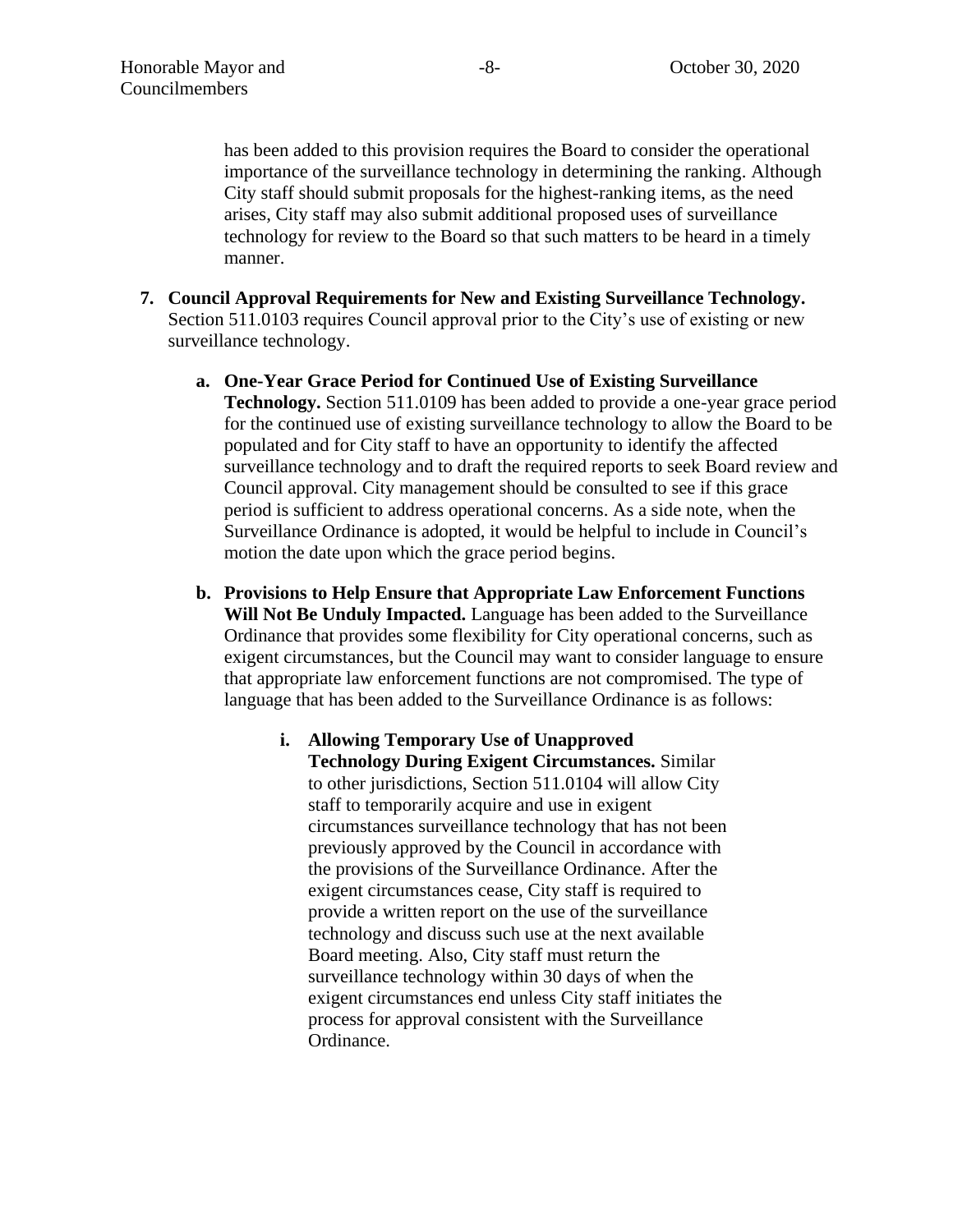has been added to this provision requires the Board to consider the operational importance of the surveillance technology in determining the ranking. Although City staff should submit proposals for the highest-ranking items, as the need arises, City staff may also submit additional proposed uses of surveillance technology for review to the Board so that such matters to be heard in a timely manner.

- **7. Council Approval Requirements for New and Existing Surveillance Technology.** Section 511.0103 requires Council approval prior to the City's use of existing or new surveillance technology.
	- **a. One-Year Grace Period for Continued Use of Existing Surveillance Technology.** Section 511.0109 has been added to provide a one-year grace period for the continued use of existing surveillance technology to allow the Board to be populated and for City staff to have an opportunity to identify the affected surveillance technology and to draft the required reports to seek Board review and Council approval. City management should be consulted to see if this grace period is sufficient to address operational concerns. As a side note, when the Surveillance Ordinance is adopted, it would be helpful to include in Council's motion the date upon which the grace period begins.
	- **b. Provisions to Help Ensure that Appropriate Law Enforcement Functions Will Not Be Unduly Impacted.** Language has been added to the Surveillance Ordinance that provides some flexibility for City operational concerns, such as exigent circumstances, but the Council may want to consider language to ensure that appropriate law enforcement functions are not compromised. The type of language that has been added to the Surveillance Ordinance is as follows:
		- **i. Allowing Temporary Use of Unapproved Technology During Exigent Circumstances.** Similar to other jurisdictions, Section 511.0104 will allow City staff to temporarily acquire and use in exigent circumstances surveillance technology that has not been previously approved by the Council in accordance with the provisions of the Surveillance Ordinance. After the exigent circumstances cease, City staff is required to provide a written report on the use of the surveillance technology and discuss such use at the next available Board meeting. Also, City staff must return the surveillance technology within 30 days of when the exigent circumstances end unless City staff initiates the process for approval consistent with the Surveillance Ordinance.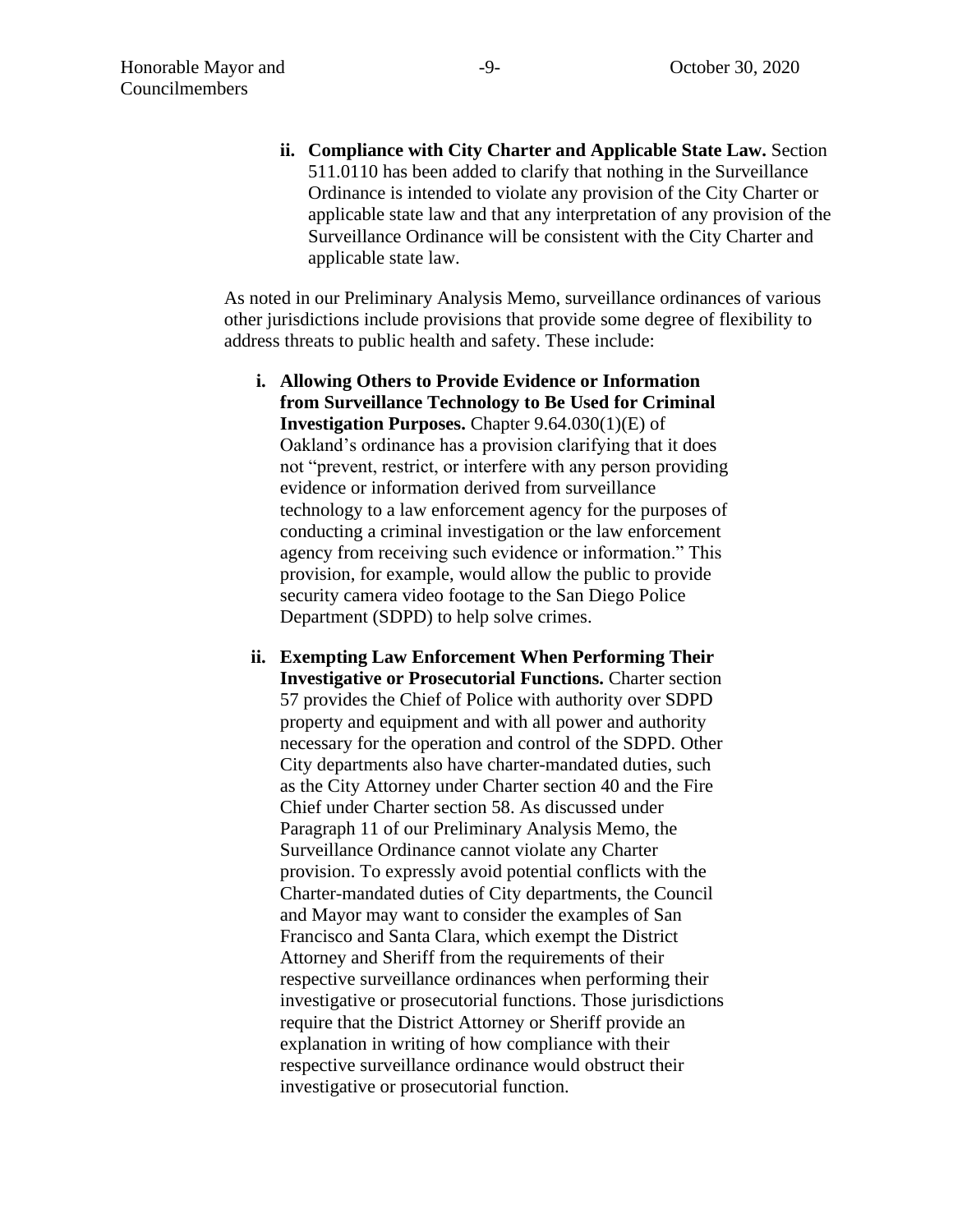**ii. Compliance with City Charter and Applicable State Law.** Section 511.0110 has been added to clarify that nothing in the Surveillance Ordinance is intended to violate any provision of the City Charter or applicable state law and that any interpretation of any provision of the Surveillance Ordinance will be consistent with the City Charter and applicable state law.

As noted in our Preliminary Analysis Memo, surveillance ordinances of various other jurisdictions include provisions that provide some degree of flexibility to address threats to public health and safety. These include:

- **i. Allowing Others to Provide Evidence or Information from Surveillance Technology to Be Used for Criminal Investigation Purposes.** Chapter 9.64.030(1)(E) of Oakland's ordinance has a provision clarifying that it does not "prevent, restrict, or interfere with any person providing evidence or information derived from surveillance technology to a law enforcement agency for the purposes of conducting a criminal investigation or the law enforcement agency from receiving such evidence or information." This provision, for example, would allow the public to provide security camera video footage to the San Diego Police Department (SDPD) to help solve crimes.
- **ii. Exempting Law Enforcement When Performing Their Investigative or Prosecutorial Functions.** Charter section 57 provides the Chief of Police with authority over SDPD property and equipment and with all power and authority necessary for the operation and control of the SDPD. Other City departments also have charter-mandated duties, such as the City Attorney under Charter section 40 and the Fire Chief under Charter section 58. As discussed under Paragraph 11 of our Preliminary Analysis Memo, the Surveillance Ordinance cannot violate any Charter provision. To expressly avoid potential conflicts with the Charter-mandated duties of City departments, the Council and Mayor may want to consider the examples of San Francisco and Santa Clara, which exempt the District Attorney and Sheriff from the requirements of their respective surveillance ordinances when performing their investigative or prosecutorial functions. Those jurisdictions require that the District Attorney or Sheriff provide an explanation in writing of how compliance with their respective surveillance ordinance would obstruct their investigative or prosecutorial function.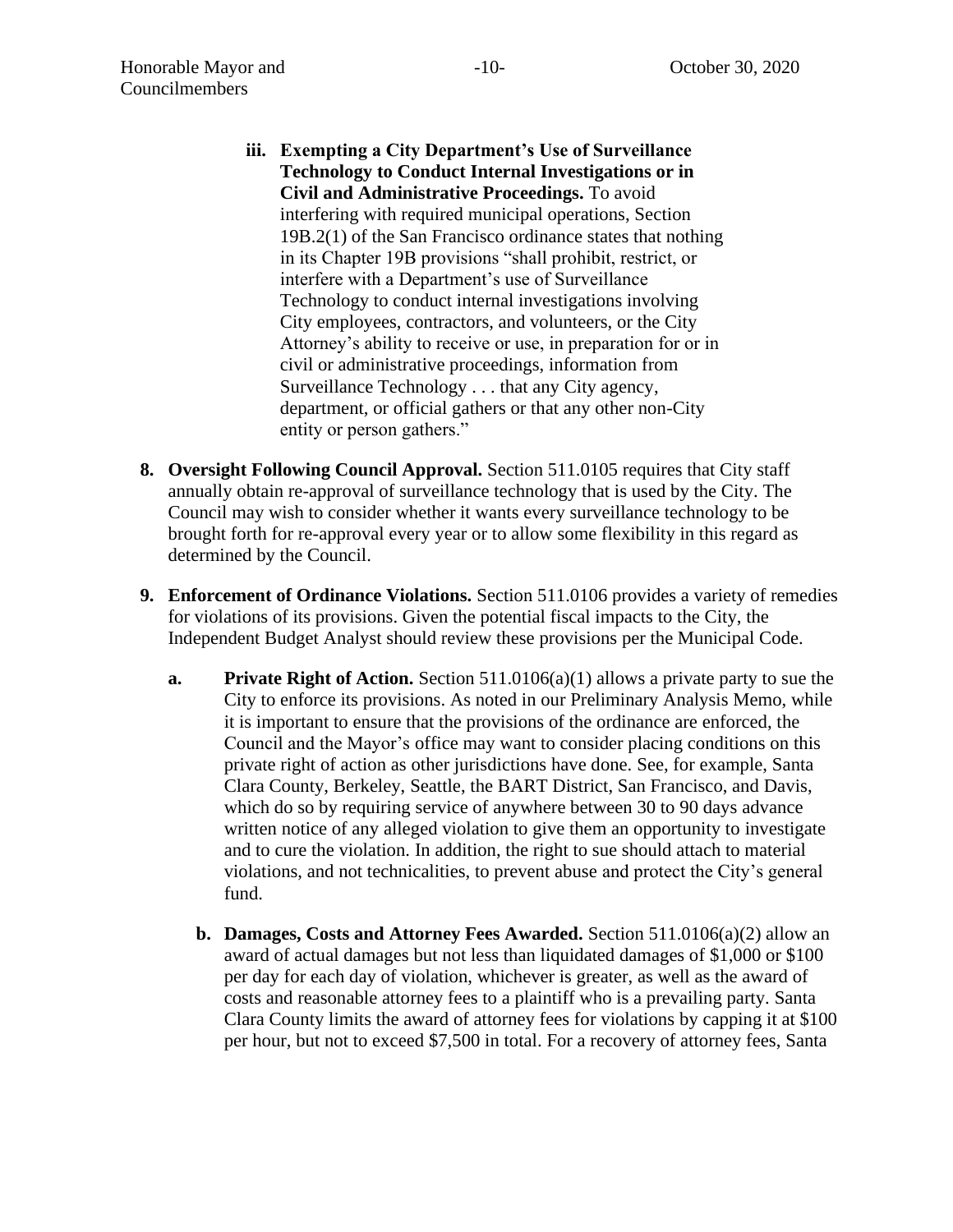- **iii. Exempting a City Department's Use of Surveillance Technology to Conduct Internal Investigations or in Civil and Administrative Proceedings.** To avoid interfering with required municipal operations, Section 19B.2(1) of the San Francisco ordinance states that nothing in its Chapter 19B provisions "shall prohibit, restrict, or interfere with a Department's use of Surveillance Technology to conduct internal investigations involving City employees, contractors, and volunteers, or the City Attorney's ability to receive or use, in preparation for or in civil or administrative proceedings, information from Surveillance Technology . . . that any City agency, department, or official gathers or that any other non-City entity or person gathers."
- **8. Oversight Following Council Approval.** Section 511.0105 requires that City staff annually obtain re-approval of surveillance technology that is used by the City. The Council may wish to consider whether it wants every surveillance technology to be brought forth for re-approval every year or to allow some flexibility in this regard as determined by the Council.
- **9. Enforcement of Ordinance Violations.** Section 511.0106 provides a variety of remedies for violations of its provisions. Given the potential fiscal impacts to the City, the Independent Budget Analyst should review these provisions per the Municipal Code.
	- **a. Private Right of Action.** Section 511.0106(a)(1) allows a private party to sue the City to enforce its provisions. As noted in our Preliminary Analysis Memo, while it is important to ensure that the provisions of the ordinance are enforced, the Council and the Mayor's office may want to consider placing conditions on this private right of action as other jurisdictions have done. See, for example, Santa Clara County, Berkeley, Seattle, the BART District, San Francisco, and Davis, which do so by requiring service of anywhere between 30 to 90 days advance written notice of any alleged violation to give them an opportunity to investigate and to cure the violation. In addition, the right to sue should attach to material violations, and not technicalities, to prevent abuse and protect the City's general fund.
		- **b. Damages, Costs and Attorney Fees Awarded.** Section 511.0106(a)(2) allow an award of actual damages but not less than liquidated damages of \$1,000 or \$100 per day for each day of violation, whichever is greater, as well as the award of costs and reasonable attorney fees to a plaintiff who is a prevailing party. Santa Clara County limits the award of attorney fees for violations by capping it at \$100 per hour, but not to exceed \$7,500 in total. For a recovery of attorney fees, Santa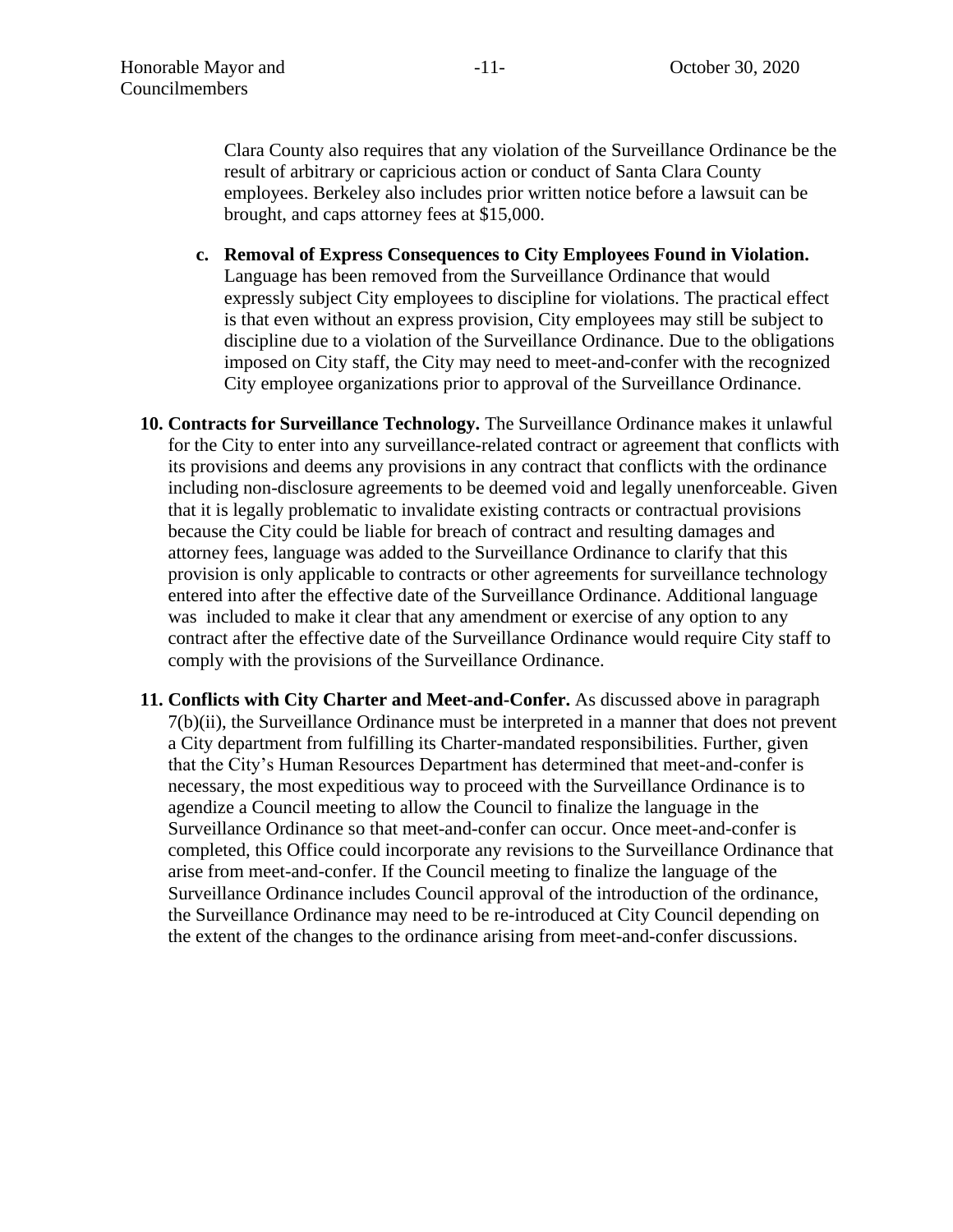Clara County also requires that any violation of the Surveillance Ordinance be the result of arbitrary or capricious action or conduct of Santa Clara County employees. Berkeley also includes prior written notice before a lawsuit can be brought, and caps attorney fees at \$15,000.

- **c. Removal of Express Consequences to City Employees Found in Violation.**  Language has been removed from the Surveillance Ordinance that would expressly subject City employees to discipline for violations. The practical effect is that even without an express provision, City employees may still be subject to discipline due to a violation of the Surveillance Ordinance. Due to the obligations imposed on City staff, the City may need to meet-and-confer with the recognized City employee organizations prior to approval of the Surveillance Ordinance.
- **10. Contracts for Surveillance Technology.** The Surveillance Ordinance makes it unlawful for the City to enter into any surveillance-related contract or agreement that conflicts with its provisions and deems any provisions in any contract that conflicts with the ordinance including non-disclosure agreements to be deemed void and legally unenforceable. Given that it is legally problematic to invalidate existing contracts or contractual provisions because the City could be liable for breach of contract and resulting damages and attorney fees, language was added to the Surveillance Ordinance to clarify that this provision is only applicable to contracts or other agreements for surveillance technology entered into after the effective date of the Surveillance Ordinance. Additional language was included to make it clear that any amendment or exercise of any option to any contract after the effective date of the Surveillance Ordinance would require City staff to comply with the provisions of the Surveillance Ordinance.
- **11. Conflicts with City Charter and Meet-and-Confer.** As discussed above in paragraph 7(b)(ii), the Surveillance Ordinance must be interpreted in a manner that does not prevent a City department from fulfilling its Charter-mandated responsibilities. Further, given that the City's Human Resources Department has determined that meet-and-confer is necessary, the most expeditious way to proceed with the Surveillance Ordinance is to agendize a Council meeting to allow the Council to finalize the language in the Surveillance Ordinance so that meet-and-confer can occur. Once meet-and-confer is completed, this Office could incorporate any revisions to the Surveillance Ordinance that arise from meet-and-confer. If the Council meeting to finalize the language of the Surveillance Ordinance includes Council approval of the introduction of the ordinance, the Surveillance Ordinance may need to be re-introduced at City Council depending on the extent of the changes to the ordinance arising from meet-and-confer discussions.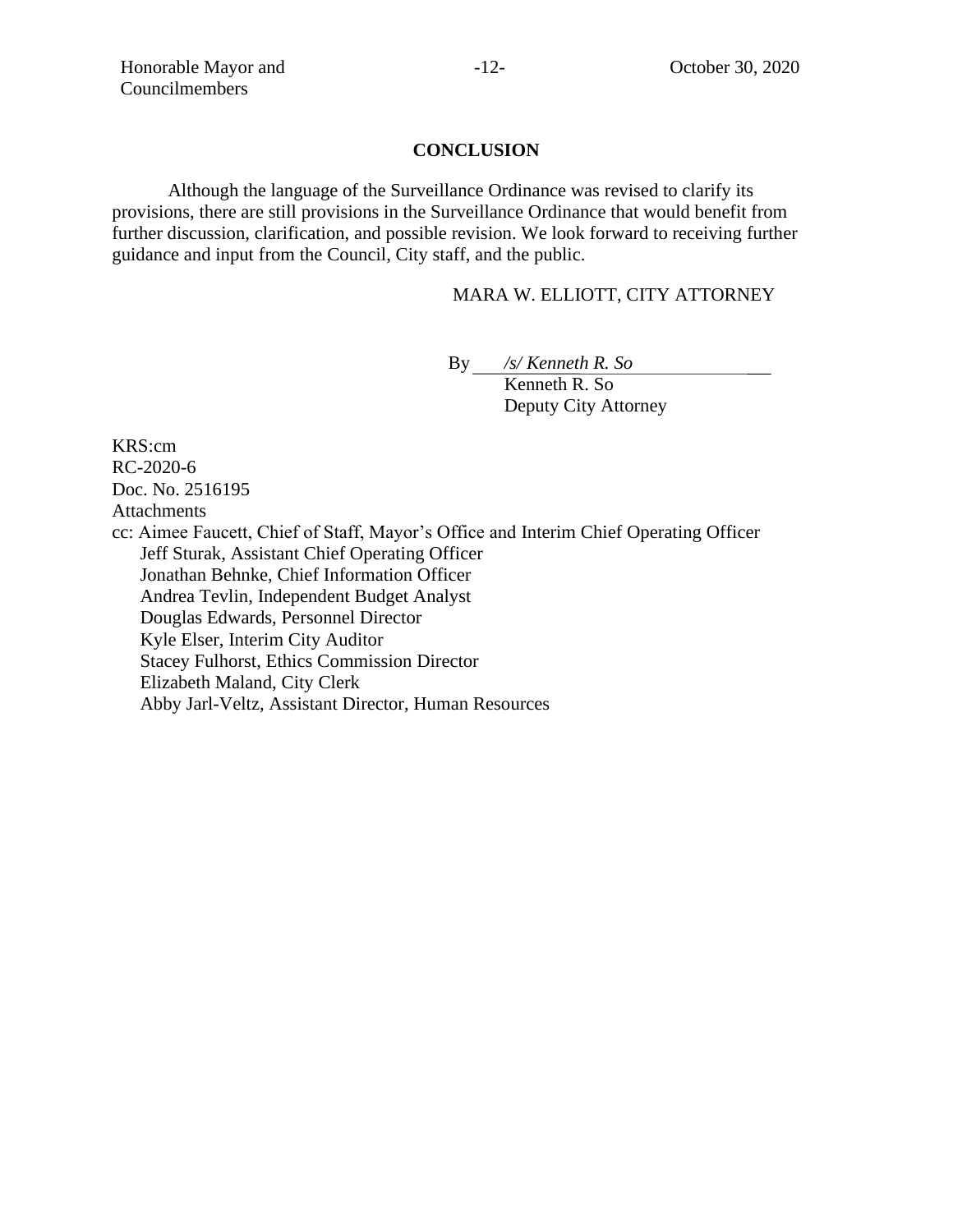#### **CONCLUSION**

Although the language of the Surveillance Ordinance was revised to clarify its provisions, there are still provisions in the Surveillance Ordinance that would benefit from further discussion, clarification, and possible revision. We look forward to receiving further guidance and input from the Council, City staff, and the public.

#### MARA W. ELLIOTT, CITY ATTORNEY

By */s/ Kenneth R. So*

Kenneth R. So Deputy City Attorney

KRS:cm RC-2020-6 Doc. No. 2516195 Attachments cc: Aimee Faucett, Chief of Staff, Mayor's Office and Interim Chief Operating Officer Jeff Sturak, Assistant Chief Operating Officer Jonathan Behnke, Chief Information Officer Andrea Tevlin, Independent Budget Analyst Douglas Edwards, Personnel Director Kyle Elser, Interim City Auditor Stacey Fulhorst, Ethics Commission Director Elizabeth Maland, City Clerk Abby Jarl-Veltz, Assistant Director, Human Resources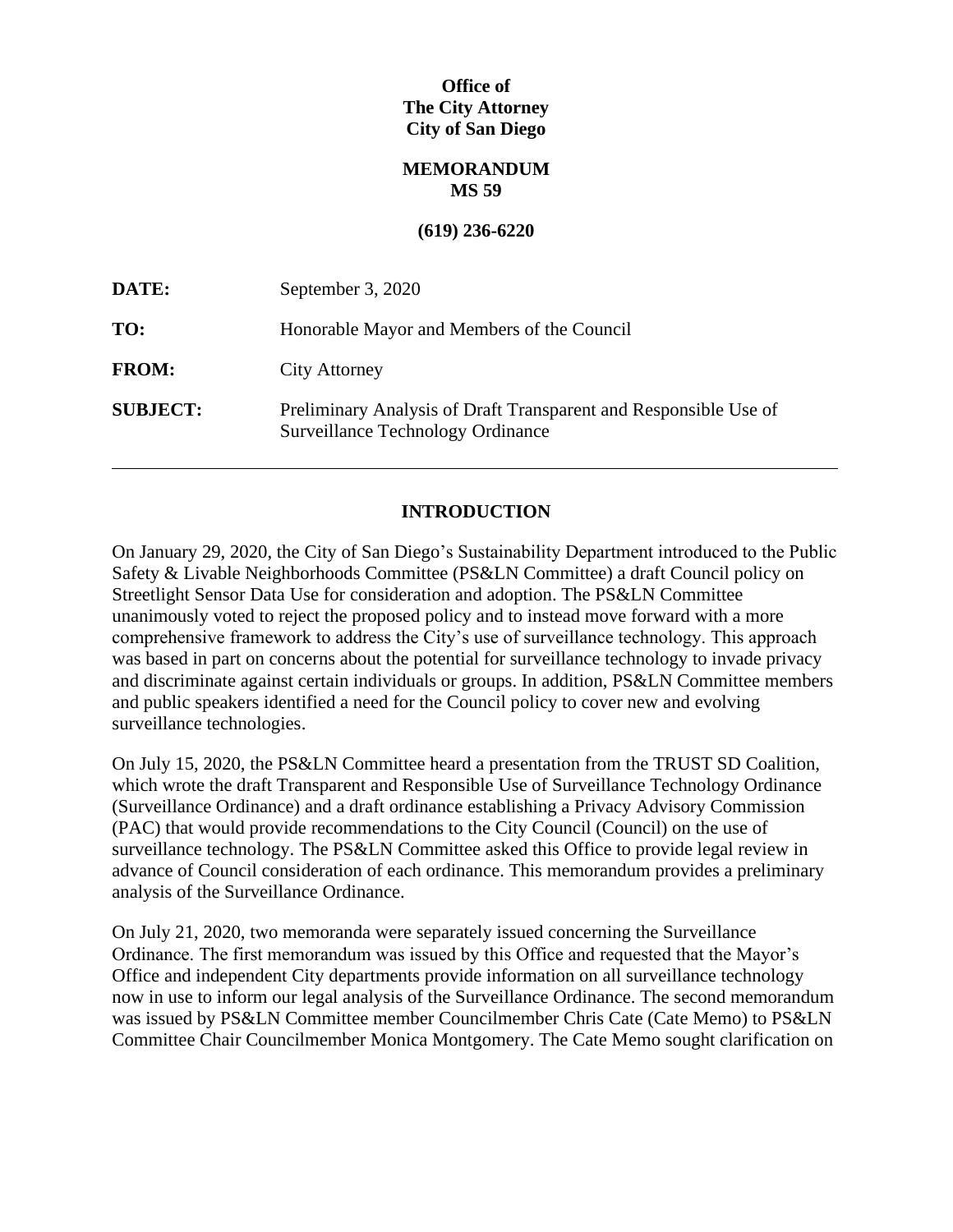# **Office of The City Attorney City of San Diego**

## **MEMORANDUM MS 59**

#### **(619) 236-6220**

| DATE:           | September 3, 2020                                                                                     |
|-----------------|-------------------------------------------------------------------------------------------------------|
| TO:             | Honorable Mayor and Members of the Council                                                            |
| <b>FROM:</b>    | <b>City Attorney</b>                                                                                  |
| <b>SUBJECT:</b> | Preliminary Analysis of Draft Transparent and Responsible Use of<br>Surveillance Technology Ordinance |

## **INTRODUCTION**

On January 29, 2020, the City of San Diego's Sustainability Department introduced to the Public Safety & Livable Neighborhoods Committee (PS&LN Committee) a draft Council policy on Streetlight Sensor Data Use for consideration and adoption. The PS&LN Committee unanimously voted to reject the proposed policy and to instead move forward with a more comprehensive framework to address the City's use of surveillance technology. This approach was based in part on concerns about the potential for surveillance technology to invade privacy and discriminate against certain individuals or groups. In addition, PS&LN Committee members and public speakers identified a need for the Council policy to cover new and evolving surveillance technologies.

On July 15, 2020, the PS&LN Committee heard a presentation from the TRUST SD Coalition, which wrote the draft Transparent and Responsible Use of Surveillance Technology Ordinance (Surveillance Ordinance) and a draft ordinance establishing a Privacy Advisory Commission (PAC) that would provide recommendations to the City Council (Council) on the use of surveillance technology. The PS&LN Committee asked this Office to provide legal review in advance of Council consideration of each ordinance. This memorandum provides a preliminary analysis of the Surveillance Ordinance.

On July 21, 2020, two memoranda were separately issued concerning the Surveillance Ordinance. The first memorandum was issued by this Office and requested that the Mayor's Office and independent City departments provide information on all surveillance technology now in use to inform our legal analysis of the Surveillance Ordinance. The second memorandum was issued by PS&LN Committee member Councilmember Chris Cate (Cate Memo) to PS&LN Committee Chair Councilmember Monica Montgomery. The Cate Memo sought clarification on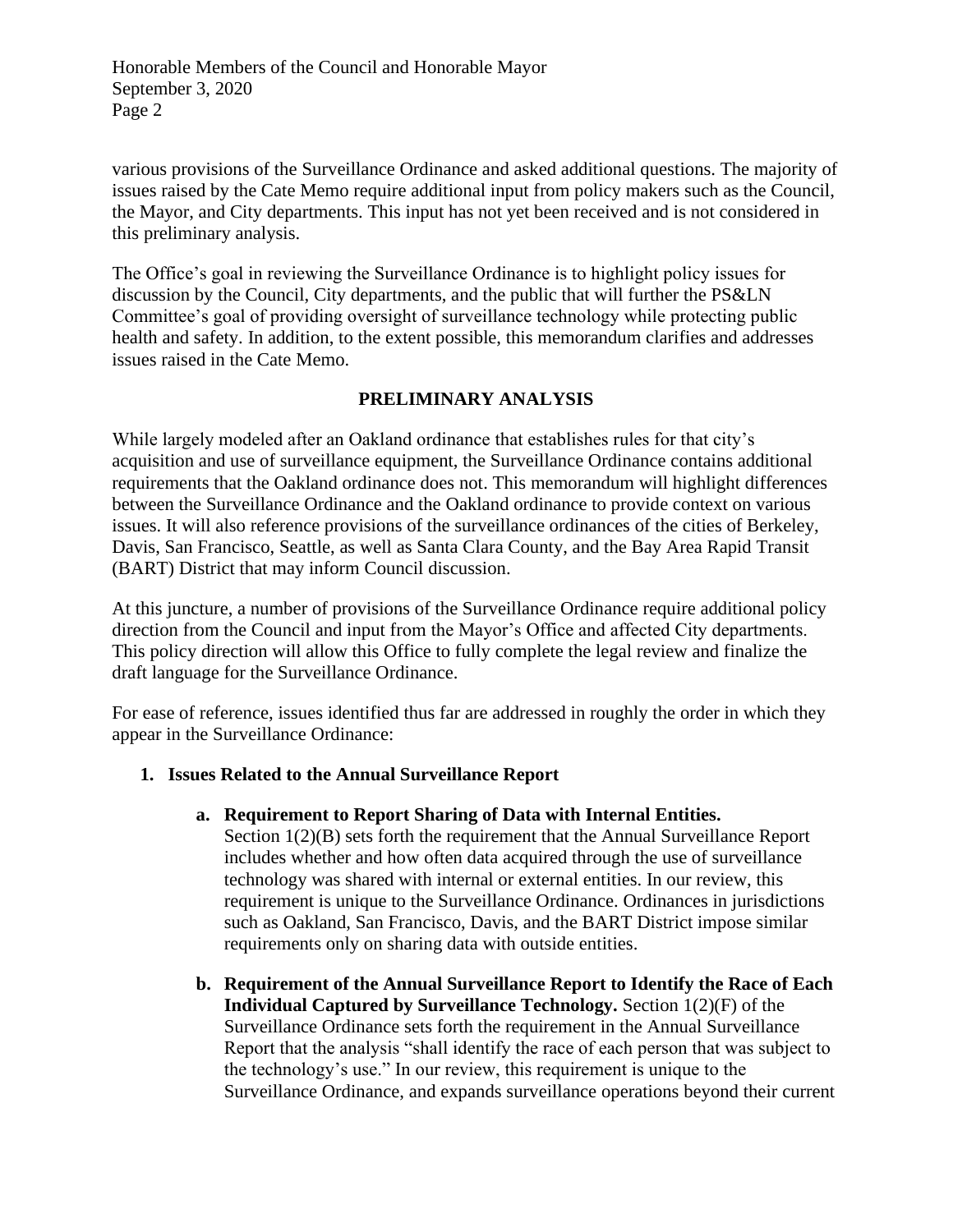various provisions of the Surveillance Ordinance and asked additional questions. The majority of issues raised by the Cate Memo require additional input from policy makers such as the Council, the Mayor, and City departments. This input has not yet been received and is not considered in this preliminary analysis.

The Office's goal in reviewing the Surveillance Ordinance is to highlight policy issues for discussion by the Council, City departments, and the public that will further the PS&LN Committee's goal of providing oversight of surveillance technology while protecting public health and safety. In addition, to the extent possible, this memorandum clarifies and addresses issues raised in the Cate Memo.

# **PRELIMINARY ANALYSIS**

While largely modeled after an Oakland ordinance that establishes rules for that city's acquisition and use of surveillance equipment, the Surveillance Ordinance contains additional requirements that the Oakland ordinance does not. This memorandum will highlight differences between the Surveillance Ordinance and the Oakland ordinance to provide context on various issues. It will also reference provisions of the surveillance ordinances of the cities of Berkeley, Davis, San Francisco, Seattle, as well as Santa Clara County, and the Bay Area Rapid Transit (BART) District that may inform Council discussion.

At this juncture, a number of provisions of the Surveillance Ordinance require additional policy direction from the Council and input from the Mayor's Office and affected City departments. This policy direction will allow this Office to fully complete the legal review and finalize the draft language for the Surveillance Ordinance.

For ease of reference, issues identified thus far are addressed in roughly the order in which they appear in the Surveillance Ordinance:

#### **1. Issues Related to the Annual Surveillance Report**

#### **a. Requirement to Report Sharing of Data with Internal Entities.**

Section 1(2)(B) sets forth the requirement that the Annual Surveillance Report includes whether and how often data acquired through the use of surveillance technology was shared with internal or external entities. In our review, this requirement is unique to the Surveillance Ordinance. Ordinances in jurisdictions such as Oakland, San Francisco, Davis, and the BART District impose similar requirements only on sharing data with outside entities.

**b. Requirement of the Annual Surveillance Report to Identify the Race of Each Individual Captured by Surveillance Technology.** Section 1(2)(F) of the Surveillance Ordinance sets forth the requirement in the Annual Surveillance Report that the analysis "shall identify the race of each person that was subject to the technology's use." In our review, this requirement is unique to the Surveillance Ordinance, and expands surveillance operations beyond their current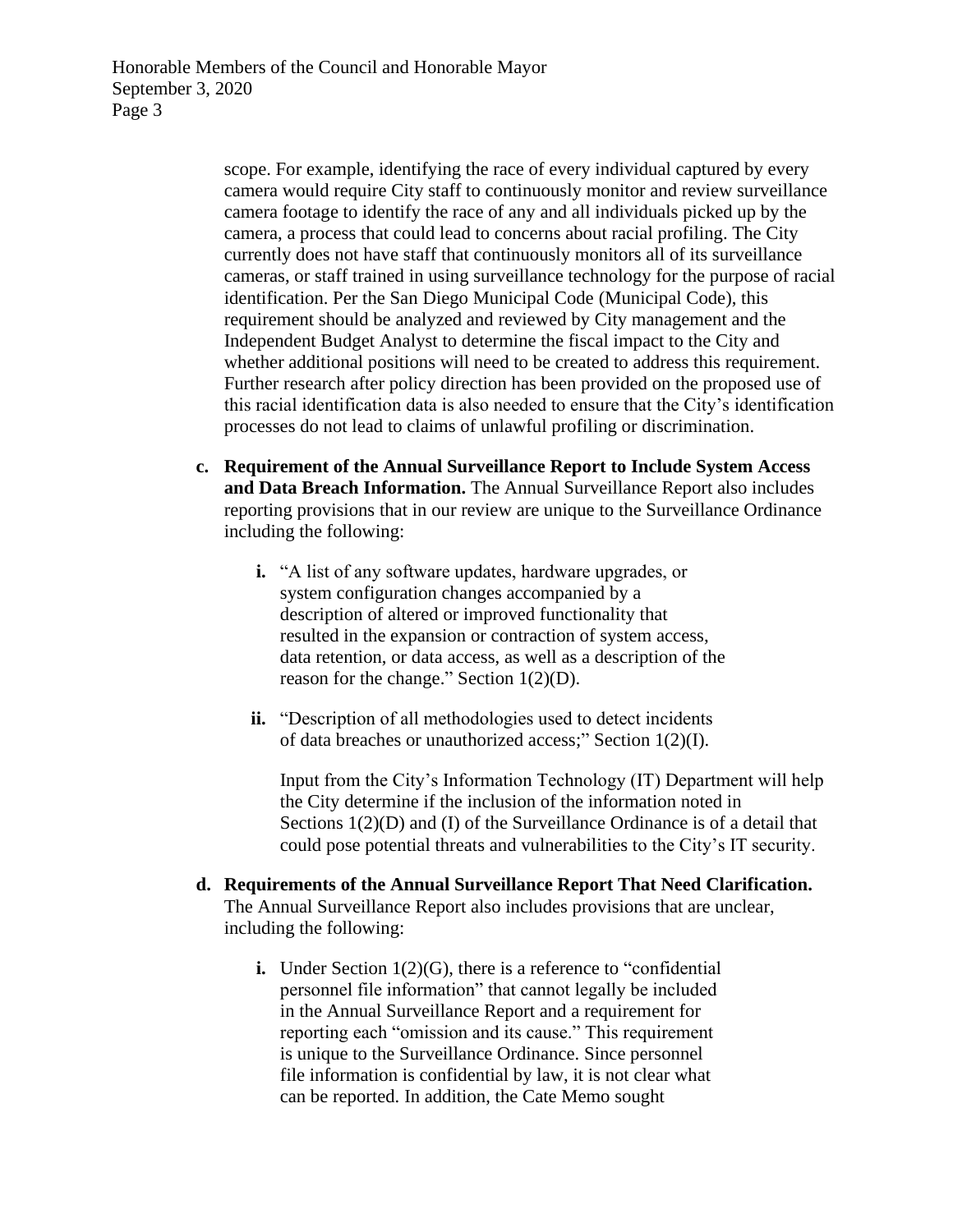scope. For example, identifying the race of every individual captured by every camera would require City staff to continuously monitor and review surveillance camera footage to identify the race of any and all individuals picked up by the camera, a process that could lead to concerns about racial profiling. The City currently does not have staff that continuously monitors all of its surveillance cameras, or staff trained in using surveillance technology for the purpose of racial identification. Per the San Diego Municipal Code (Municipal Code), this requirement should be analyzed and reviewed by City management and the Independent Budget Analyst to determine the fiscal impact to the City and whether additional positions will need to be created to address this requirement. Further research after policy direction has been provided on the proposed use of this racial identification data is also needed to ensure that the City's identification processes do not lead to claims of unlawful profiling or discrimination.

- **c. Requirement of the Annual Surveillance Report to Include System Access and Data Breach Information.** The Annual Surveillance Report also includes reporting provisions that in our review are unique to the Surveillance Ordinance including the following:
	- **i.** "A list of any software updates, hardware upgrades, or system configuration changes accompanied by a description of altered or improved functionality that resulted in the expansion or contraction of system access, data retention, or data access, as well as a description of the reason for the change." Section 1(2)(D).
	- **ii.** "Description of all methodologies used to detect incidents of data breaches or unauthorized access;" Section 1(2)(I).

Input from the City's Information Technology (IT) Department will help the City determine if the inclusion of the information noted in Sections 1(2)(D) and (I) of the Surveillance Ordinance is of a detail that could pose potential threats and vulnerabilities to the City's IT security.

- **d. Requirements of the Annual Surveillance Report That Need Clarification.** The Annual Surveillance Report also includes provisions that are unclear, including the following:
	- **i.** Under Section 1(2)(G), there is a reference to "confidential personnel file information" that cannot legally be included in the Annual Surveillance Report and a requirement for reporting each "omission and its cause." This requirement is unique to the Surveillance Ordinance. Since personnel file information is confidential by law, it is not clear what can be reported. In addition, the Cate Memo sought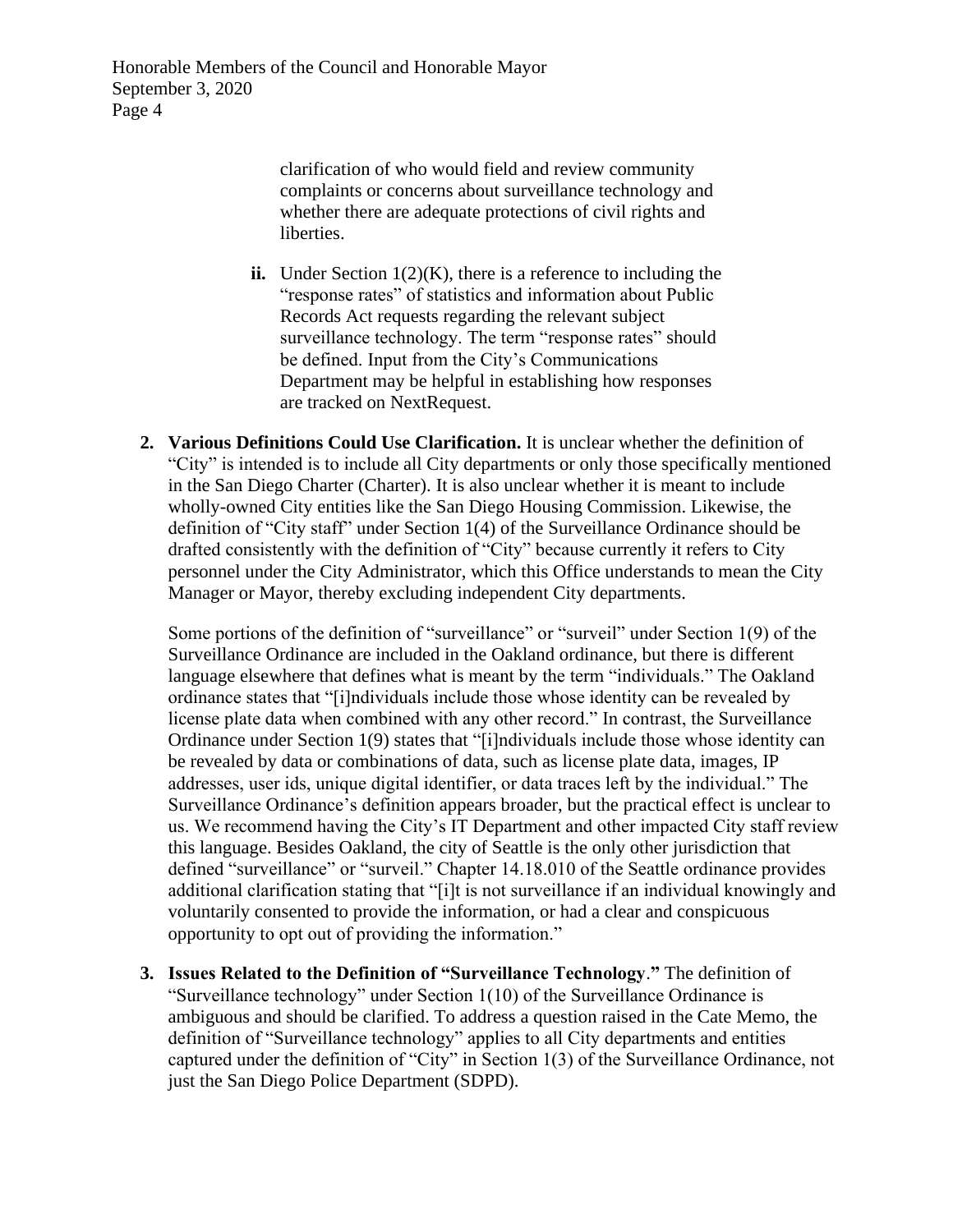> clarification of who would field and review community complaints or concerns about surveillance technology and whether there are adequate protections of civil rights and liberties.

- **ii.** Under Section 1(2)(K), there is a reference to including the "response rates" of statistics and information about Public Records Act requests regarding the relevant subject surveillance technology. The term "response rates" should be defined. Input from the City's Communications Department may be helpful in establishing how responses are tracked on NextRequest.
- **2. Various Definitions Could Use Clarification.** It is unclear whether the definition of "City" is intended is to include all City departments or only those specifically mentioned in the San Diego Charter (Charter). It is also unclear whether it is meant to include wholly-owned City entities like the San Diego Housing Commission. Likewise, the definition of "City staff" under Section 1(4) of the Surveillance Ordinance should be drafted consistently with the definition of "City" because currently it refers to City personnel under the City Administrator, which this Office understands to mean the City Manager or Mayor, thereby excluding independent City departments.

Some portions of the definition of "surveillance" or "surveil" under Section 1(9) of the Surveillance Ordinance are included in the Oakland ordinance, but there is different language elsewhere that defines what is meant by the term "individuals." The Oakland ordinance states that "[i]ndividuals include those whose identity can be revealed by license plate data when combined with any other record." In contrast, the Surveillance Ordinance under Section 1(9) states that "[i]ndividuals include those whose identity can be revealed by data or combinations of data, such as license plate data, images, IP addresses, user ids, unique digital identifier, or data traces left by the individual." The Surveillance Ordinance's definition appears broader, but the practical effect is unclear to us. We recommend having the City's IT Department and other impacted City staff review this language. Besides Oakland, the city of Seattle is the only other jurisdiction that defined "surveillance" or "surveil." Chapter 14.18.010 of the Seattle ordinance provides additional clarification stating that "[i]t is not surveillance if an individual knowingly and voluntarily consented to provide the information, or had a clear and conspicuous opportunity to opt out of providing the information."

**3. Issues Related to the Definition of "Surveillance Technology**.**"** The definition of "Surveillance technology" under Section 1(10) of the Surveillance Ordinance is ambiguous and should be clarified. To address a question raised in the Cate Memo, the definition of "Surveillance technology" applies to all City departments and entities captured under the definition of "City" in Section 1(3) of the Surveillance Ordinance, not just the San Diego Police Department (SDPD).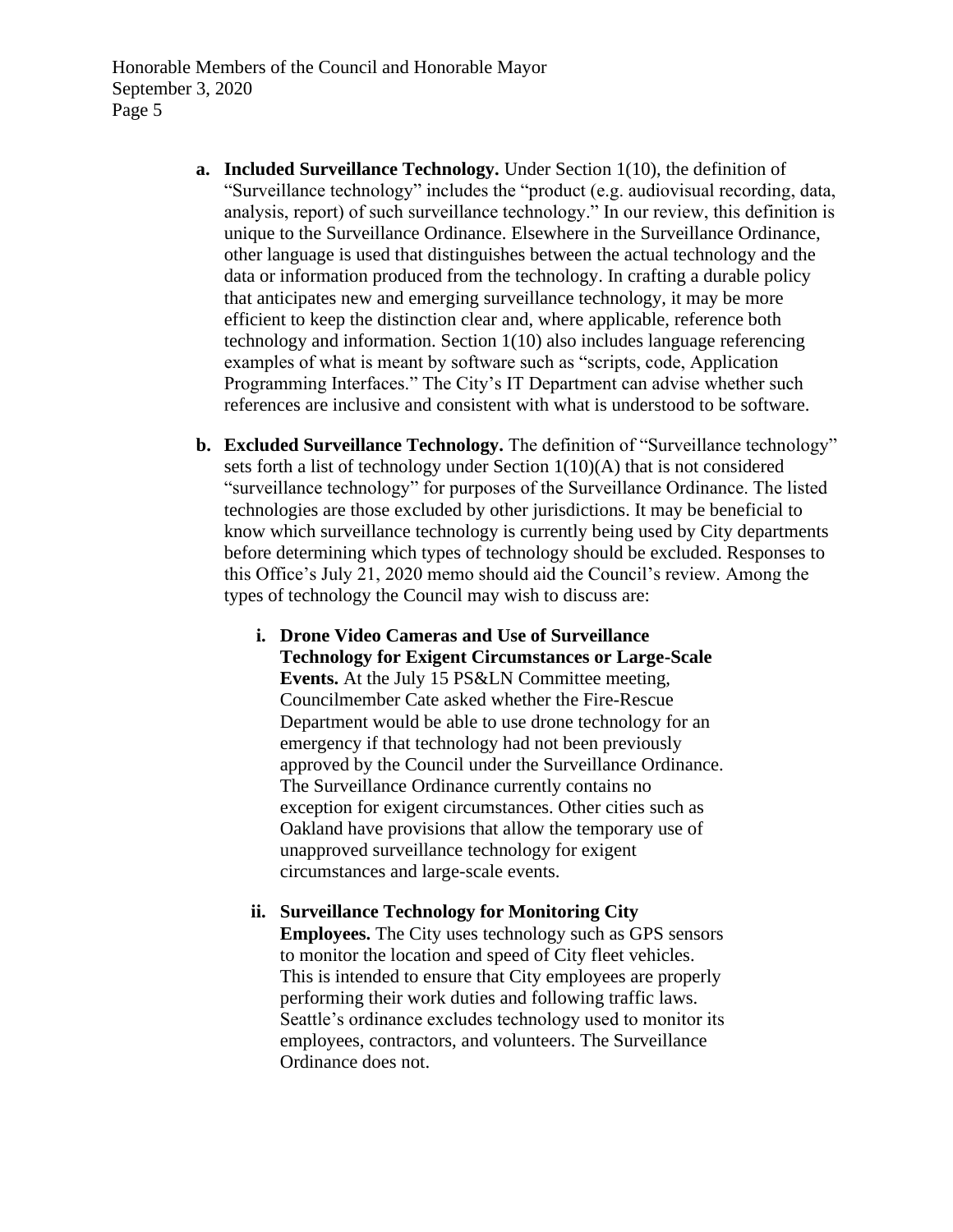- **a. Included Surveillance Technology.** Under Section 1(10), the definition of "Surveillance technology" includes the "product (e.g. audiovisual recording, data, analysis, report) of such surveillance technology." In our review, this definition is unique to the Surveillance Ordinance. Elsewhere in the Surveillance Ordinance, other language is used that distinguishes between the actual technology and the data or information produced from the technology. In crafting a durable policy that anticipates new and emerging surveillance technology, it may be more efficient to keep the distinction clear and, where applicable, reference both technology and information. Section 1(10) also includes language referencing examples of what is meant by software such as "scripts, code, Application Programming Interfaces." The City's IT Department can advise whether such references are inclusive and consistent with what is understood to be software.
- **b. Excluded Surveillance Technology.** The definition of "Surveillance technology" sets forth a list of technology under Section 1(10)(A) that is not considered "surveillance technology" for purposes of the Surveillance Ordinance. The listed technologies are those excluded by other jurisdictions. It may be beneficial to know which surveillance technology is currently being used by City departments before determining which types of technology should be excluded. Responses to this Office's July 21, 2020 memo should aid the Council's review. Among the types of technology the Council may wish to discuss are:
	- **i. Drone Video Cameras and Use of Surveillance Technology for Exigent Circumstances or Large-Scale Events.** At the July 15 PS&LN Committee meeting, Councilmember Cate asked whether the Fire-Rescue Department would be able to use drone technology for an emergency if that technology had not been previously approved by the Council under the Surveillance Ordinance. The Surveillance Ordinance currently contains no exception for exigent circumstances. Other cities such as Oakland have provisions that allow the temporary use of unapproved surveillance technology for exigent circumstances and large-scale events.
	- **ii. Surveillance Technology for Monitoring City Employees.** The City uses technology such as GPS sensors to monitor the location and speed of City fleet vehicles. This is intended to ensure that City employees are properly performing their work duties and following traffic laws. Seattle's ordinance excludes technology used to monitor its employees, contractors, and volunteers. The Surveillance Ordinance does not.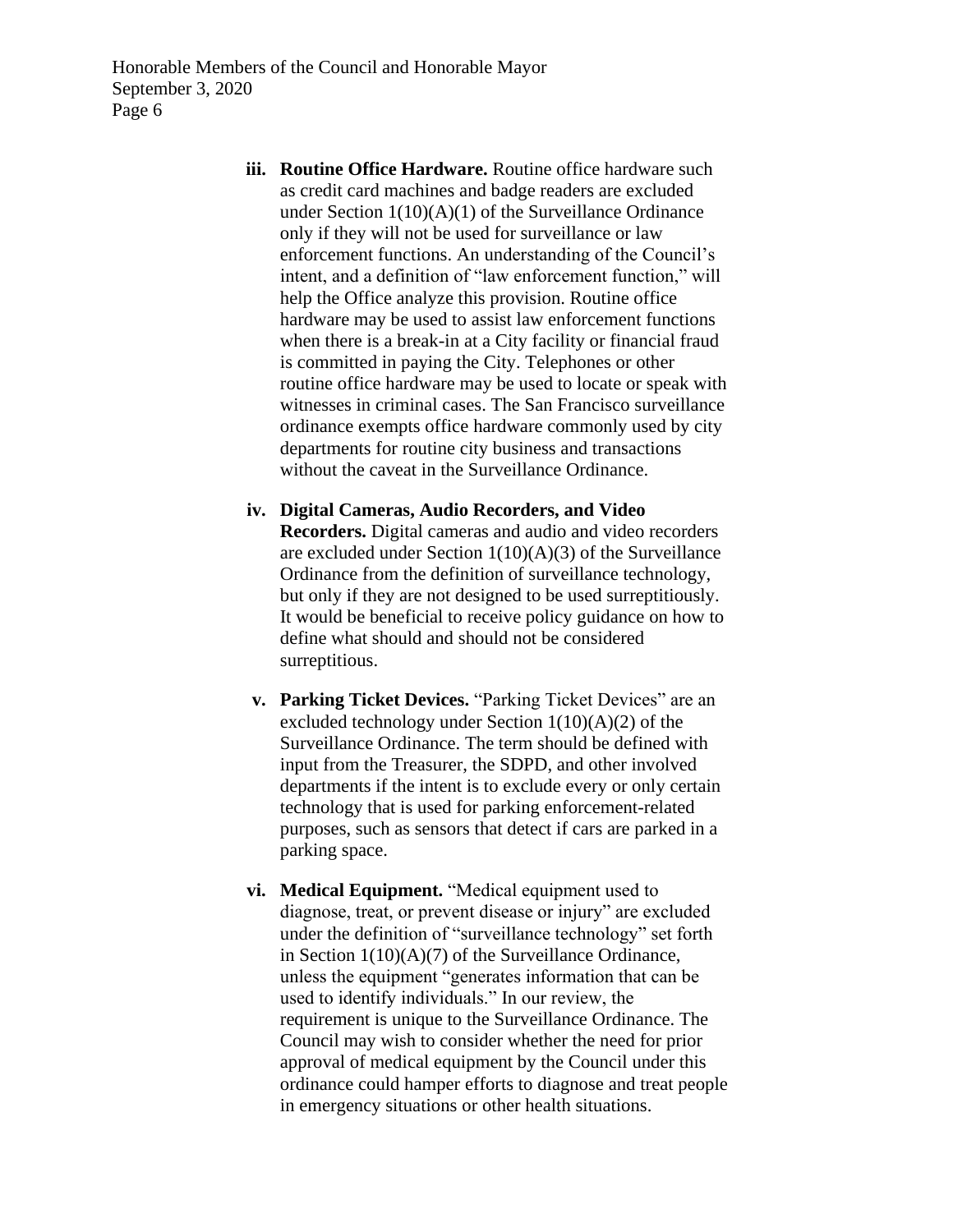- **iii. Routine Office Hardware.** Routine office hardware such as credit card machines and badge readers are excluded under Section 1(10)(A)(1) of the Surveillance Ordinance only if they will not be used for surveillance or law enforcement functions. An understanding of the Council's intent, and a definition of "law enforcement function," will help the Office analyze this provision. Routine office hardware may be used to assist law enforcement functions when there is a break-in at a City facility or financial fraud is committed in paying the City. Telephones or other routine office hardware may be used to locate or speak with witnesses in criminal cases. The San Francisco surveillance ordinance exempts office hardware commonly used by city departments for routine city business and transactions without the caveat in the Surveillance Ordinance.
- **iv. Digital Cameras, Audio Recorders, and Video Recorders.** Digital cameras and audio and video recorders are excluded under Section 1(10)(A)(3) of the Surveillance Ordinance from the definition of surveillance technology, but only if they are not designed to be used surreptitiously. It would be beneficial to receive policy guidance on how to define what should and should not be considered surreptitious.
- **v. Parking Ticket Devices.** "Parking Ticket Devices" are an excluded technology under Section 1(10)(A)(2) of the Surveillance Ordinance. The term should be defined with input from the Treasurer, the SDPD, and other involved departments if the intent is to exclude every or only certain technology that is used for parking enforcement-related purposes, such as sensors that detect if cars are parked in a parking space.
- **vi. Medical Equipment.** "Medical equipment used to diagnose, treat, or prevent disease or injury" are excluded under the definition of "surveillance technology" set forth in Section 1(10)(A)(7) of the Surveillance Ordinance, unless the equipment "generates information that can be used to identify individuals." In our review, the requirement is unique to the Surveillance Ordinance. The Council may wish to consider whether the need for prior approval of medical equipment by the Council under this ordinance could hamper efforts to diagnose and treat people in emergency situations or other health situations.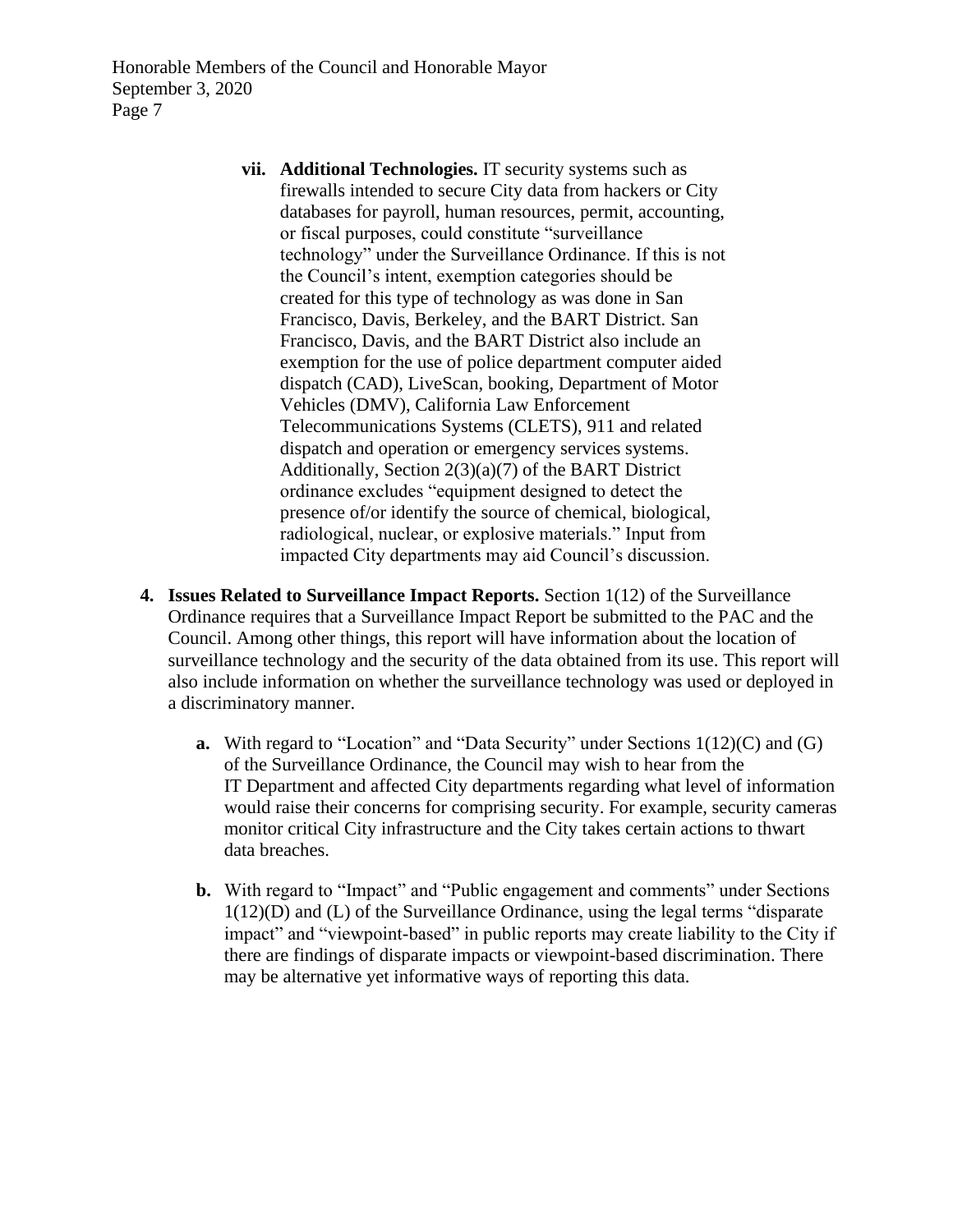- **vii. Additional Technologies.** IT security systems such as firewalls intended to secure City data from hackers or City databases for payroll, human resources, permit, accounting, or fiscal purposes, could constitute "surveillance technology" under the Surveillance Ordinance. If this is not the Council's intent, exemption categories should be created for this type of technology as was done in San Francisco, Davis, Berkeley, and the BART District. San Francisco, Davis, and the BART District also include an exemption for the use of police department computer aided dispatch (CAD), LiveScan, booking, Department of Motor Vehicles (DMV), California Law Enforcement Telecommunications Systems (CLETS), 911 and related dispatch and operation or emergency services systems. Additionally, Section 2(3)(a)(7) of the BART District ordinance excludes "equipment designed to detect the presence of/or identify the source of chemical, biological, radiological, nuclear, or explosive materials." Input from impacted City departments may aid Council's discussion.
- **4. Issues Related to Surveillance Impact Reports.** Section 1(12) of the Surveillance Ordinance requires that a Surveillance Impact Report be submitted to the PAC and the Council. Among other things, this report will have information about the location of surveillance technology and the security of the data obtained from its use. This report will also include information on whether the surveillance technology was used or deployed in a discriminatory manner.
	- **a.** With regard to "Location" and "Data Security" under Sections 1(12)(C) and (G) of the Surveillance Ordinance, the Council may wish to hear from the IT Department and affected City departments regarding what level of information would raise their concerns for comprising security. For example, security cameras monitor critical City infrastructure and the City takes certain actions to thwart data breaches.
	- **b.** With regard to "Impact" and "Public engagement and comments" under Sections 1(12)(D) and (L) of the Surveillance Ordinance, using the legal terms "disparate impact" and "viewpoint-based" in public reports may create liability to the City if there are findings of disparate impacts or viewpoint-based discrimination. There may be alternative yet informative ways of reporting this data.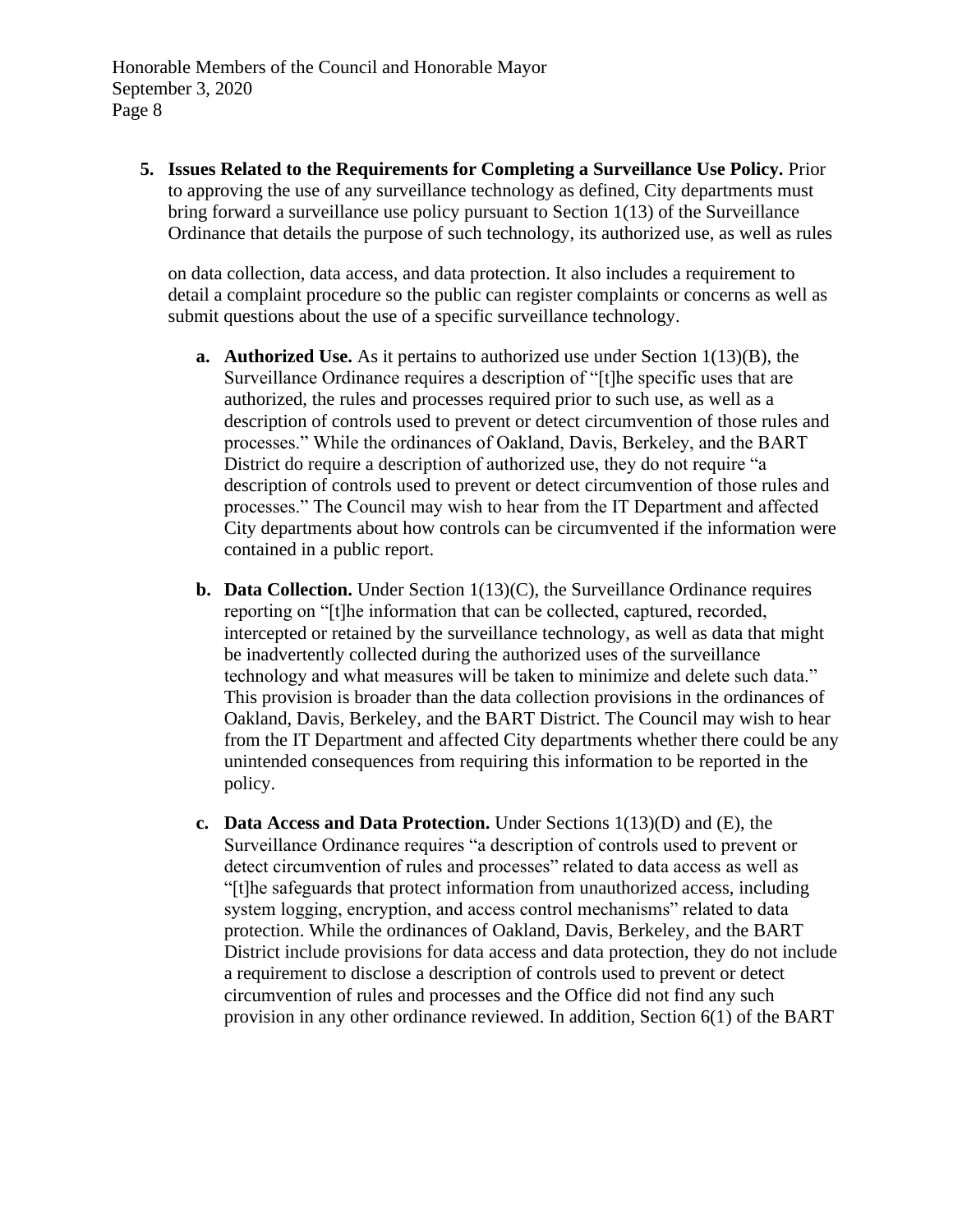**5. Issues Related to the Requirements for Completing a Surveillance Use Policy.** Prior to approving the use of any surveillance technology as defined, City departments must bring forward a surveillance use policy pursuant to Section 1(13) of the Surveillance Ordinance that details the purpose of such technology, its authorized use, as well as rules

on data collection, data access, and data protection. It also includes a requirement to detail a complaint procedure so the public can register complaints or concerns as well as submit questions about the use of a specific surveillance technology.

- **a. Authorized Use.** As it pertains to authorized use under Section 1(13)(B), the Surveillance Ordinance requires a description of "[t]he specific uses that are authorized, the rules and processes required prior to such use, as well as a description of controls used to prevent or detect circumvention of those rules and processes." While the ordinances of Oakland, Davis, Berkeley, and the BART District do require a description of authorized use, they do not require "a description of controls used to prevent or detect circumvention of those rules and processes." The Council may wish to hear from the IT Department and affected City departments about how controls can be circumvented if the information were contained in a public report.
- **b. Data Collection.** Under Section 1(13)(C), the Surveillance Ordinance requires reporting on "[t]he information that can be collected, captured, recorded, intercepted or retained by the surveillance technology, as well as data that might be inadvertently collected during the authorized uses of the surveillance technology and what measures will be taken to minimize and delete such data." This provision is broader than the data collection provisions in the ordinances of Oakland, Davis, Berkeley, and the BART District. The Council may wish to hear from the IT Department and affected City departments whether there could be any unintended consequences from requiring this information to be reported in the policy.
- **c. Data Access and Data Protection.** Under Sections 1(13)(D) and (E), the Surveillance Ordinance requires "a description of controls used to prevent or detect circumvention of rules and processes" related to data access as well as "[t]he safeguards that protect information from unauthorized access, including system logging, encryption, and access control mechanisms" related to data protection. While the ordinances of Oakland, Davis, Berkeley, and the BART District include provisions for data access and data protection, they do not include a requirement to disclose a description of controls used to prevent or detect circumvention of rules and processes and the Office did not find any such provision in any other ordinance reviewed. In addition, Section 6(1) of the BART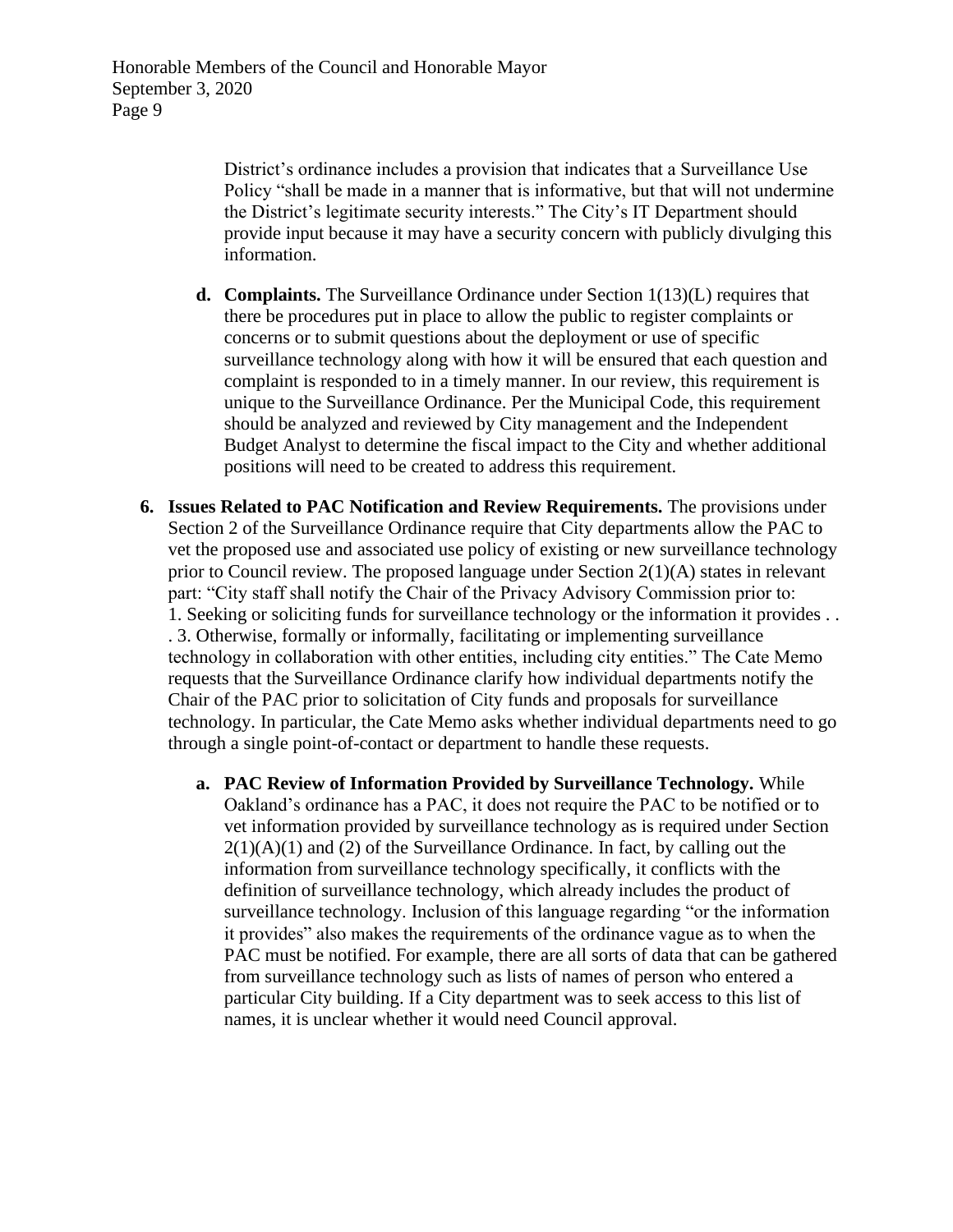District's ordinance includes a provision that indicates that a Surveillance Use Policy "shall be made in a manner that is informative, but that will not undermine the District's legitimate security interests." The City's IT Department should provide input because it may have a security concern with publicly divulging this information.

- **d. Complaints.** The Surveillance Ordinance under Section 1(13)(L) requires that there be procedures put in place to allow the public to register complaints or concerns or to submit questions about the deployment or use of specific surveillance technology along with how it will be ensured that each question and complaint is responded to in a timely manner. In our review, this requirement is unique to the Surveillance Ordinance. Per the Municipal Code, this requirement should be analyzed and reviewed by City management and the Independent Budget Analyst to determine the fiscal impact to the City and whether additional positions will need to be created to address this requirement.
- **6. Issues Related to PAC Notification and Review Requirements.** The provisions under Section 2 of the Surveillance Ordinance require that City departments allow the PAC to vet the proposed use and associated use policy of existing or new surveillance technology prior to Council review. The proposed language under Section  $2(1)(A)$  states in relevant part: "City staff shall notify the Chair of the Privacy Advisory Commission prior to: 1. Seeking or soliciting funds for surveillance technology or the information it provides . . . 3. Otherwise, formally or informally, facilitating or implementing surveillance technology in collaboration with other entities, including city entities." The Cate Memo requests that the Surveillance Ordinance clarify how individual departments notify the Chair of the PAC prior to solicitation of City funds and proposals for surveillance technology. In particular, the Cate Memo asks whether individual departments need to go through a single point-of-contact or department to handle these requests.
	- **a. PAC Review of Information Provided by Surveillance Technology.** While Oakland's ordinance has a PAC, it does not require the PAC to be notified or to vet information provided by surveillance technology as is required under Section  $2(1)(A)(1)$  and (2) of the Surveillance Ordinance. In fact, by calling out the information from surveillance technology specifically, it conflicts with the definition of surveillance technology, which already includes the product of surveillance technology. Inclusion of this language regarding "or the information it provides" also makes the requirements of the ordinance vague as to when the PAC must be notified. For example, there are all sorts of data that can be gathered from surveillance technology such as lists of names of person who entered a particular City building. If a City department was to seek access to this list of names, it is unclear whether it would need Council approval.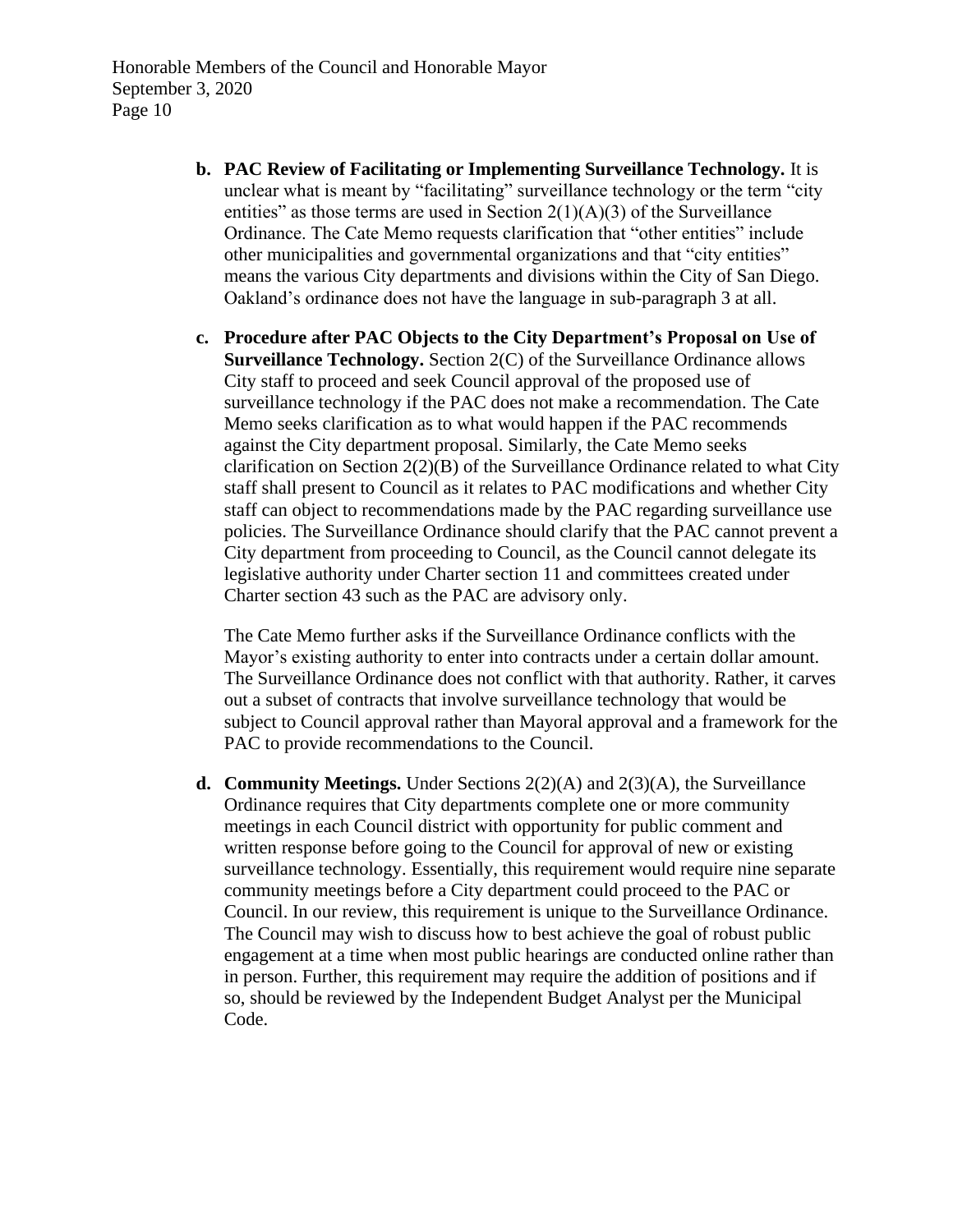- **b. PAC Review of Facilitating or Implementing Surveillance Technology.** It is unclear what is meant by "facilitating" surveillance technology or the term "city entities" as those terms are used in Section  $2(1)(A)(3)$  of the Surveillance Ordinance. The Cate Memo requests clarification that "other entities" include other municipalities and governmental organizations and that "city entities" means the various City departments and divisions within the City of San Diego. Oakland's ordinance does not have the language in sub-paragraph 3 at all.
- **c. Procedure after PAC Objects to the City Department's Proposal on Use of Surveillance Technology.** Section 2(C) of the Surveillance Ordinance allows City staff to proceed and seek Council approval of the proposed use of surveillance technology if the PAC does not make a recommendation. The Cate Memo seeks clarification as to what would happen if the PAC recommends against the City department proposal. Similarly, the Cate Memo seeks clarification on Section  $2(2)(B)$  of the Surveillance Ordinance related to what City staff shall present to Council as it relates to PAC modifications and whether City staff can object to recommendations made by the PAC regarding surveillance use policies. The Surveillance Ordinance should clarify that the PAC cannot prevent a City department from proceeding to Council, as the Council cannot delegate its legislative authority under Charter section 11 and committees created under Charter section 43 such as the PAC are advisory only.

The Cate Memo further asks if the Surveillance Ordinance conflicts with the Mayor's existing authority to enter into contracts under a certain dollar amount. The Surveillance Ordinance does not conflict with that authority. Rather, it carves out a subset of contracts that involve surveillance technology that would be subject to Council approval rather than Mayoral approval and a framework for the PAC to provide recommendations to the Council.

**d. Community Meetings.** Under Sections 2(2)(A) and 2(3)(A), the Surveillance Ordinance requires that City departments complete one or more community meetings in each Council district with opportunity for public comment and written response before going to the Council for approval of new or existing surveillance technology. Essentially, this requirement would require nine separate community meetings before a City department could proceed to the PAC or Council. In our review, this requirement is unique to the Surveillance Ordinance. The Council may wish to discuss how to best achieve the goal of robust public engagement at a time when most public hearings are conducted online rather than in person. Further, this requirement may require the addition of positions and if so, should be reviewed by the Independent Budget Analyst per the Municipal Code.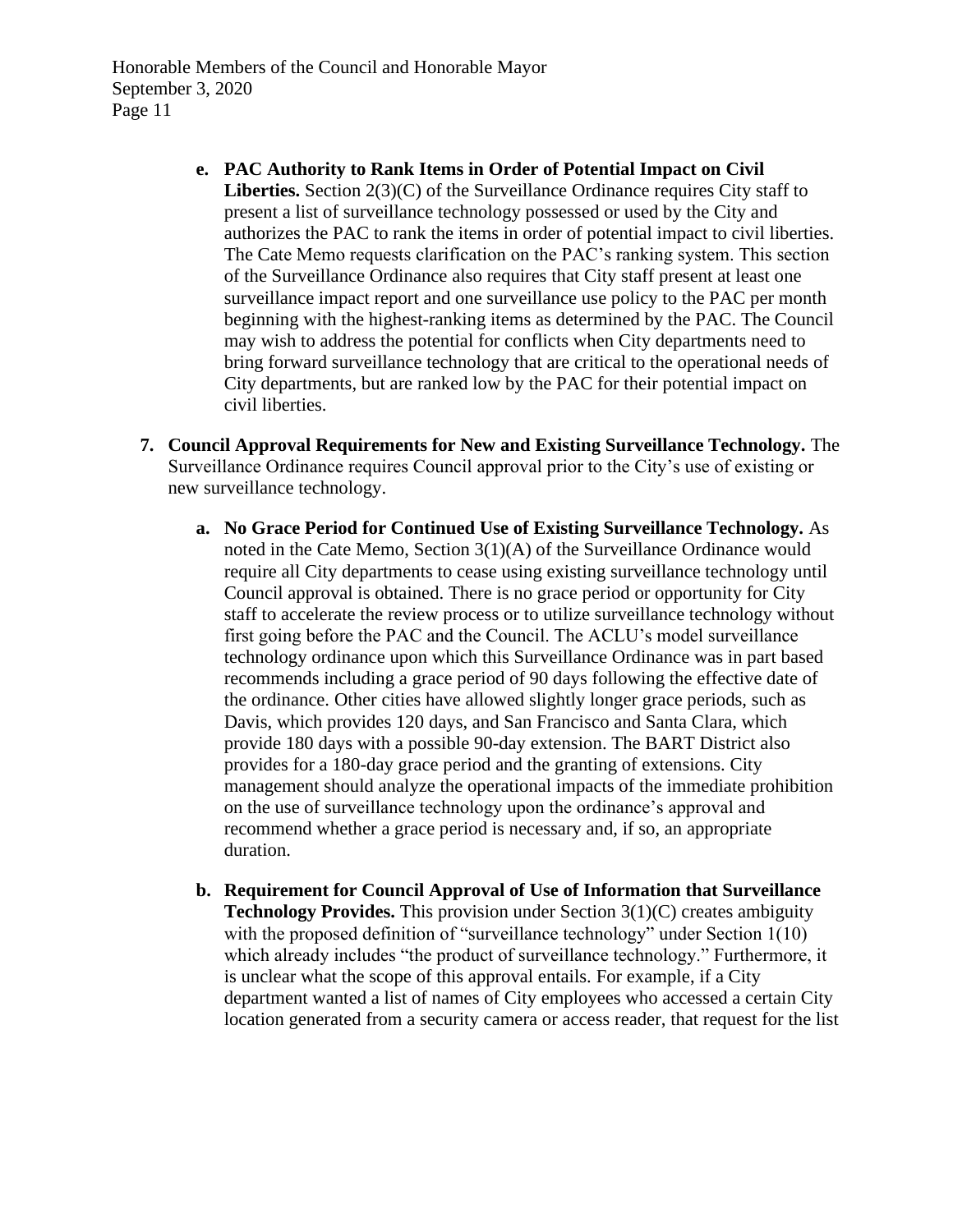- **e. PAC Authority to Rank Items in Order of Potential Impact on Civil**  Liberties. Section 2(3)(C) of the Surveillance Ordinance requires City staff to present a list of surveillance technology possessed or used by the City and authorizes the PAC to rank the items in order of potential impact to civil liberties. The Cate Memo requests clarification on the PAC's ranking system. This section of the Surveillance Ordinance also requires that City staff present at least one surveillance impact report and one surveillance use policy to the PAC per month beginning with the highest-ranking items as determined by the PAC. The Council may wish to address the potential for conflicts when City departments need to bring forward surveillance technology that are critical to the operational needs of City departments, but are ranked low by the PAC for their potential impact on civil liberties.
- **7. Council Approval Requirements for New and Existing Surveillance Technology.** The Surveillance Ordinance requires Council approval prior to the City's use of existing or new surveillance technology.
	- **a. No Grace Period for Continued Use of Existing Surveillance Technology.** As noted in the Cate Memo, Section 3(1)(A) of the Surveillance Ordinance would require all City departments to cease using existing surveillance technology until Council approval is obtained. There is no grace period or opportunity for City staff to accelerate the review process or to utilize surveillance technology without first going before the PAC and the Council. The ACLU's model surveillance technology ordinance upon which this Surveillance Ordinance was in part based recommends including a grace period of 90 days following the effective date of the ordinance. Other cities have allowed slightly longer grace periods, such as Davis, which provides 120 days, and San Francisco and Santa Clara, which provide 180 days with a possible 90-day extension. The BART District also provides for a 180-day grace period and the granting of extensions. City management should analyze the operational impacts of the immediate prohibition on the use of surveillance technology upon the ordinance's approval and recommend whether a grace period is necessary and, if so, an appropriate duration.
	- **b. Requirement for Council Approval of Use of Information that Surveillance Technology Provides.** This provision under Section 3(1)(C) creates ambiguity with the proposed definition of "surveillance technology" under Section 1(10) which already includes "the product of surveillance technology." Furthermore, it is unclear what the scope of this approval entails. For example, if a City department wanted a list of names of City employees who accessed a certain City location generated from a security camera or access reader, that request for the list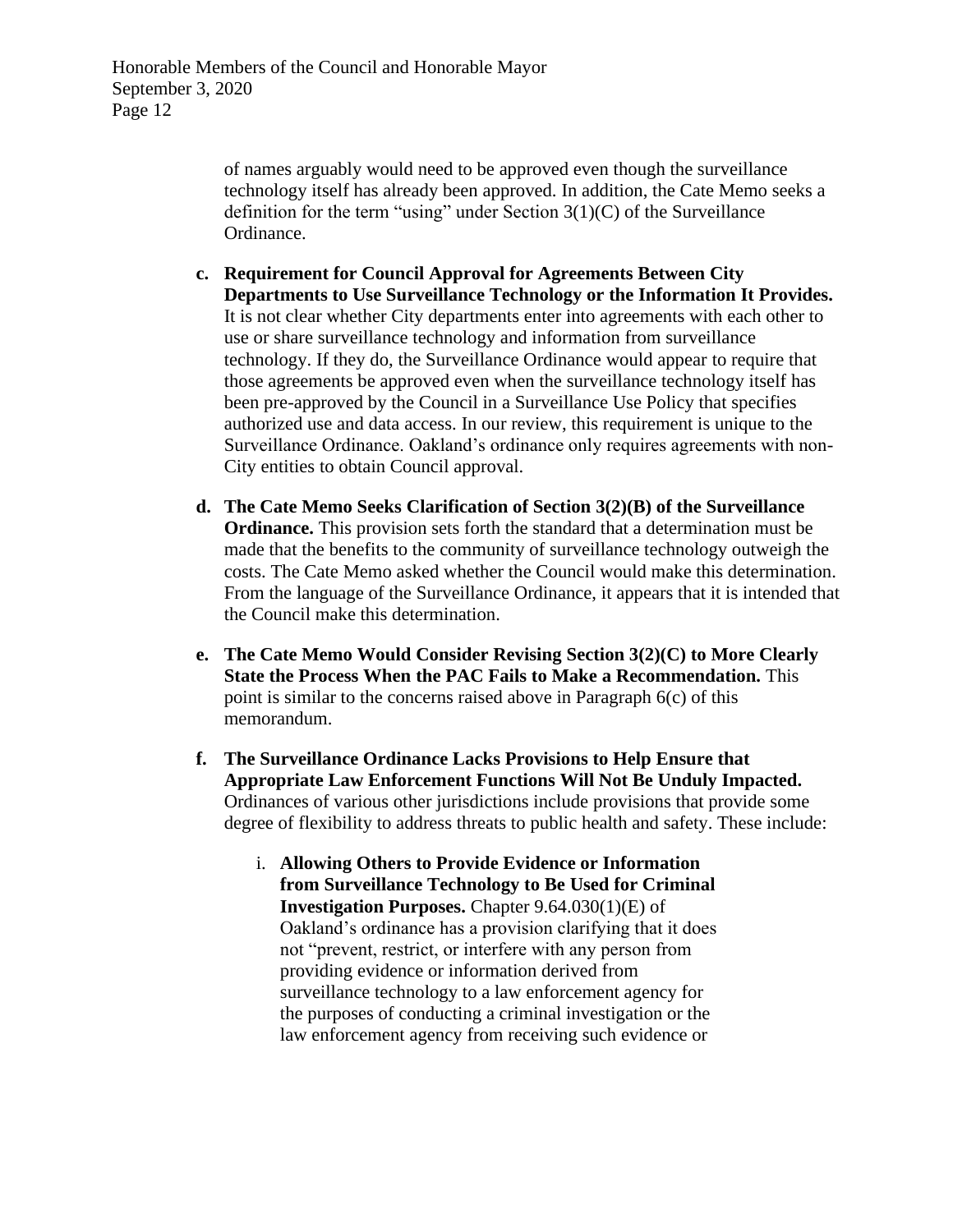of names arguably would need to be approved even though the surveillance technology itself has already been approved. In addition, the Cate Memo seeks a definition for the term "using" under Section  $3(1)(C)$  of the Surveillance Ordinance.

- **c. Requirement for Council Approval for Agreements Between City Departments to Use Surveillance Technology or the Information It Provides.** It is not clear whether City departments enter into agreements with each other to use or share surveillance technology and information from surveillance technology. If they do, the Surveillance Ordinance would appear to require that those agreements be approved even when the surveillance technology itself has been pre-approved by the Council in a Surveillance Use Policy that specifies authorized use and data access. In our review, this requirement is unique to the Surveillance Ordinance. Oakland's ordinance only requires agreements with non-City entities to obtain Council approval.
- **d. The Cate Memo Seeks Clarification of Section 3(2)(B) of the Surveillance Ordinance.** This provision sets forth the standard that a determination must be made that the benefits to the community of surveillance technology outweigh the costs. The Cate Memo asked whether the Council would make this determination. From the language of the Surveillance Ordinance, it appears that it is intended that the Council make this determination.
- **e. The Cate Memo Would Consider Revising Section 3(2)(C) to More Clearly State the Process When the PAC Fails to Make a Recommendation.** This point is similar to the concerns raised above in Paragraph 6(c) of this memorandum.
- **f. The Surveillance Ordinance Lacks Provisions to Help Ensure that Appropriate Law Enforcement Functions Will Not Be Unduly Impacted.** Ordinances of various other jurisdictions include provisions that provide some degree of flexibility to address threats to public health and safety. These include:
	- i. **Allowing Others to Provide Evidence or Information from Surveillance Technology to Be Used for Criminal Investigation Purposes.** Chapter 9.64.030(1)(E) of Oakland's ordinance has a provision clarifying that it does not "prevent, restrict, or interfere with any person from providing evidence or information derived from surveillance technology to a law enforcement agency for the purposes of conducting a criminal investigation or the law enforcement agency from receiving such evidence or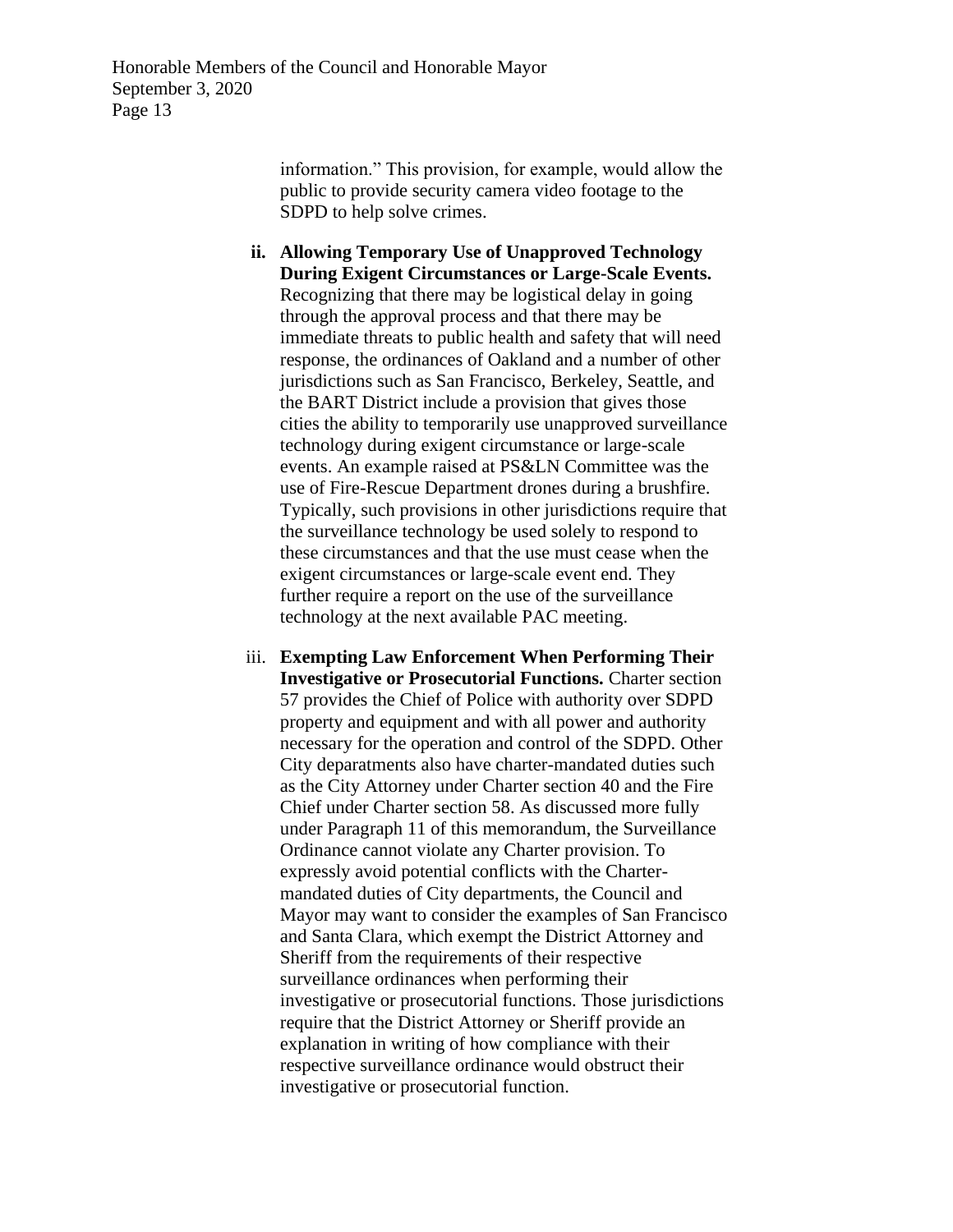> information." This provision, for example, would allow the public to provide security camera video footage to the SDPD to help solve crimes.

- **ii. Allowing Temporary Use of Unapproved Technology During Exigent Circumstances or Large-Scale Events.** Recognizing that there may be logistical delay in going through the approval process and that there may be immediate threats to public health and safety that will need response, the ordinances of Oakland and a number of other jurisdictions such as San Francisco, Berkeley, Seattle, and the BART District include a provision that gives those cities the ability to temporarily use unapproved surveillance technology during exigent circumstance or large-scale events. An example raised at PS&LN Committee was the use of Fire-Rescue Department drones during a brushfire. Typically, such provisions in other jurisdictions require that the surveillance technology be used solely to respond to these circumstances and that the use must cease when the exigent circumstances or large-scale event end. They further require a report on the use of the surveillance technology at the next available PAC meeting.
- iii. **Exempting Law Enforcement When Performing Their Investigative or Prosecutorial Functions.** Charter section 57 provides the Chief of Police with authority over SDPD property and equipment and with all power and authority necessary for the operation and control of the SDPD. Other City deparatments also have charter-mandated duties such as the City Attorney under Charter section 40 and the Fire Chief under Charter section 58. As discussed more fully under Paragraph 11 of this memorandum, the Surveillance Ordinance cannot violate any Charter provision. To expressly avoid potential conflicts with the Chartermandated duties of City departments, the Council and Mayor may want to consider the examples of San Francisco and Santa Clara, which exempt the District Attorney and Sheriff from the requirements of their respective surveillance ordinances when performing their investigative or prosecutorial functions. Those jurisdictions require that the District Attorney or Sheriff provide an explanation in writing of how compliance with their respective surveillance ordinance would obstruct their investigative or prosecutorial function.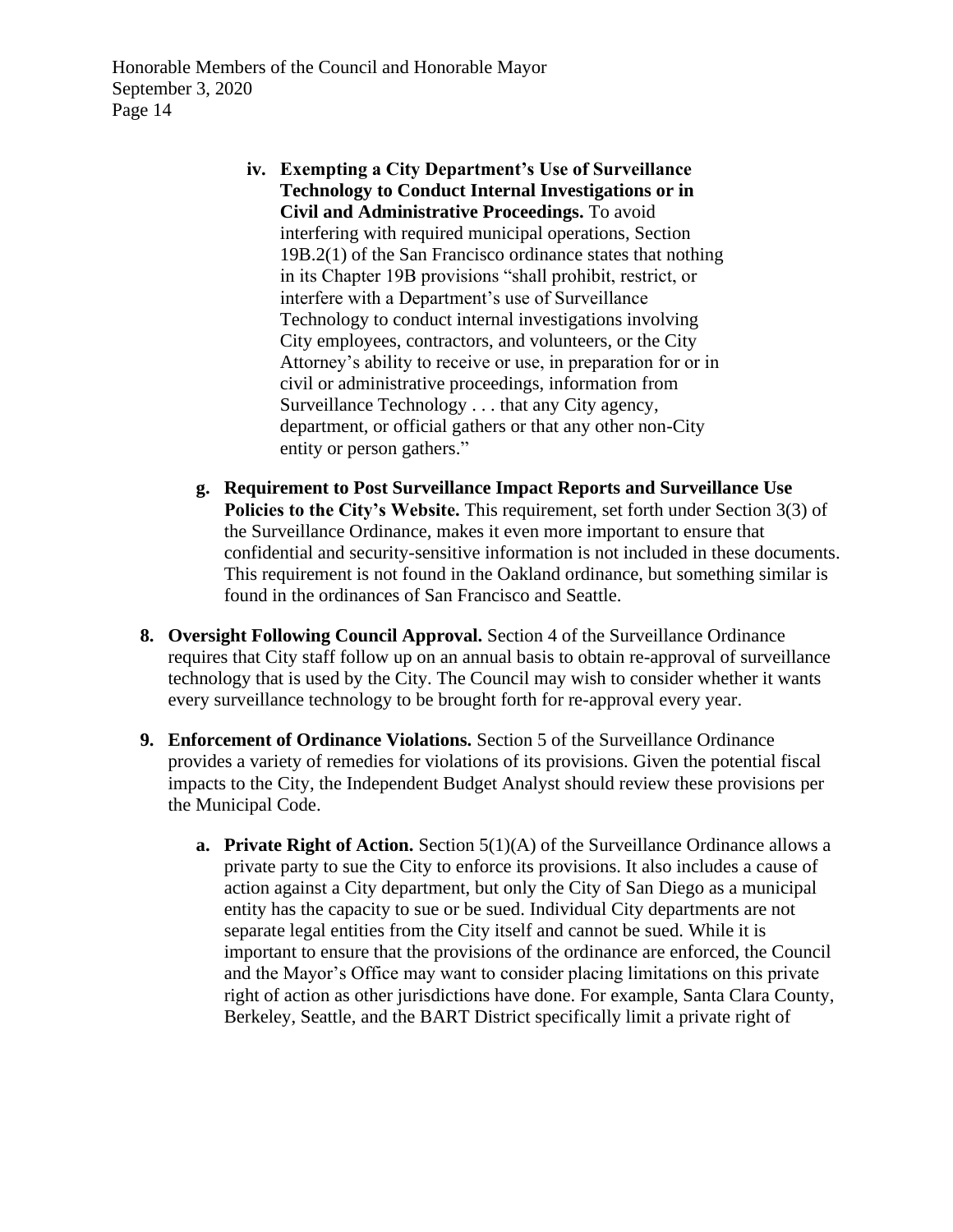- **iv. Exempting a City Department's Use of Surveillance Technology to Conduct Internal Investigations or in Civil and Administrative Proceedings.** To avoid interfering with required municipal operations, Section 19B.2(1) of the San Francisco ordinance states that nothing in its Chapter 19B provisions "shall prohibit, restrict, or interfere with a Department's use of Surveillance Technology to conduct internal investigations involving City employees, contractors, and volunteers, or the City Attorney's ability to receive or use, in preparation for or in civil or administrative proceedings, information from Surveillance Technology . . . that any City agency, department, or official gathers or that any other non-City entity or person gathers."
- **g. Requirement to Post Surveillance Impact Reports and Surveillance Use Policies to the City's Website.** This requirement, set forth under Section 3(3) of the Surveillance Ordinance, makes it even more important to ensure that confidential and security-sensitive information is not included in these documents. This requirement is not found in the Oakland ordinance, but something similar is found in the ordinances of San Francisco and Seattle.
- **8. Oversight Following Council Approval.** Section 4 of the Surveillance Ordinance requires that City staff follow up on an annual basis to obtain re-approval of surveillance technology that is used by the City. The Council may wish to consider whether it wants every surveillance technology to be brought forth for re-approval every year.
- **9. Enforcement of Ordinance Violations.** Section 5 of the Surveillance Ordinance provides a variety of remedies for violations of its provisions. Given the potential fiscal impacts to the City, the Independent Budget Analyst should review these provisions per the Municipal Code.
	- **a. Private Right of Action.** Section 5(1)(A) of the Surveillance Ordinance allows a private party to sue the City to enforce its provisions. It also includes a cause of action against a City department, but only the City of San Diego as a municipal entity has the capacity to sue or be sued. Individual City departments are not separate legal entities from the City itself and cannot be sued. While it is important to ensure that the provisions of the ordinance are enforced, the Council and the Mayor's Office may want to consider placing limitations on this private right of action as other jurisdictions have done. For example, Santa Clara County, Berkeley, Seattle, and the BART District specifically limit a private right of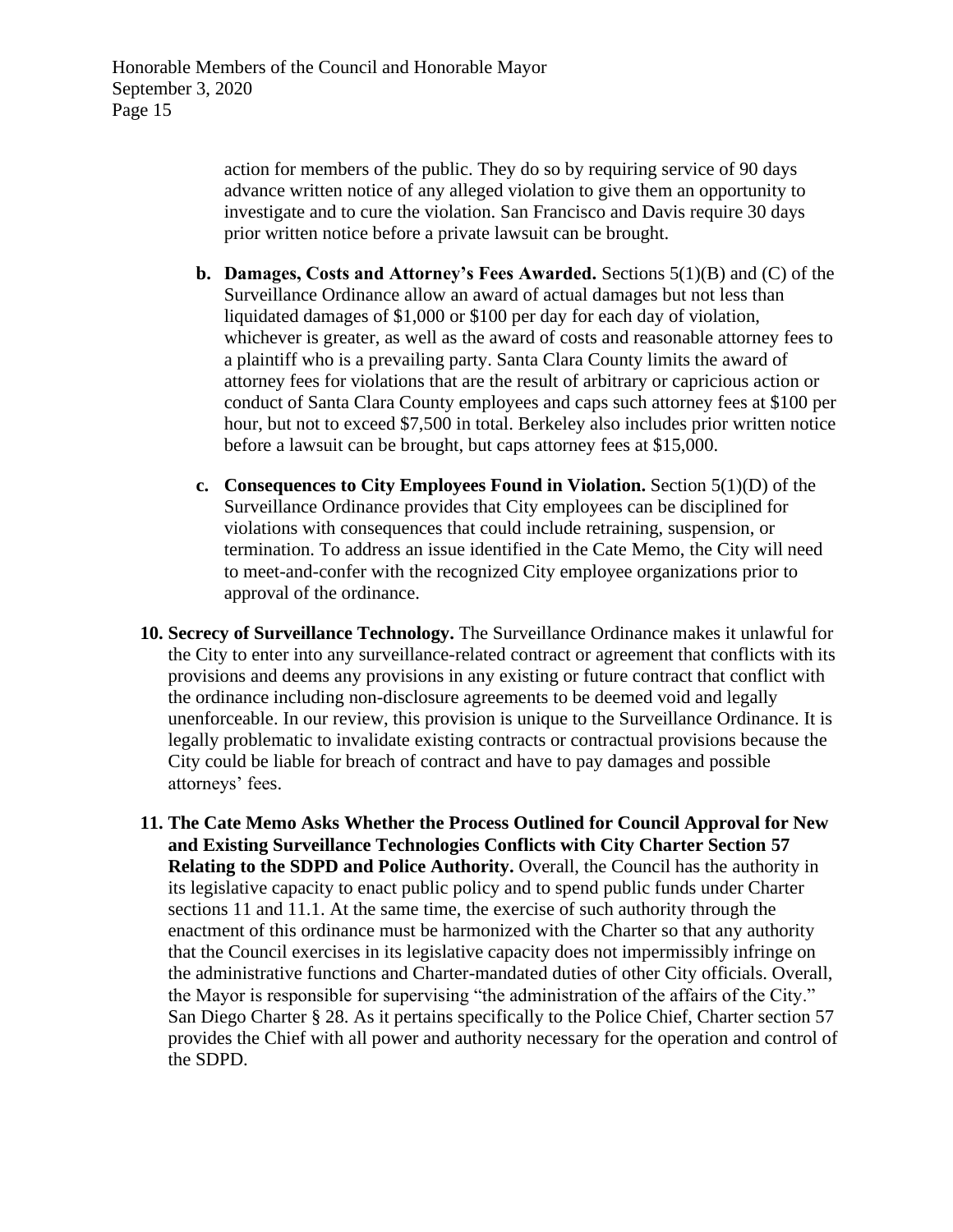action for members of the public. They do so by requiring service of 90 days advance written notice of any alleged violation to give them an opportunity to investigate and to cure the violation. San Francisco and Davis require 30 days prior written notice before a private lawsuit can be brought.

- **b. Damages, Costs and Attorney's Fees Awarded.** Sections 5(1)(B) and (C) of the Surveillance Ordinance allow an award of actual damages but not less than liquidated damages of \$1,000 or \$100 per day for each day of violation, whichever is greater, as well as the award of costs and reasonable attorney fees to a plaintiff who is a prevailing party. Santa Clara County limits the award of attorney fees for violations that are the result of arbitrary or capricious action or conduct of Santa Clara County employees and caps such attorney fees at \$100 per hour, but not to exceed \$7,500 in total. Berkeley also includes prior written notice before a lawsuit can be brought, but caps attorney fees at \$15,000.
- **c. Consequences to City Employees Found in Violation.** Section 5(1)(D) of the Surveillance Ordinance provides that City employees can be disciplined for violations with consequences that could include retraining, suspension, or termination. To address an issue identified in the Cate Memo, the City will need to meet-and-confer with the recognized City employee organizations prior to approval of the ordinance.
- **10. Secrecy of Surveillance Technology.** The Surveillance Ordinance makes it unlawful for the City to enter into any surveillance-related contract or agreement that conflicts with its provisions and deems any provisions in any existing or future contract that conflict with the ordinance including non-disclosure agreements to be deemed void and legally unenforceable. In our review, this provision is unique to the Surveillance Ordinance. It is legally problematic to invalidate existing contracts or contractual provisions because the City could be liable for breach of contract and have to pay damages and possible attorneys' fees.
- **11. The Cate Memo Asks Whether the Process Outlined for Council Approval for New and Existing Surveillance Technologies Conflicts with City Charter Section 57 Relating to the SDPD and Police Authority.** Overall, the Council has the authority in its legislative capacity to enact public policy and to spend public funds under Charter sections 11 and 11.1. At the same time, the exercise of such authority through the enactment of this ordinance must be harmonized with the Charter so that any authority that the Council exercises in its legislative capacity does not impermissibly infringe on the administrative functions and Charter-mandated duties of other City officials. Overall, the Mayor is responsible for supervising "the administration of the affairs of the City." San Diego Charter § 28. As it pertains specifically to the Police Chief, Charter section 57 provides the Chief with all power and authority necessary for the operation and control of the SDPD.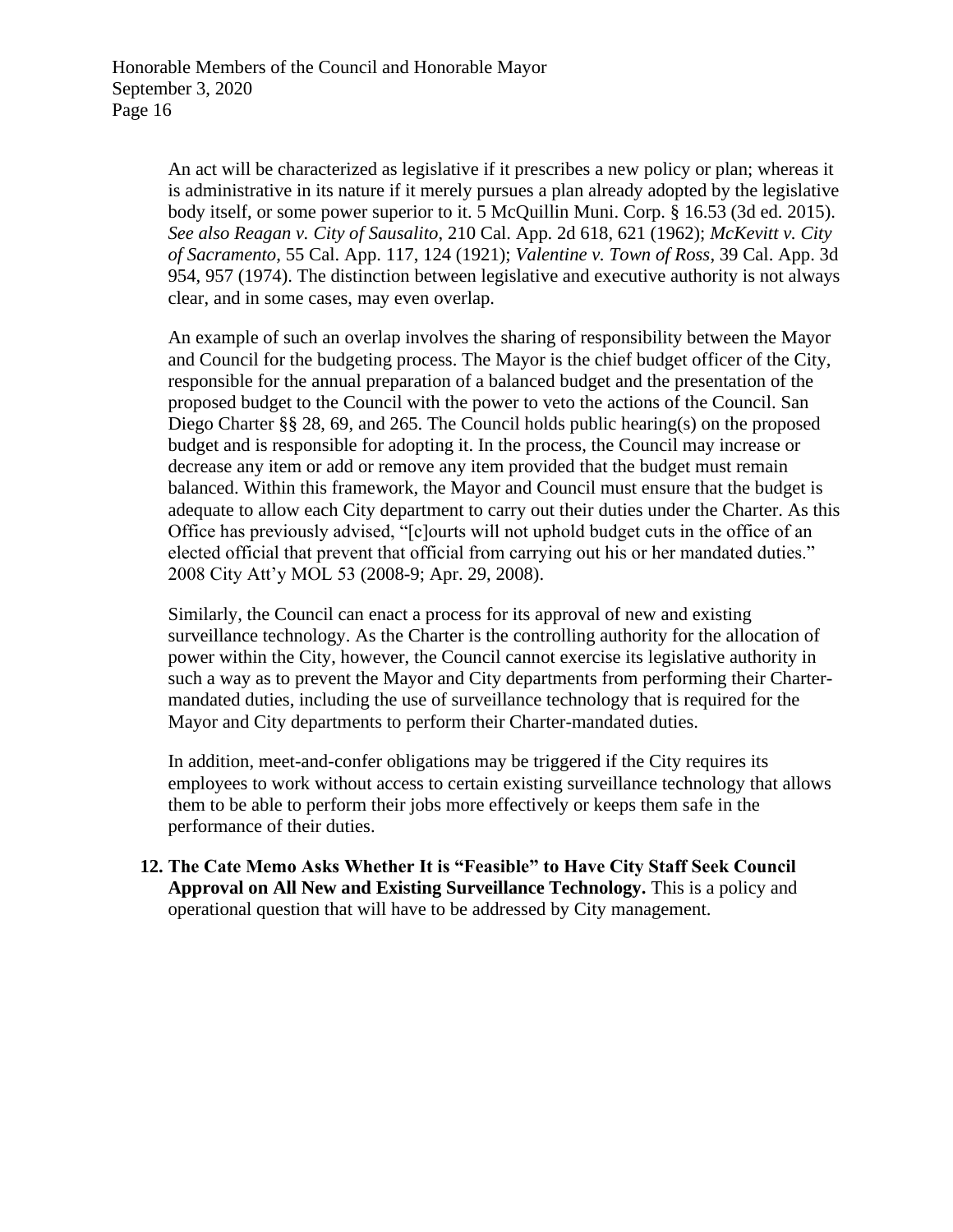An act will be characterized as legislative if it prescribes a new policy or plan; whereas it is administrative in its nature if it merely pursues a plan already adopted by the legislative body itself, or some power superior to it. 5 McQuillin Muni. Corp. § 16.53 (3d ed. 2015). *See also Reagan v. City of Sausalito*, 210 Cal. App. 2d 618, 621 (1962); *McKevitt v. City of Sacramento*, 55 Cal. App. 117, 124 (1921); *Valentine v. Town of Ross*, 39 Cal. App. 3d 954, 957 (1974). The distinction between legislative and executive authority is not always clear, and in some cases, may even overlap.

An example of such an overlap involves the sharing of responsibility between the Mayor and Council for the budgeting process. The Mayor is the chief budget officer of the City, responsible for the annual preparation of a balanced budget and the presentation of the proposed budget to the Council with the power to veto the actions of the Council. San Diego Charter §§ 28, 69, and 265. The Council holds public hearing(s) on the proposed budget and is responsible for adopting it. In the process, the Council may increase or decrease any item or add or remove any item provided that the budget must remain balanced. Within this framework, the Mayor and Council must ensure that the budget is adequate to allow each City department to carry out their duties under the Charter. As this Office has previously advised, "[c]ourts will not uphold budget cuts in the office of an elected official that prevent that official from carrying out his or her mandated duties." 2008 City Att'y MOL 53 (2008-9; Apr. 29, 2008).

Similarly, the Council can enact a process for its approval of new and existing surveillance technology. As the Charter is the controlling authority for the allocation of power within the City, however, the Council cannot exercise its legislative authority in such a way as to prevent the Mayor and City departments from performing their Chartermandated duties, including the use of surveillance technology that is required for the Mayor and City departments to perform their Charter-mandated duties.

In addition, meet-and-confer obligations may be triggered if the City requires its employees to work without access to certain existing surveillance technology that allows them to be able to perform their jobs more effectively or keeps them safe in the performance of their duties.

**12. The Cate Memo Asks Whether It is "Feasible" to Have City Staff Seek Council Approval on All New and Existing Surveillance Technology.** This is a policy and operational question that will have to be addressed by City management.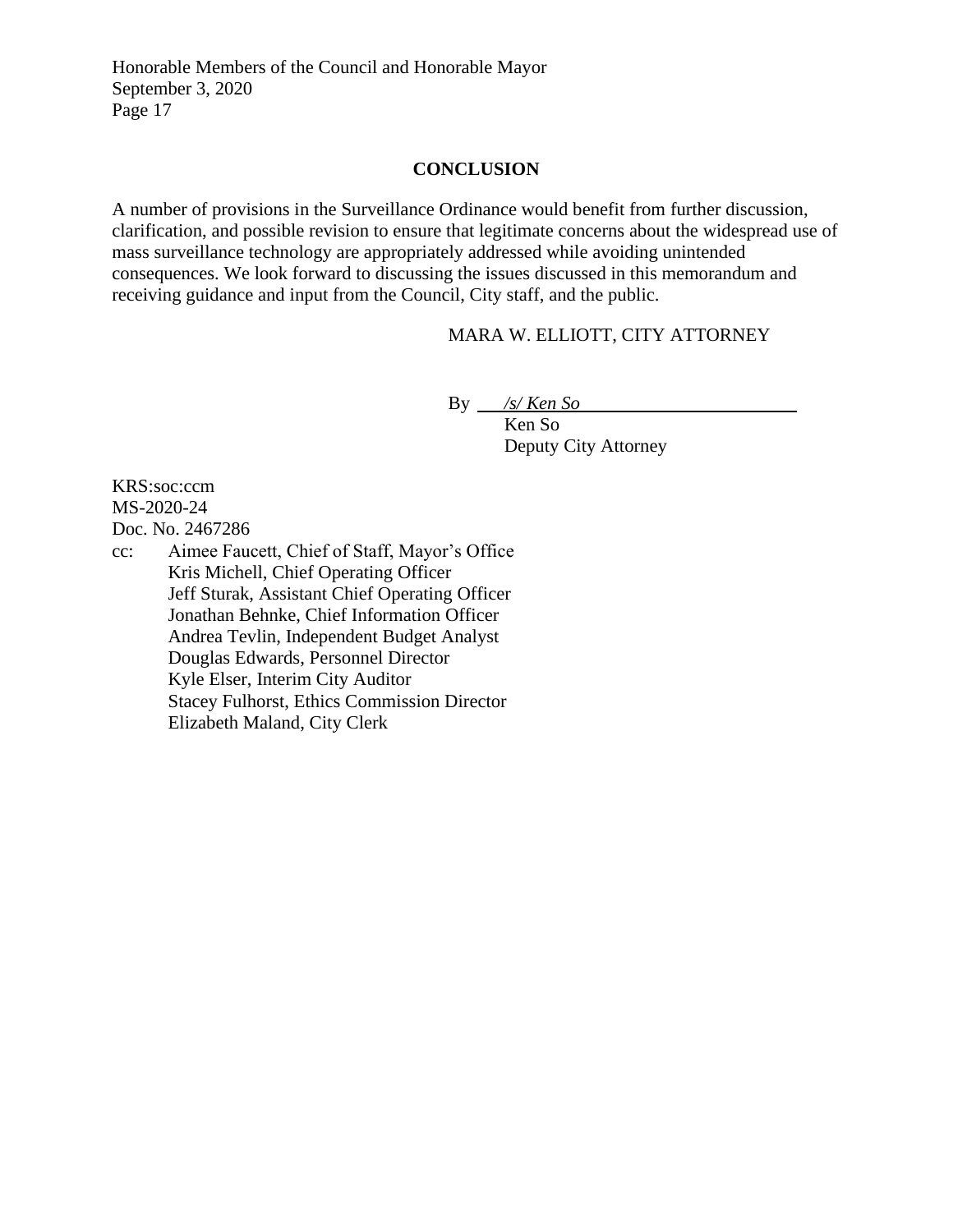## **CONCLUSION**

A number of provisions in the Surveillance Ordinance would benefit from further discussion, clarification, and possible revision to ensure that legitimate concerns about the widespread use of mass surveillance technology are appropriately addressed while avoiding unintended consequences. We look forward to discussing the issues discussed in this memorandum and receiving guidance and input from the Council, City staff, and the public.

# MARA W. ELLIOTT, CITY ATTORNEY

By */s/ Ken So*

Ken So Deputy City Attorney

KRS:soc:ccm MS-2020-24 Doc. No. 2467286

cc: Aimee Faucett, Chief of Staff, Mayor's Office Kris Michell, Chief Operating Officer Jeff Sturak, Assistant Chief Operating Officer Jonathan Behnke, Chief Information Officer Andrea Tevlin, Independent Budget Analyst Douglas Edwards, Personnel Director Kyle Elser, Interim City Auditor Stacey Fulhorst, Ethics Commission Director Elizabeth Maland, City Clerk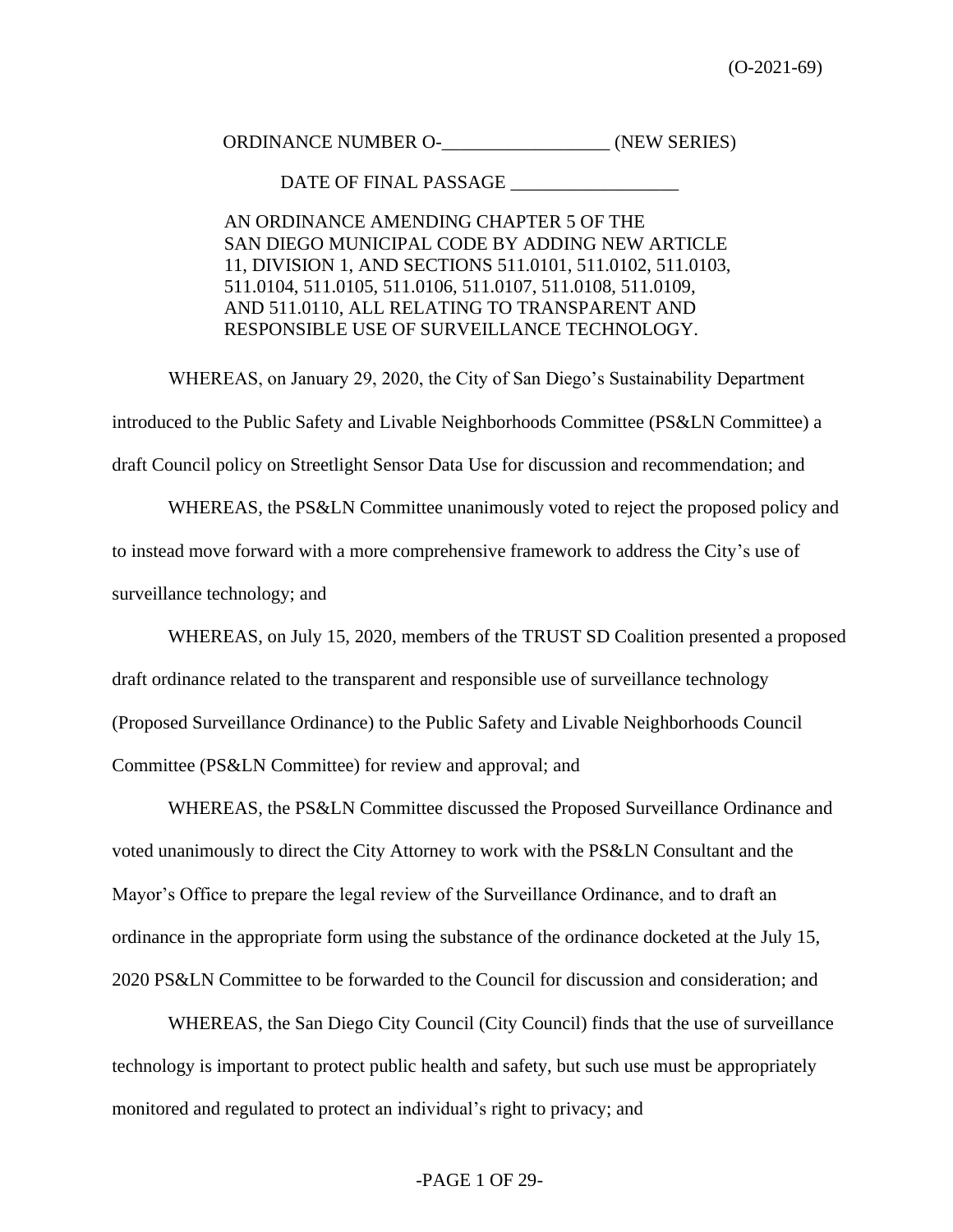ORDINANCE NUMBER O- (NEW SERIES)

DATE OF FINAL PASSAGE  $\_$ 

AN ORDINANCE AMENDING CHAPTER 5 OF THE SAN DIEGO MUNICIPAL CODE BY ADDING NEW ARTICLE 11, DIVISION 1, AND SECTIONS 511.0101, 511.0102, 511.0103, 511.0104, 511.0105, 511.0106, 511.0107, 511.0108, 511.0109, AND 511.0110, ALL RELATING TO TRANSPARENT AND RESPONSIBLE USE OF SURVEILLANCE TECHNOLOGY.

WHEREAS, on January 29, 2020, the City of San Diego's Sustainability Department introduced to the Public Safety and Livable Neighborhoods Committee (PS&LN Committee) a draft Council policy on Streetlight Sensor Data Use for discussion and recommendation; and

WHEREAS, the PS&LN Committee unanimously voted to reject the proposed policy and to instead move forward with a more comprehensive framework to address the City's use of surveillance technology; and

WHEREAS, on July 15, 2020, members of the TRUST SD Coalition presented a proposed draft ordinance related to the transparent and responsible use of surveillance technology (Proposed Surveillance Ordinance) to the Public Safety and Livable Neighborhoods Council Committee (PS&LN Committee) for review and approval; and

WHEREAS, the PS&LN Committee discussed the Proposed Surveillance Ordinance and voted unanimously to direct the City Attorney to work with the PS&LN Consultant and the Mayor's Office to prepare the legal review of the Surveillance Ordinance, and to draft an ordinance in the appropriate form using the substance of the ordinance docketed at the July 15, 2020 PS&LN Committee to be forwarded to the Council for discussion and consideration; and

WHEREAS, the San Diego City Council (City Council) finds that the use of surveillance technology is important to protect public health and safety, but such use must be appropriately monitored and regulated to protect an individual's right to privacy; and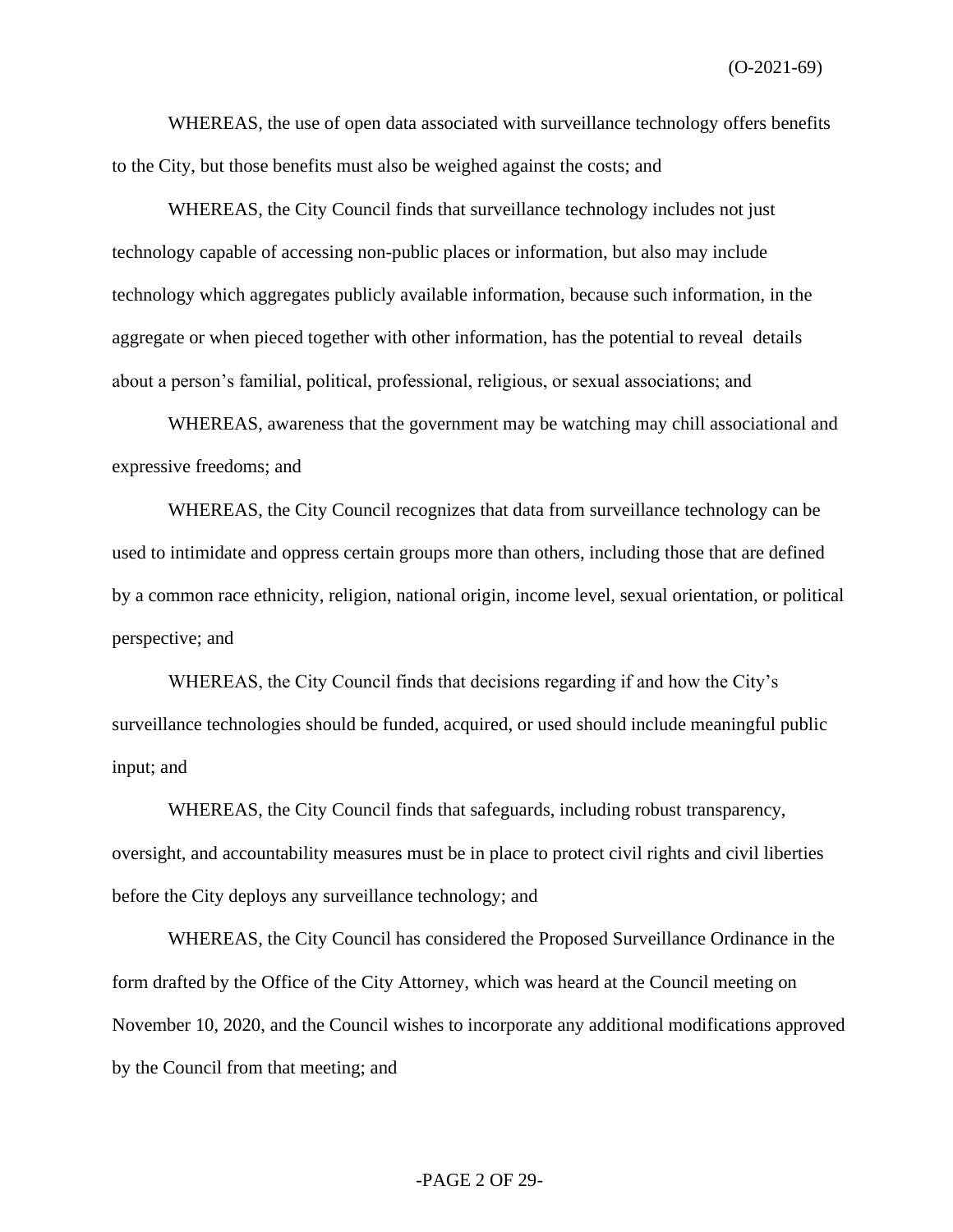(O-2021-69)

WHEREAS, the use of open data associated with surveillance technology offers benefits to the City, but those benefits must also be weighed against the costs; and

WHEREAS, the City Council finds that surveillance technology includes not just technology capable of accessing non-public places or information, but also may include technology which aggregates publicly available information, because such information, in the aggregate or when pieced together with other information, has the potential to reveal details about a person's familial, political, professional, religious, or sexual associations; and

WHEREAS, awareness that the government may be watching may chill associational and expressive freedoms; and

WHEREAS, the City Council recognizes that data from surveillance technology can be used to intimidate and oppress certain groups more than others, including those that are defined by a common race ethnicity, religion, national origin, income level, sexual orientation, or political perspective; and

WHEREAS, the City Council finds that decisions regarding if and how the City's surveillance technologies should be funded, acquired, or used should include meaningful public input; and

WHEREAS, the City Council finds that safeguards, including robust transparency, oversight, and accountability measures must be in place to protect civil rights and civil liberties before the City deploys any surveillance technology; and

WHEREAS, the City Council has considered the Proposed Surveillance Ordinance in the form drafted by the Office of the City Attorney, which was heard at the Council meeting on November 10, 2020, and the Council wishes to incorporate any additional modifications approved by the Council from that meeting; and

#### -PAGE 2 OF 29-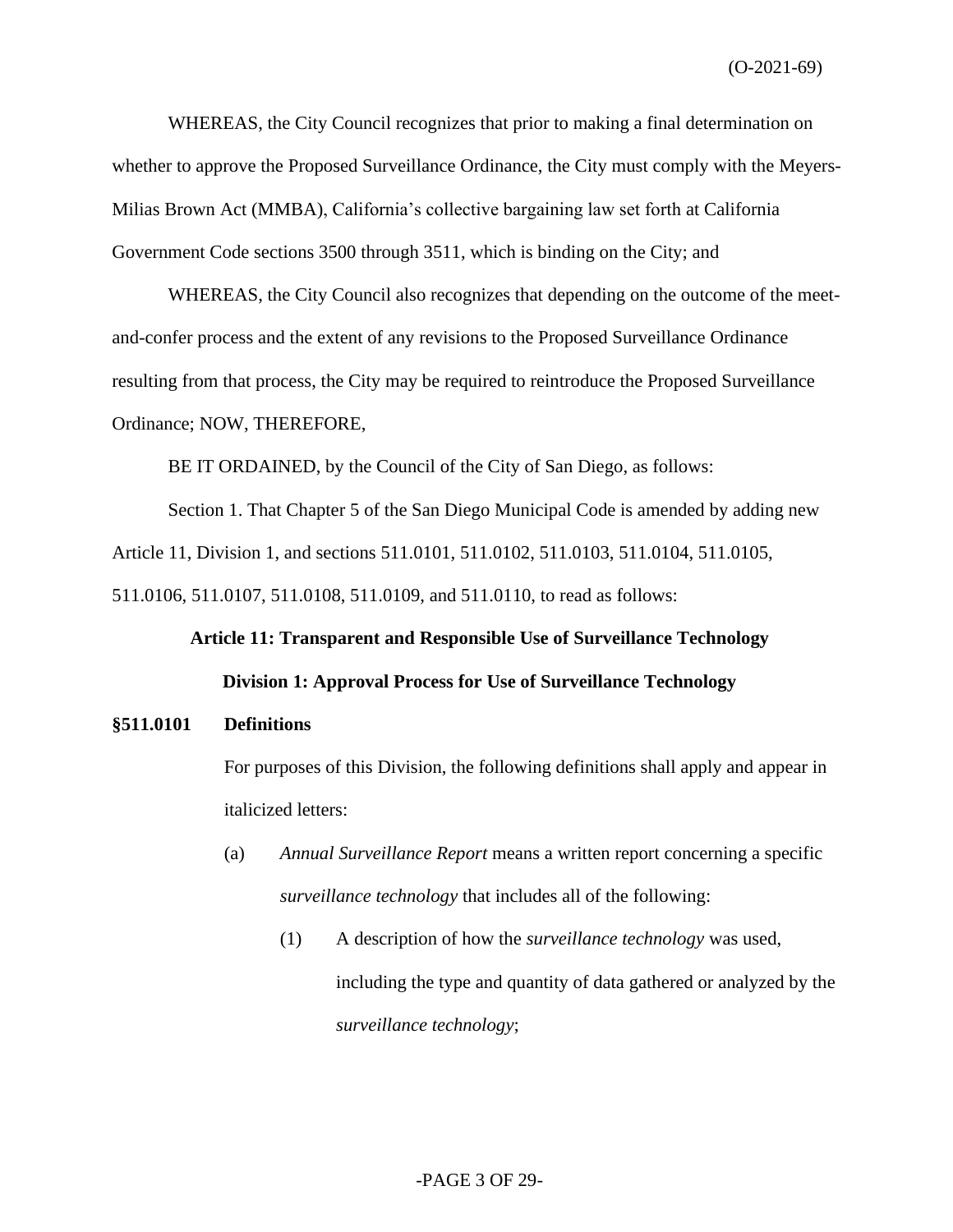(O-2021-69)

WHEREAS, the City Council recognizes that prior to making a final determination on whether to approve the Proposed Surveillance Ordinance, the City must comply with the Meyers-Milias Brown Act (MMBA), California's collective bargaining law set forth at California Government Code sections 3500 through 3511, which is binding on the City; and

WHEREAS, the City Council also recognizes that depending on the outcome of the meetand-confer process and the extent of any revisions to the Proposed Surveillance Ordinance resulting from that process, the City may be required to reintroduce the Proposed Surveillance Ordinance; NOW, THEREFORE,

BE IT ORDAINED, by the Council of the City of San Diego, as follows:

Section 1. That Chapter 5 of the San Diego Municipal Code is amended by adding new Article 11, Division 1, and sections 511.0101, 511.0102, 511.0103, 511.0104, 511.0105, 511.0106, 511.0107, 511.0108, 511.0109, and 511.0110, to read as follows:

> **Article 11: Transparent and Responsible Use of Surveillance Technology Division 1: Approval Process for Use of Surveillance Technology**

#### **§511.0101 Definitions**

For purposes of this Division, the following definitions shall apply and appear in italicized letters:

- (a) *Annual Surveillance Report* means a written report concerning a specific *surveillance technology* that includes all of the following:
	- (1) A description of how the *surveillance technology* was used, including the type and quantity of data gathered or analyzed by the *surveillance technology*;

#### -PAGE 3 OF 29-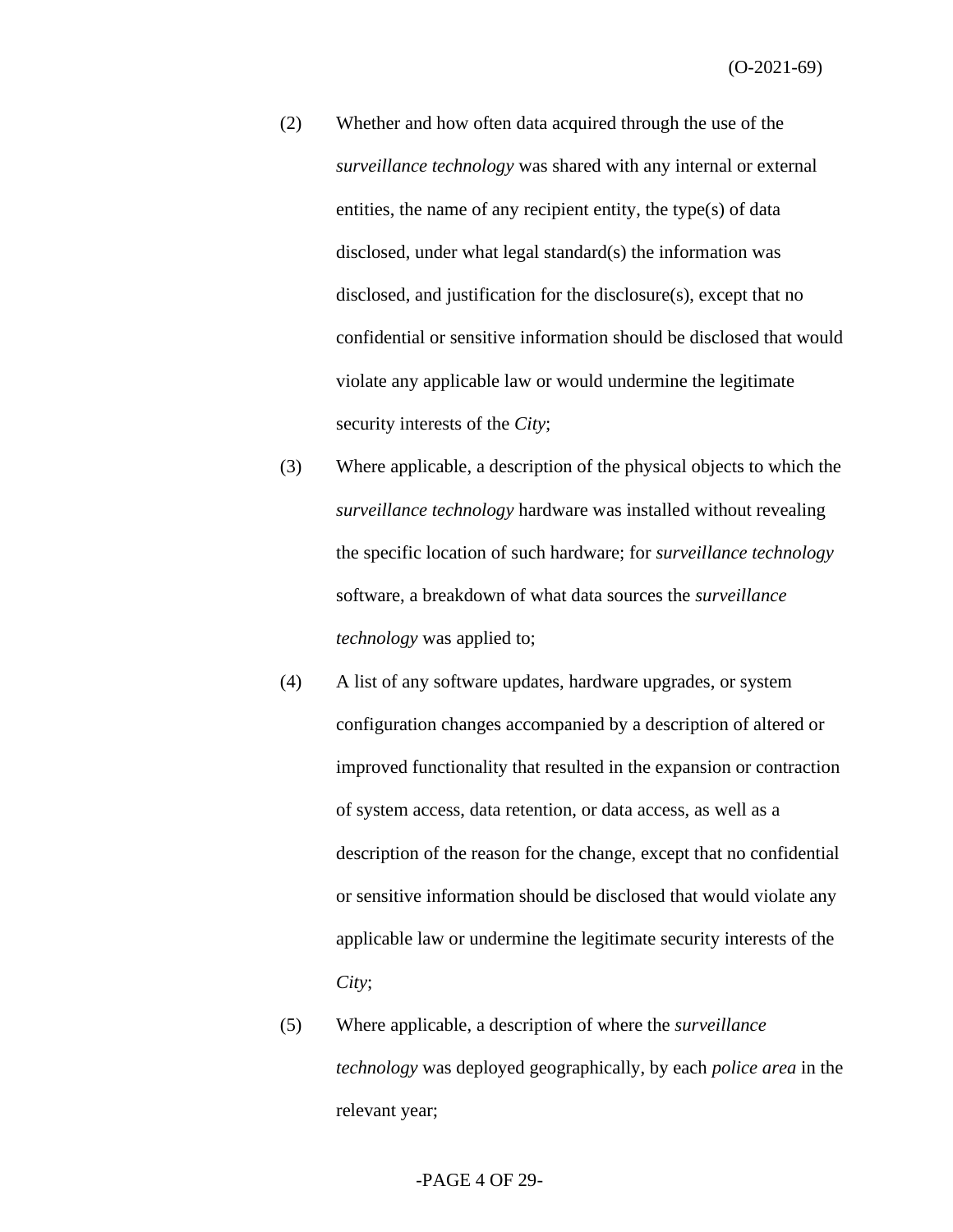- (2) Whether and how often data acquired through the use of the *surveillance technology* was shared with any internal or external entities, the name of any recipient entity, the type(s) of data disclosed, under what legal standard(s) the information was disclosed, and justification for the disclosure(s), except that no confidential or sensitive information should be disclosed that would violate any applicable law or would undermine the legitimate security interests of the *City*;
- (3) Where applicable, a description of the physical objects to which the *surveillance technology* hardware was installed without revealing the specific location of such hardware; for *surveillance technology* software, a breakdown of what data sources the *surveillance technology* was applied to;
- (4) A list of any software updates, hardware upgrades, or system configuration changes accompanied by a description of altered or improved functionality that resulted in the expansion or contraction of system access, data retention, or data access, as well as a description of the reason for the change, except that no confidential or sensitive information should be disclosed that would violate any applicable law or undermine the legitimate security interests of the *City*;
- (5) Where applicable, a description of where the *surveillance technology* was deployed geographically, by each *police area* in the relevant year;

#### -PAGE 4 OF 29-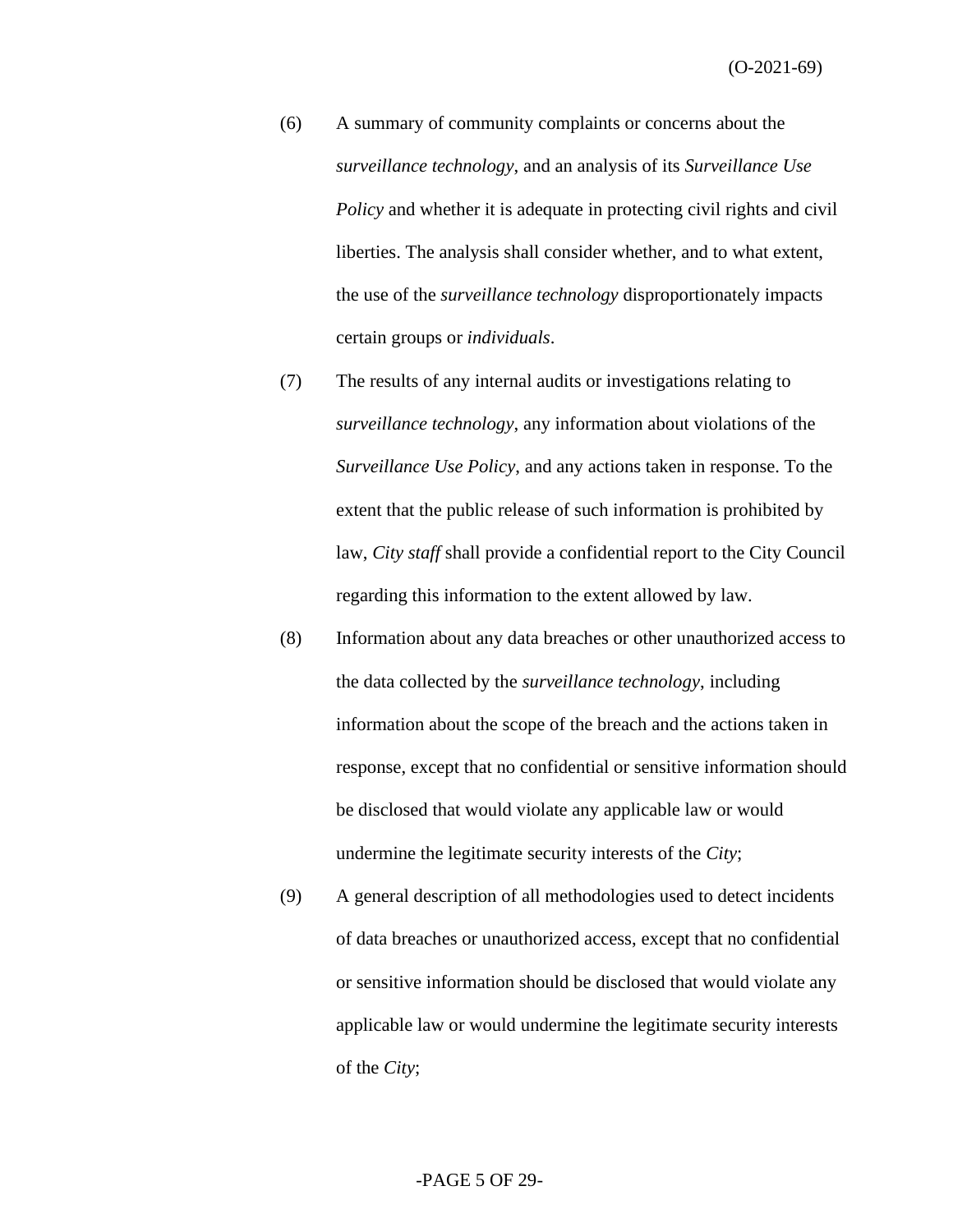- (6) A summary of community complaints or concerns about the *surveillance technology*, and an analysis of its *Surveillance Use Policy* and whether it is adequate in protecting civil rights and civil liberties. The analysis shall consider whether, and to what extent, the use of the *surveillance technology* disproportionately impacts certain groups or *individuals*.
- (7) The results of any internal audits or investigations relating to *surveillance technology*, any information about violations of the *Surveillance Use Policy*, and any actions taken in response. To the extent that the public release of such information is prohibited by law, *City staff* shall provide a confidential report to the City Council regarding this information to the extent allowed by law.
- (8) Information about any data breaches or other unauthorized access to the data collected by the *surveillance technology*, including information about the scope of the breach and the actions taken in response, except that no confidential or sensitive information should be disclosed that would violate any applicable law or would undermine the legitimate security interests of the *City*;
- (9) A general description of all methodologies used to detect incidents of data breaches or unauthorized access, except that no confidential or sensitive information should be disclosed that would violate any applicable law or would undermine the legitimate security interests of the *City*;

#### -PAGE 5 OF 29-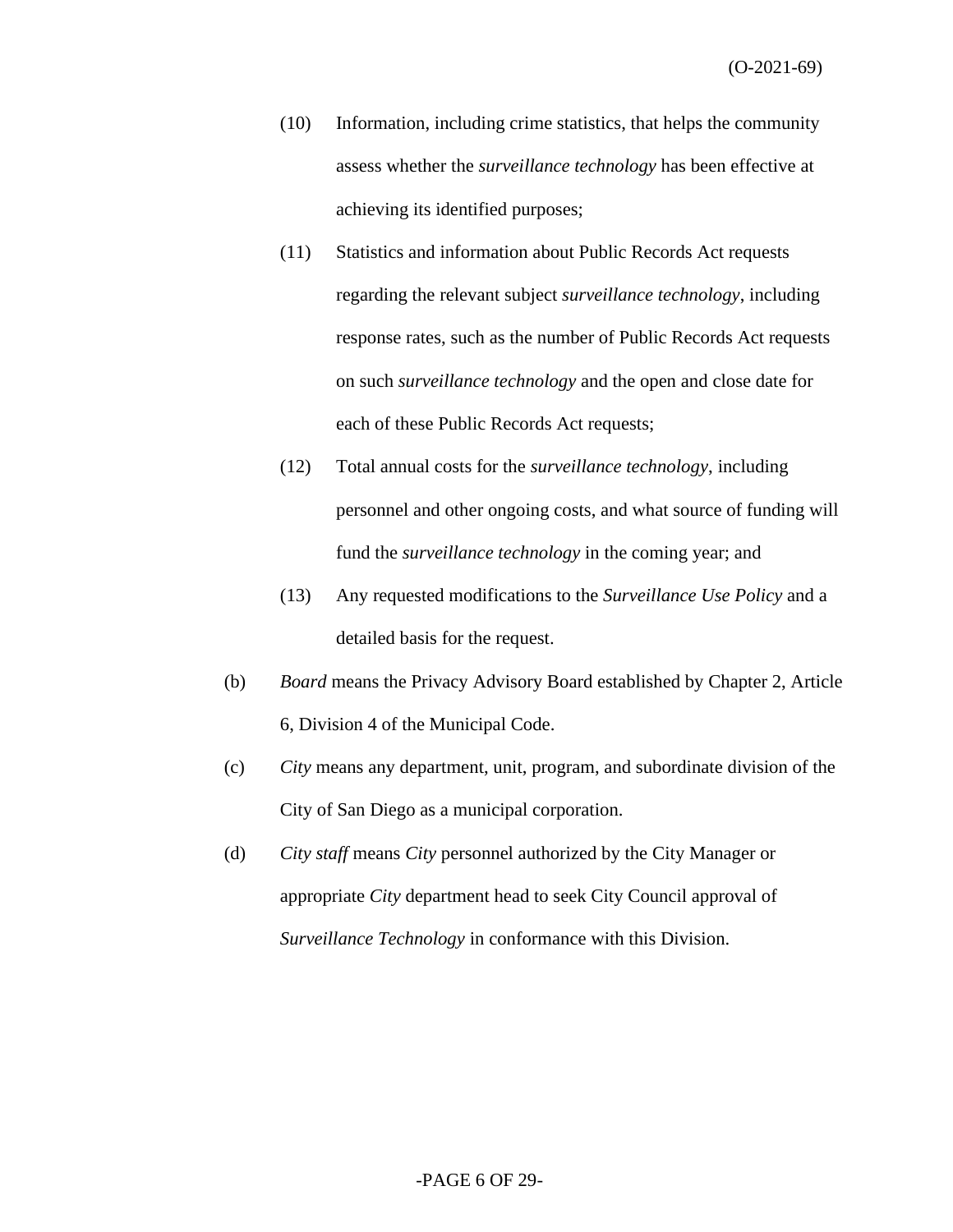- (10) Information, including crime statistics, that helps the community assess whether the *surveillance technology* has been effective at achieving its identified purposes;
- (11) Statistics and information about Public Records Act requests regarding the relevant subject *surveillance technology*, including response rates, such as the number of Public Records Act requests on such *surveillance technology* and the open and close date for each of these Public Records Act requests;
- (12) Total annual costs for the *surveillance technology*, including personnel and other ongoing costs, and what source of funding will fund the *surveillance technology* in the coming year; and
- (13) Any requested modifications to the *Surveillance Use Policy* and a detailed basis for the request.
- (b) *Board* means the Privacy Advisory Board established by Chapter 2, Article 6, Division 4 of the Municipal Code.
- (c) *City* means any department, unit, program, and subordinate division of the City of San Diego as a municipal corporation.
- (d) *City staff* means *City* personnel authorized by the City Manager or appropriate *City* department head to seek City Council approval of *Surveillance Technology* in conformance with this Division.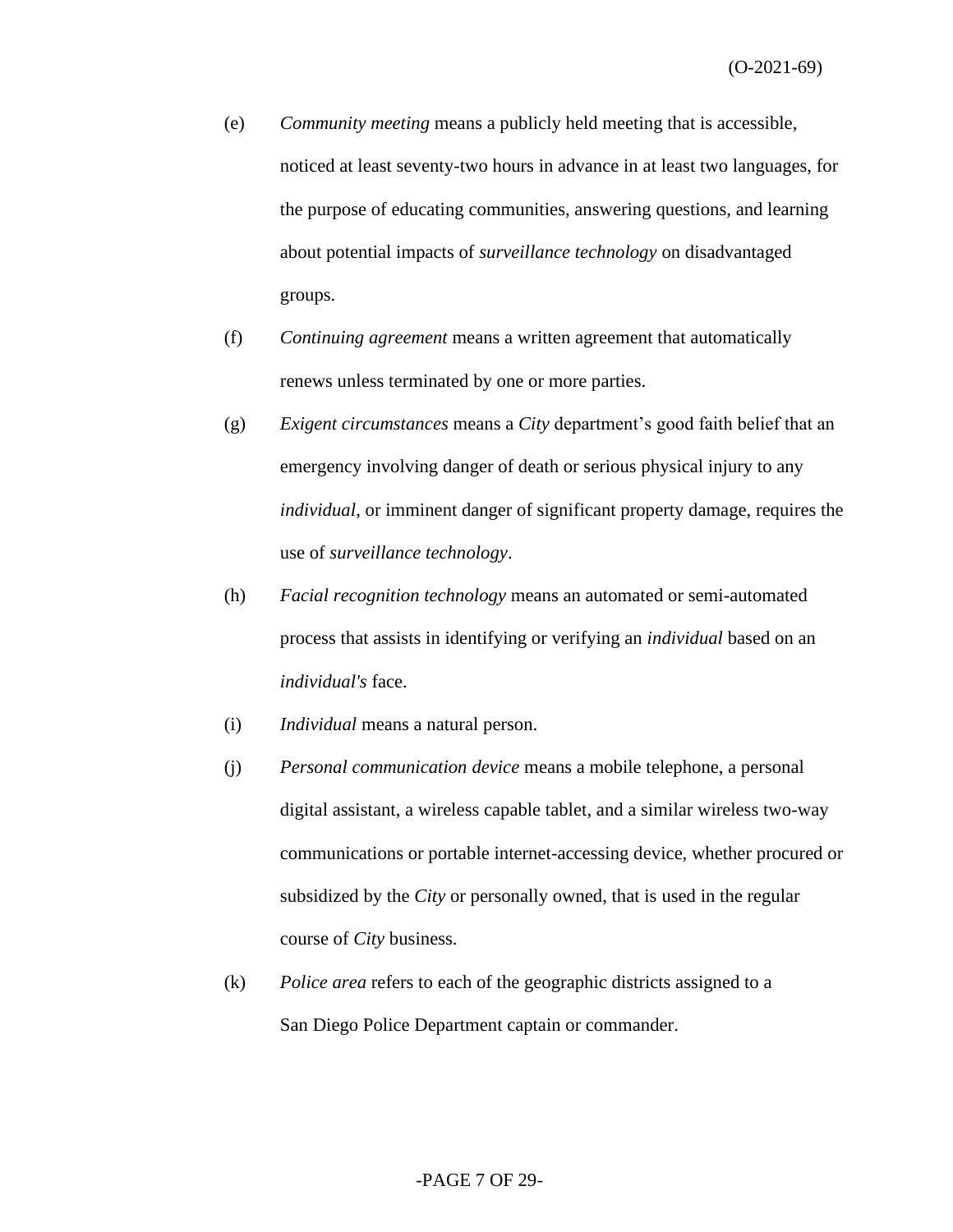- (e) *Community meeting* means a publicly held meeting that is accessible, noticed at least seventy-two hours in advance in at least two languages, for the purpose of educating communities, answering questions, and learning about potential impacts of *surveillance technology* on disadvantaged groups.
- (f) *Continuing agreement* means a written agreement that automatically renews unless terminated by one or more parties.
- (g) *Exigent circumstances* means a *City* department's good faith belief that an emergency involving danger of death or serious physical injury to any *individual*, or imminent danger of significant property damage, requires the use of *surveillance technology*.
- (h) *Facial recognition technology* means an automated or semi-automated process that assists in identifying or verifying an *individual* based on an *individual's* face.
- (i) *Individual* means a natural person.
- (j) *Personal communication device* means a mobile telephone, a personal digital assistant, a wireless capable tablet, and a similar wireless two-way communications or portable internet-accessing device, whether procured or subsidized by the *City* or personally owned, that is used in the regular course of *City* business.
- (k) *Police area* refers to each of the geographic districts assigned to a San Diego Police Department captain or commander.

#### -PAGE 7 OF 29-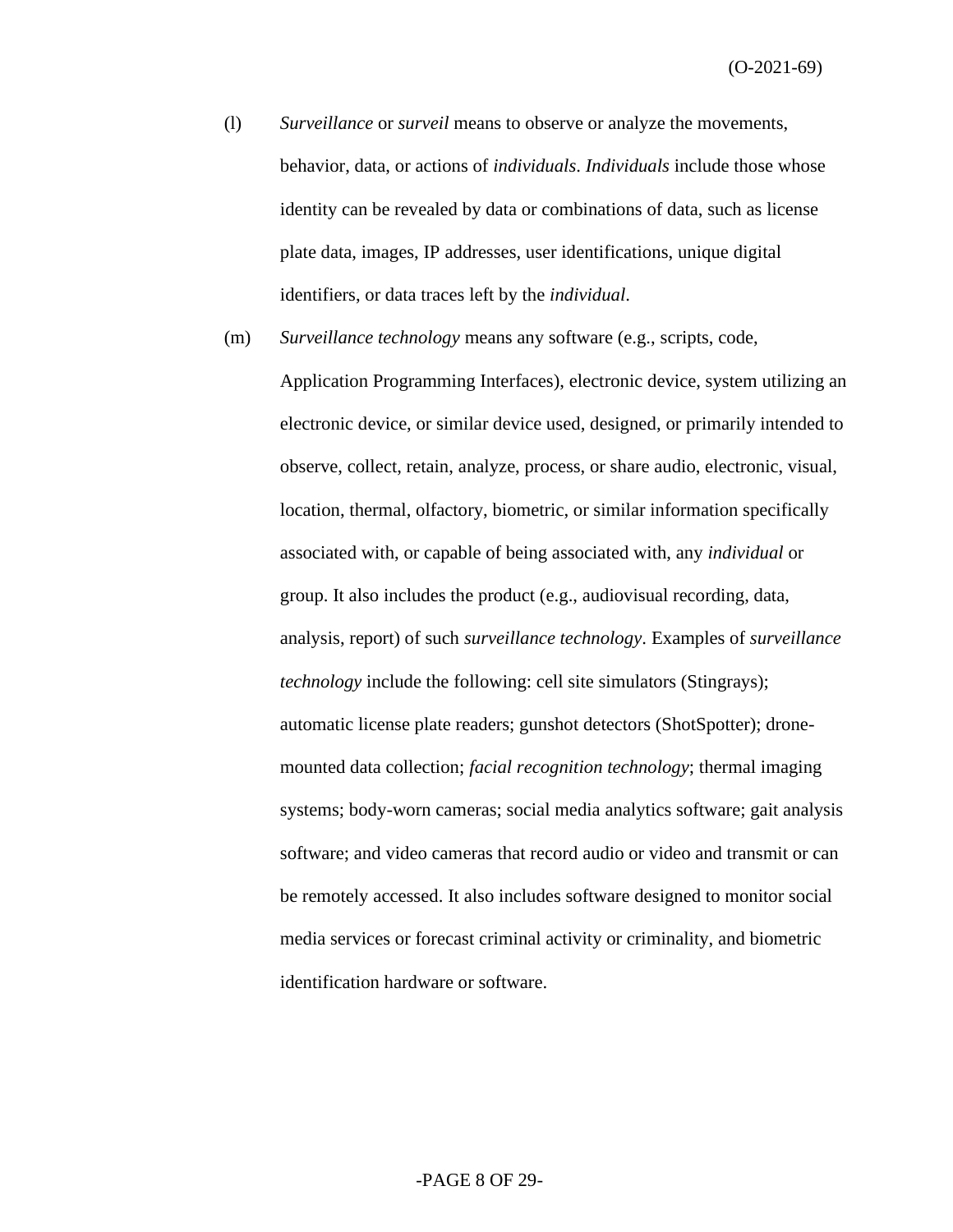- (l) *Surveillance* or *surveil* means to observe or analyze the movements, behavior, data, or actions of *individuals*. *Individuals* include those whose identity can be revealed by data or combinations of data, such as license plate data, images, IP addresses, user identifications, unique digital identifiers, or data traces left by the *individual*.
- (m) *Surveillance technology* means any software (e.g., scripts, code, Application Programming Interfaces), electronic device, system utilizing an electronic device, or similar device used, designed, or primarily intended to observe, collect, retain, analyze, process, or share audio, electronic, visual, location, thermal, olfactory, biometric, or similar information specifically associated with, or capable of being associated with, any *individual* or group. It also includes the product (e.g., audiovisual recording, data, analysis, report) of such *surveillance technology*. Examples of *surveillance technology* include the following: cell site simulators (Stingrays); automatic license plate readers; gunshot detectors (ShotSpotter); dronemounted data collection; *facial recognition technology*; thermal imaging systems; body-worn cameras; social media analytics software; gait analysis software; and video cameras that record audio or video and transmit or can be remotely accessed. It also includes software designed to monitor social media services or forecast criminal activity or criminality, and biometric identification hardware or software.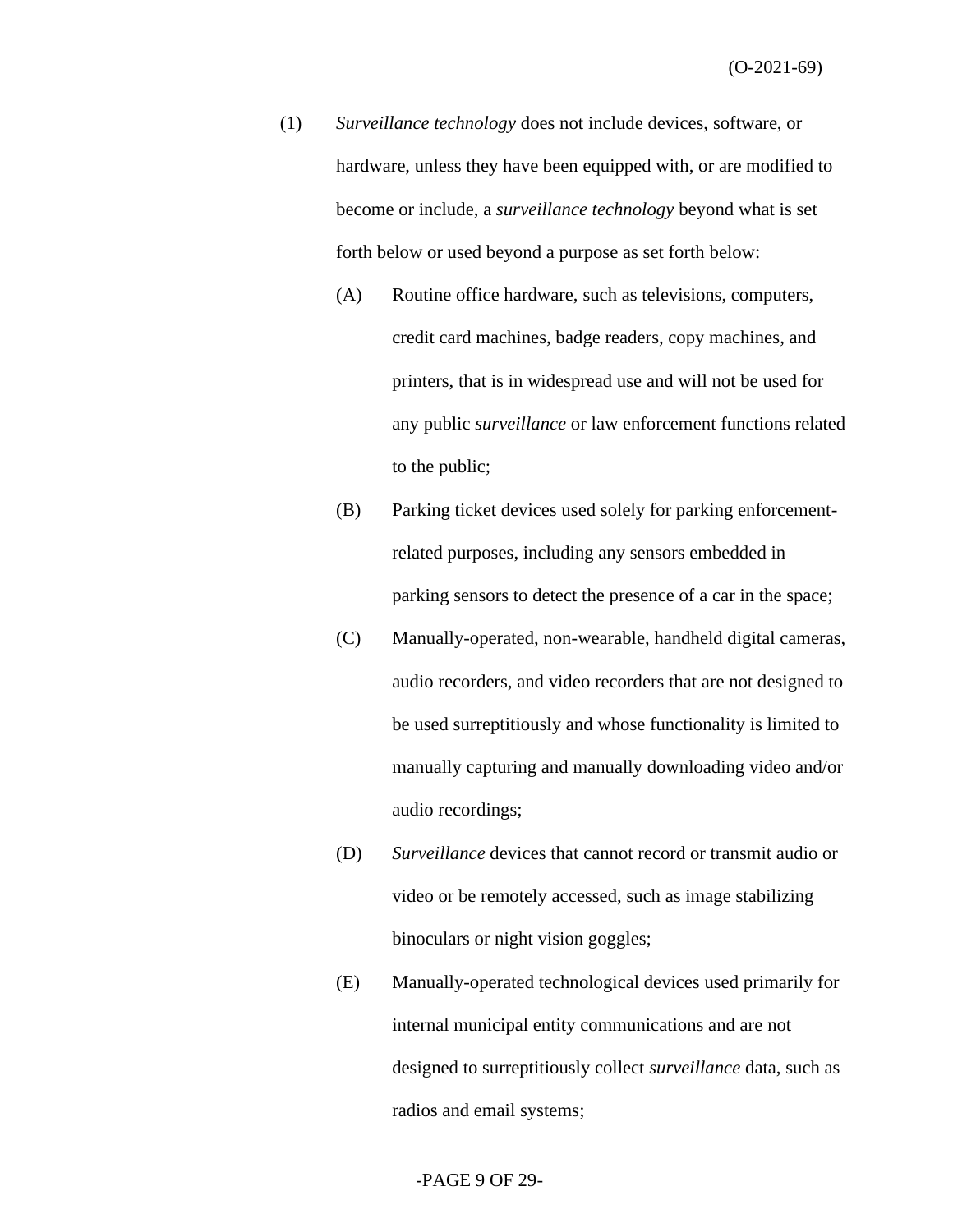- (1) *Surveillance technology* does not include devices, software, or hardware, unless they have been equipped with, or are modified to become or include, a *surveillance technology* beyond what is set forth below or used beyond a purpose as set forth below:
	- (A) Routine office hardware, such as televisions, computers, credit card machines, badge readers, copy machines, and printers, that is in widespread use and will not be used for any public *surveillance* or law enforcement functions related to the public;
	- (B) Parking ticket devices used solely for parking enforcementrelated purposes, including any sensors embedded in parking sensors to detect the presence of a car in the space;
	- (C) Manually-operated, non-wearable, handheld digital cameras, audio recorders, and video recorders that are not designed to be used surreptitiously and whose functionality is limited to manually capturing and manually downloading video and/or audio recordings;
	- (D) *Surveillance* devices that cannot record or transmit audio or video or be remotely accessed, such as image stabilizing binoculars or night vision goggles;
	- (E) Manually-operated technological devices used primarily for internal municipal entity communications and are not designed to surreptitiously collect *surveillance* data, such as radios and email systems;

#### -PAGE 9 OF 29-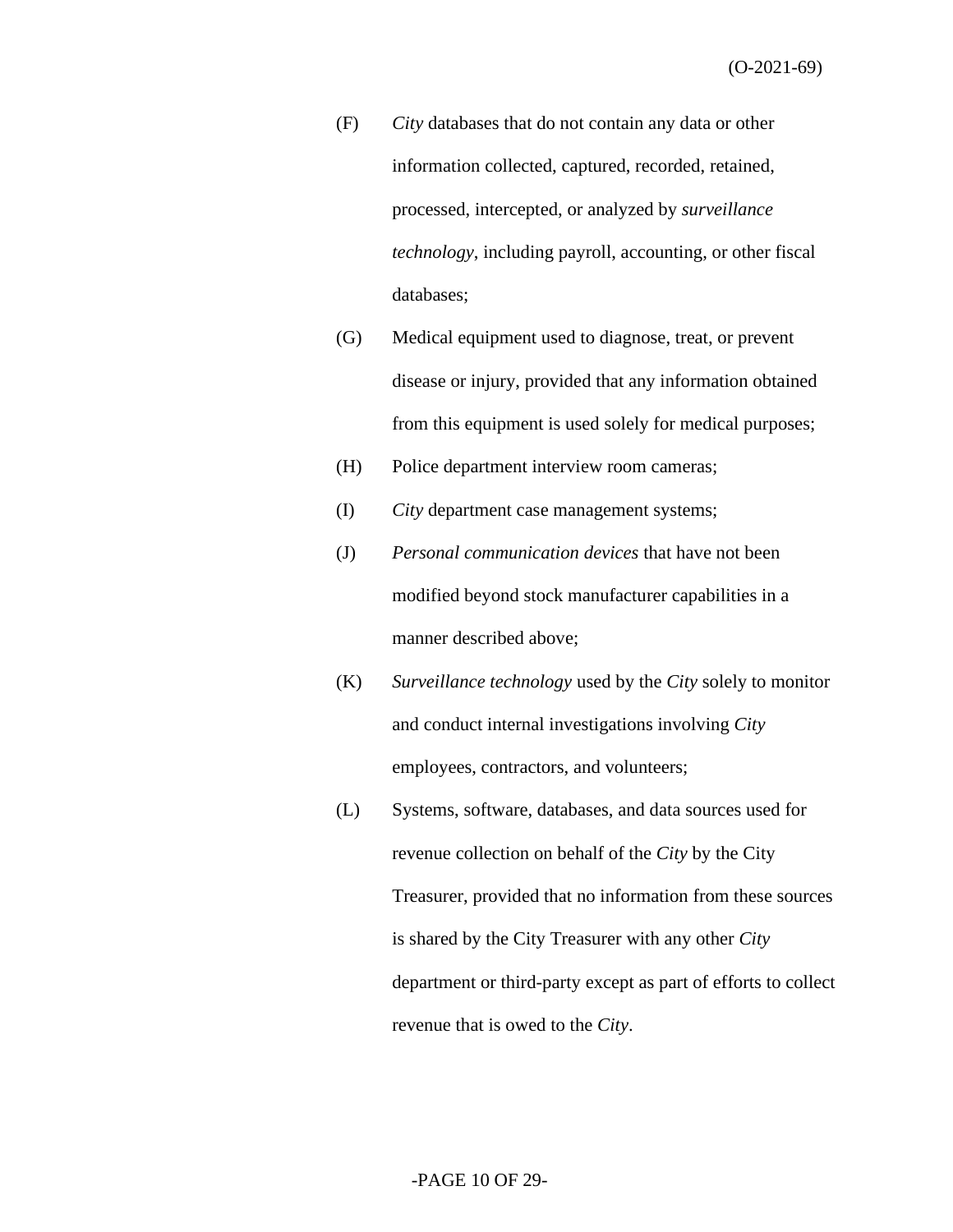- (F) *City* databases that do not contain any data or other information collected, captured, recorded, retained, processed, intercepted, or analyzed by *surveillance technology*, including payroll, accounting, or other fiscal databases;
- (G) Medical equipment used to diagnose, treat, or prevent disease or injury, provided that any information obtained from this equipment is used solely for medical purposes;
- (H) Police department interview room cameras;
- (I) *City* department case management systems;
- (J) *Personal communication devices* that have not been modified beyond stock manufacturer capabilities in a manner described above;
- (K) *Surveillance technology* used by the *City* solely to monitor and conduct internal investigations involving *City* employees, contractors, and volunteers;
- (L) Systems, software, databases, and data sources used for revenue collection on behalf of the *City* by the City Treasurer, provided that no information from these sources is shared by the City Treasurer with any other *City*  department or third-party except as part of efforts to collect revenue that is owed to the *City*.

#### -PAGE 10 OF 29-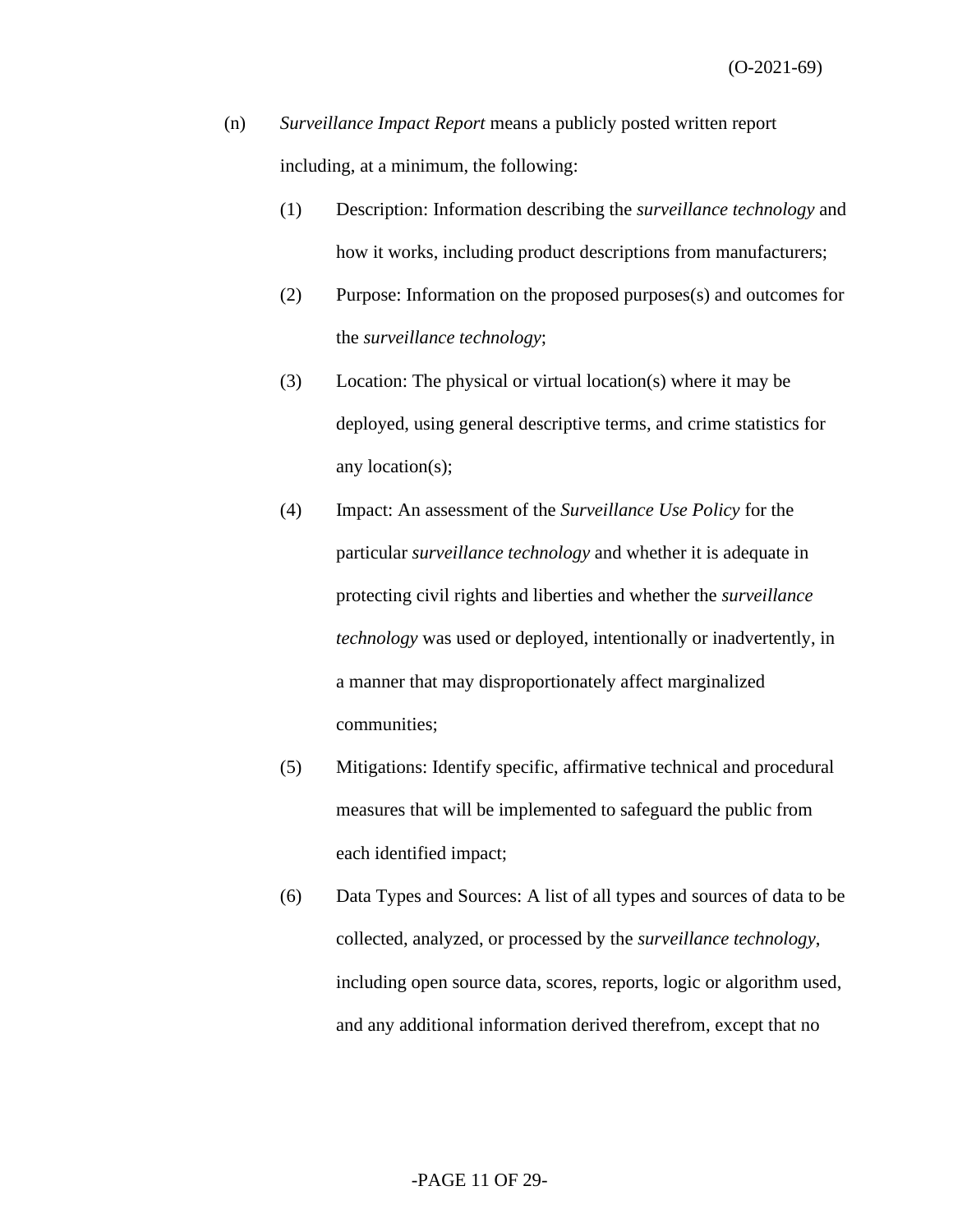- (n) *Surveillance Impact Report* means a publicly posted written report including, at a minimum, the following:
	- (1) Description: Information describing the *surveillance technology* and how it works, including product descriptions from manufacturers;
	- (2) Purpose: Information on the proposed purposes(s) and outcomes for the *surveillance technology*;
	- (3) Location: The physical or virtual location(s) where it may be deployed, using general descriptive terms, and crime statistics for any location(s);
	- (4) Impact: An assessment of the *Surveillance Use Policy* for the particular *surveillance technology* and whether it is adequate in protecting civil rights and liberties and whether the *surveillance technology* was used or deployed, intentionally or inadvertently, in a manner that may disproportionately affect marginalized communities;
	- (5) Mitigations: Identify specific, affirmative technical and procedural measures that will be implemented to safeguard the public from each identified impact;
	- (6) Data Types and Sources: A list of all types and sources of data to be collected, analyzed, or processed by the *surveillance technology*, including open source data, scores, reports, logic or algorithm used, and any additional information derived therefrom, except that no

#### -PAGE 11 OF 29-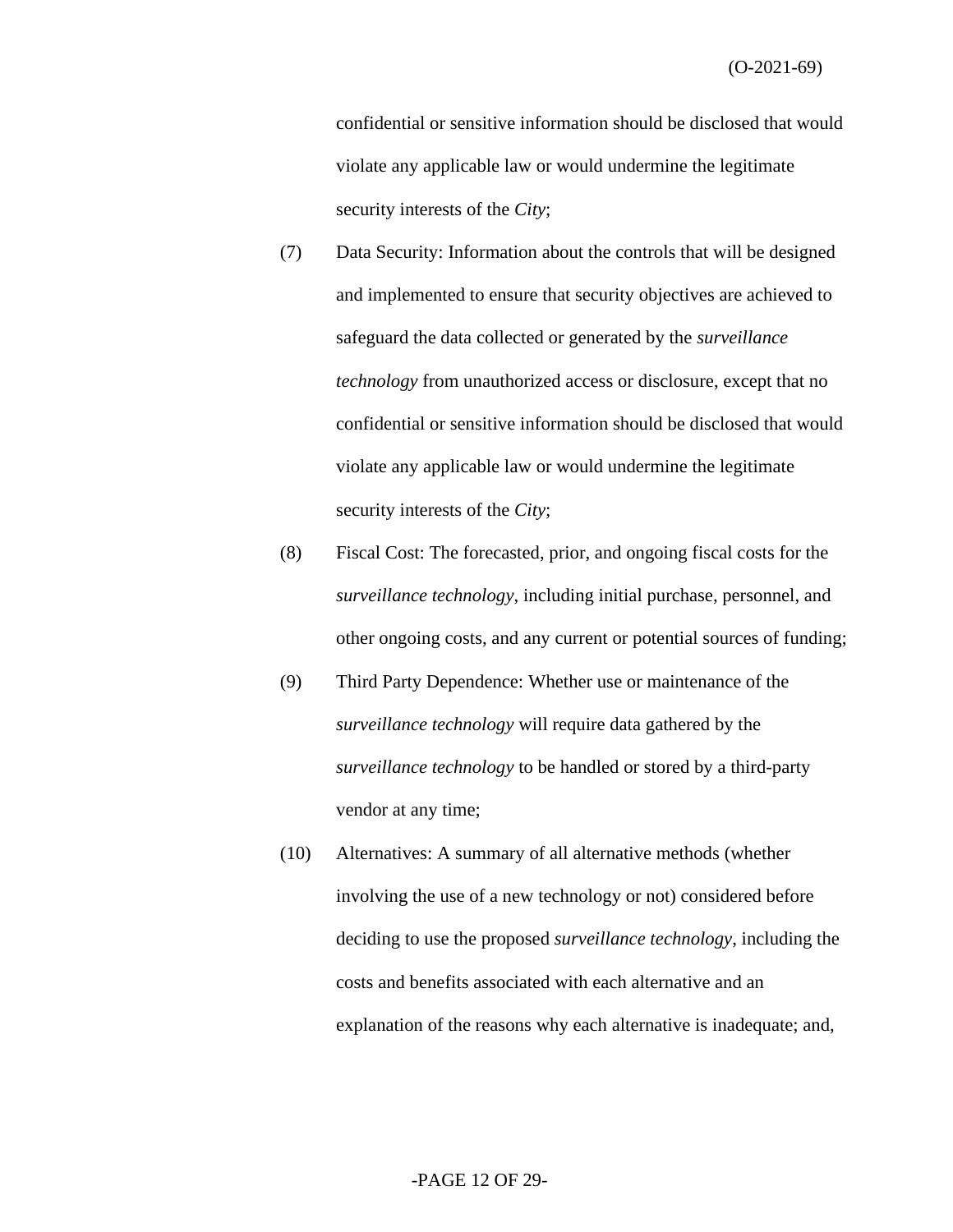(O-2021-69)

confidential or sensitive information should be disclosed that would violate any applicable law or would undermine the legitimate security interests of the *City*;

- (7) Data Security: Information about the controls that will be designed and implemented to ensure that security objectives are achieved to safeguard the data collected or generated by the *surveillance technology* from unauthorized access or disclosure, except that no confidential or sensitive information should be disclosed that would violate any applicable law or would undermine the legitimate security interests of the *City*;
- (8) Fiscal Cost: The forecasted, prior, and ongoing fiscal costs for the *surveillance technology*, including initial purchase, personnel, and other ongoing costs, and any current or potential sources of funding;
- (9) Third Party Dependence: Whether use or maintenance of the *surveillance technology* will require data gathered by the *surveillance technology* to be handled or stored by a third-party vendor at any time;
- (10) Alternatives: A summary of all alternative methods (whether involving the use of a new technology or not) considered before deciding to use the proposed *surveillance technology*, including the costs and benefits associated with each alternative and an explanation of the reasons why each alternative is inadequate; and,

#### -PAGE 12 OF 29-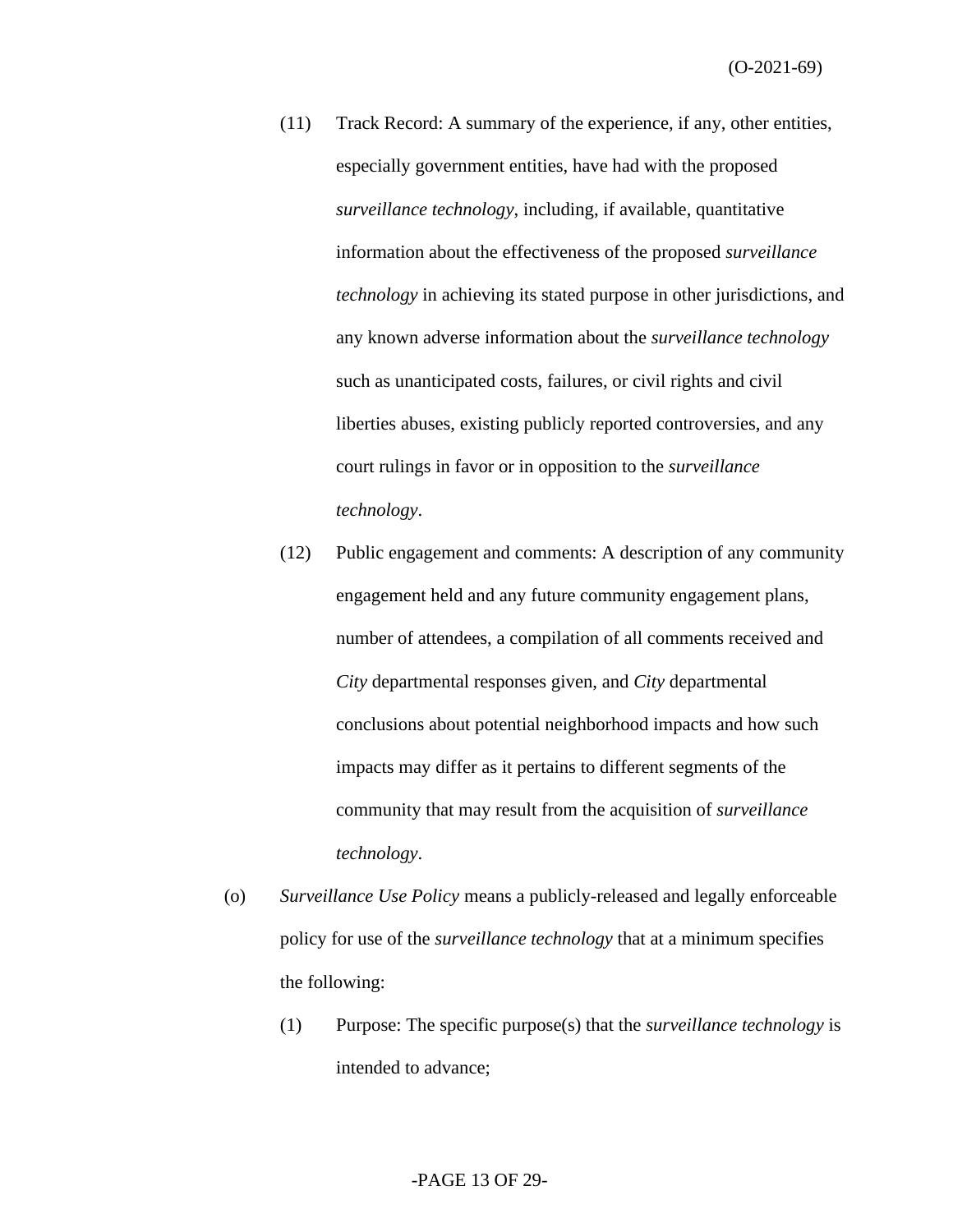- (11) Track Record: A summary of the experience, if any, other entities, especially government entities, have had with the proposed *surveillance technology*, including, if available, quantitative information about the effectiveness of the proposed *surveillance technology* in achieving its stated purpose in other jurisdictions, and any known adverse information about the *surveillance technology* such as unanticipated costs, failures, or civil rights and civil liberties abuses, existing publicly reported controversies, and any court rulings in favor or in opposition to the *surveillance technology*.
- (12) Public engagement and comments: A description of any community engagement held and any future community engagement plans, number of attendees, a compilation of all comments received and *City* departmental responses given, and *City* departmental conclusions about potential neighborhood impacts and how such impacts may differ as it pertains to different segments of the community that may result from the acquisition of *surveillance technology*.
- (o) *Surveillance Use Policy* means a publicly-released and legally enforceable policy for use of the *surveillance technology* that at a minimum specifies the following:
	- (1) Purpose: The specific purpose(s) that the *surveillance technology* is intended to advance;

#### -PAGE 13 OF 29-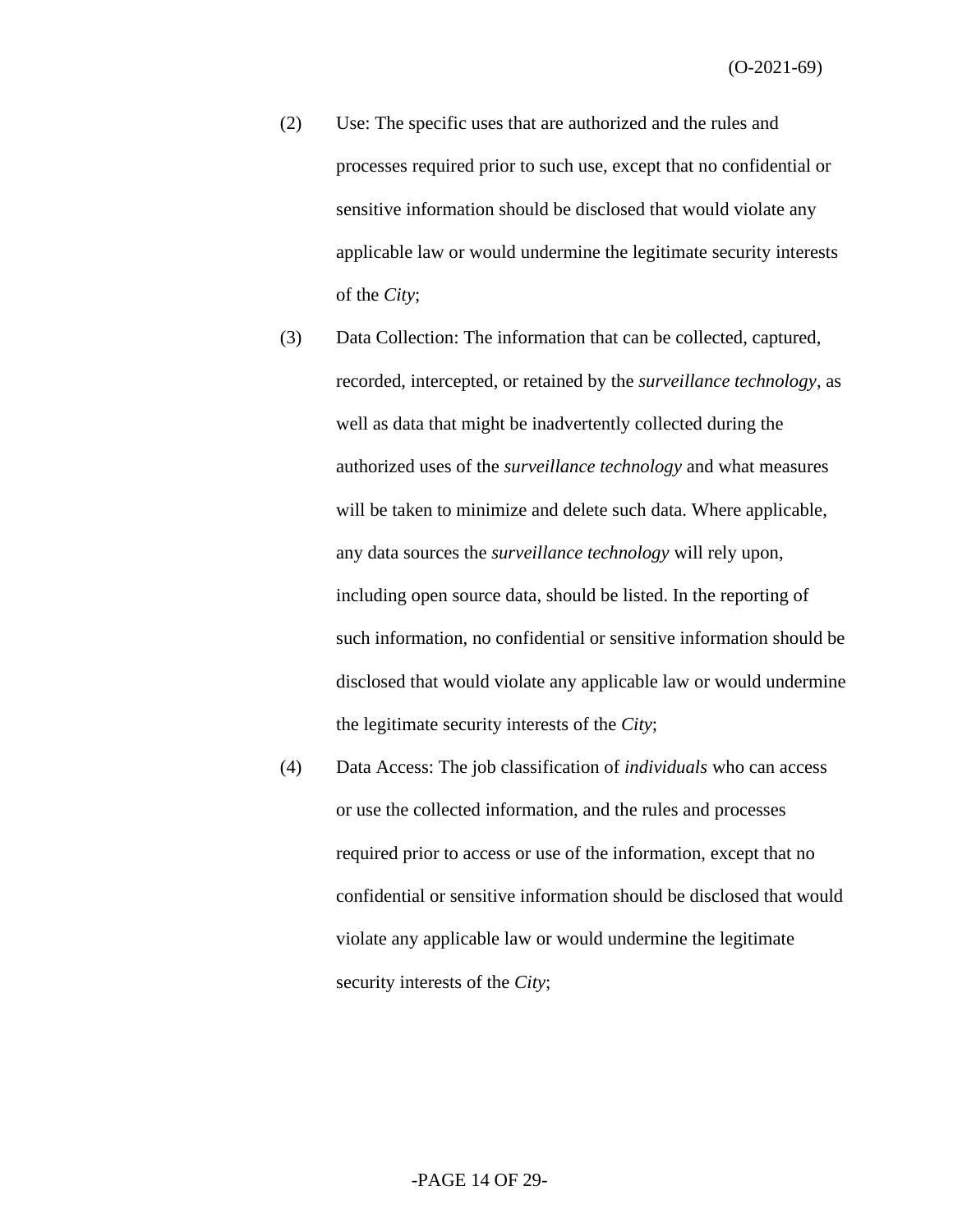- (2) Use: The specific uses that are authorized and the rules and processes required prior to such use, except that no confidential or sensitive information should be disclosed that would violate any applicable law or would undermine the legitimate security interests of the *City*;
- (3) Data Collection: The information that can be collected, captured, recorded, intercepted, or retained by the *surveillance technology*, as well as data that might be inadvertently collected during the authorized uses of the *surveillance technology* and what measures will be taken to minimize and delete such data. Where applicable, any data sources the *surveillance technology* will rely upon, including open source data, should be listed. In the reporting of such information, no confidential or sensitive information should be disclosed that would violate any applicable law or would undermine the legitimate security interests of the *City*;
- (4) Data Access: The job classification of *individuals* who can access or use the collected information, and the rules and processes required prior to access or use of the information, except that no confidential or sensitive information should be disclosed that would violate any applicable law or would undermine the legitimate security interests of the *City*;

#### -PAGE 14 OF 29-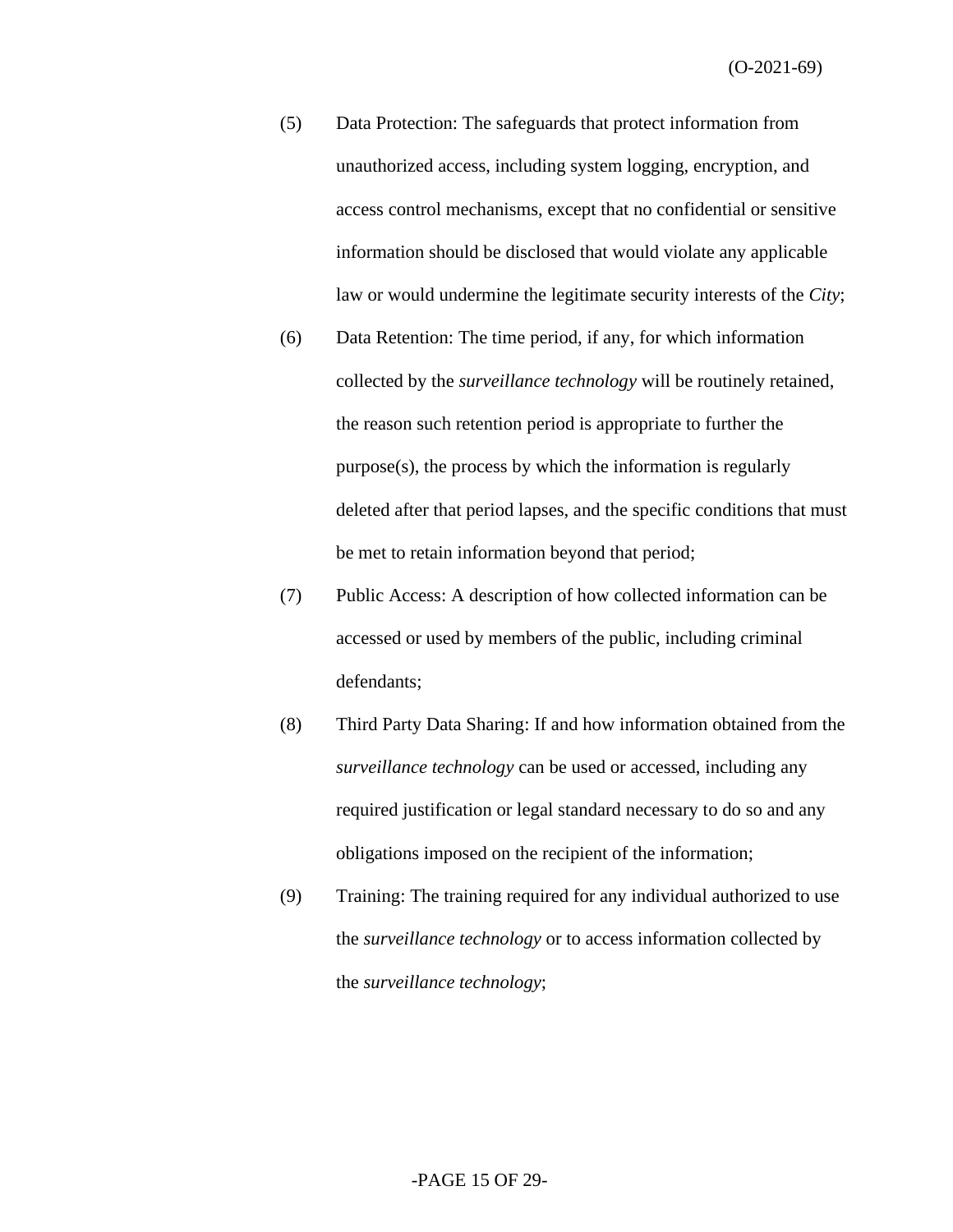- (5) Data Protection: The safeguards that protect information from unauthorized access, including system logging, encryption, and access control mechanisms, except that no confidential or sensitive information should be disclosed that would violate any applicable law or would undermine the legitimate security interests of the *City*;
- (6) Data Retention: The time period, if any, for which information collected by the *surveillance technology* will be routinely retained, the reason such retention period is appropriate to further the purpose(s), the process by which the information is regularly deleted after that period lapses, and the specific conditions that must be met to retain information beyond that period;
- (7) Public Access: A description of how collected information can be accessed or used by members of the public, including criminal defendants;
- (8) Third Party Data Sharing: If and how information obtained from the *surveillance technology* can be used or accessed, including any required justification or legal standard necessary to do so and any obligations imposed on the recipient of the information;
- (9) Training: The training required for any individual authorized to use the *surveillance technology* or to access information collected by the *surveillance technology*;

#### -PAGE 15 OF 29-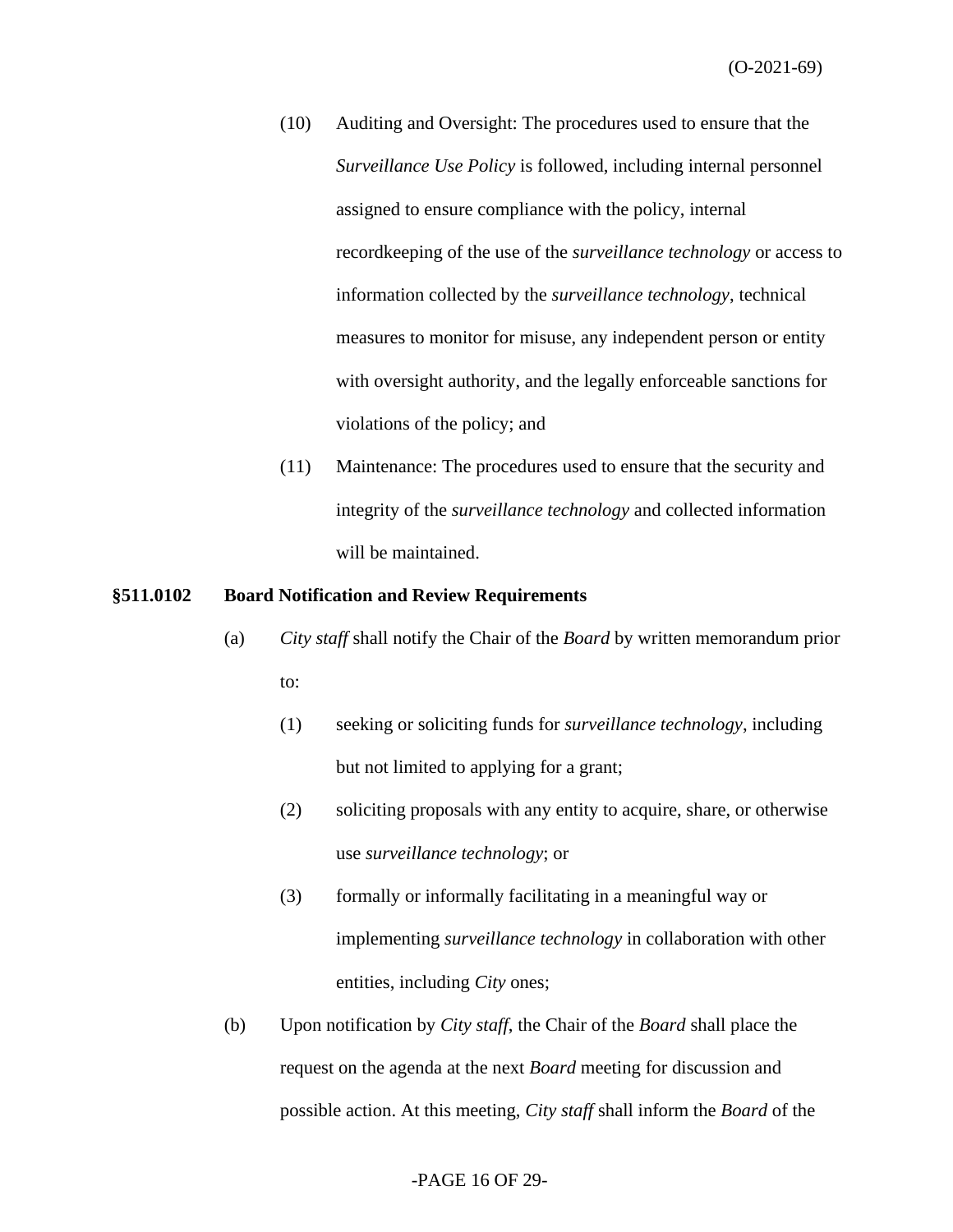- (10) Auditing and Oversight: The procedures used to ensure that the *Surveillance Use Policy* is followed, including internal personnel assigned to ensure compliance with the policy, internal recordkeeping of the use of the *surveillance technology* or access to information collected by the *surveillance technology*, technical measures to monitor for misuse, any independent person or entity with oversight authority, and the legally enforceable sanctions for violations of the policy; and
- (11) Maintenance: The procedures used to ensure that the security and integrity of the *surveillance technology* and collected information will be maintained.

#### **§511.0102 Board Notification and Review Requirements**

- (a) *City staff* shall notify the Chair of the *Board* by written memorandum prior to:
	- (1) seeking or soliciting funds for *surveillance technology*, including but not limited to applying for a grant;
	- (2) soliciting proposals with any entity to acquire, share, or otherwise use *surveillance technology*; or
	- (3) formally or informally facilitating in a meaningful way or implementing *surveillance technology* in collaboration with other entities, including *City* ones;
- (b) Upon notification by *City staff*, the Chair of the *Board* shall place the request on the agenda at the next *Board* meeting for discussion and possible action. At this meeting, *City staff* shall inform the *Board* of the

## -PAGE 16 OF 29-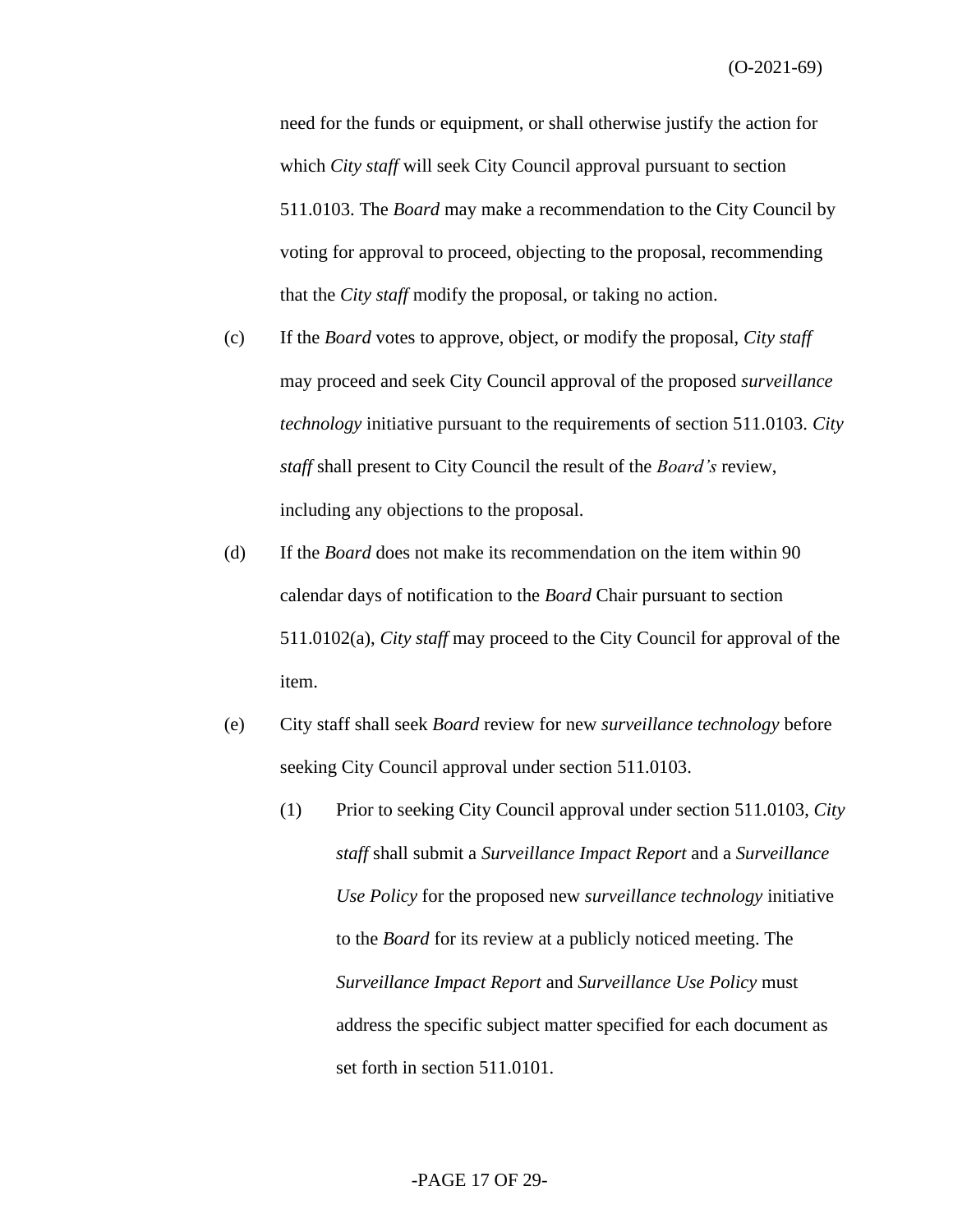need for the funds or equipment, or shall otherwise justify the action for which *City staff* will seek City Council approval pursuant to section 511.0103. The *Board* may make a recommendation to the City Council by voting for approval to proceed, objecting to the proposal, recommending that the *City staff* modify the proposal, or taking no action.

- (c) If the *Board* votes to approve, object, or modify the proposal, *City staff* may proceed and seek City Council approval of the proposed *surveillance technology* initiative pursuant to the requirements of section 511.0103. *City staff* shall present to City Council the result of the *Board's* review, including any objections to the proposal.
- (d) If the *Board* does not make its recommendation on the item within 90 calendar days of notification to the *Board* Chair pursuant to section 511.0102(a), *City staff* may proceed to the City Council for approval of the item.
- (e) City staff shall seek *Board* review for new *surveillance technology* before seeking City Council approval under section 511.0103.
	- (1) Prior to seeking City Council approval under section 511.0103, *City staff* shall submit a *Surveillance Impact Report* and a *Surveillance Use Policy* for the proposed new *surveillance technology* initiative to the *Board* for its review at a publicly noticed meeting. The *Surveillance Impact Report* and *Surveillance Use Policy* must address the specific subject matter specified for each document as set forth in section 511.0101.

#### -PAGE 17 OF 29-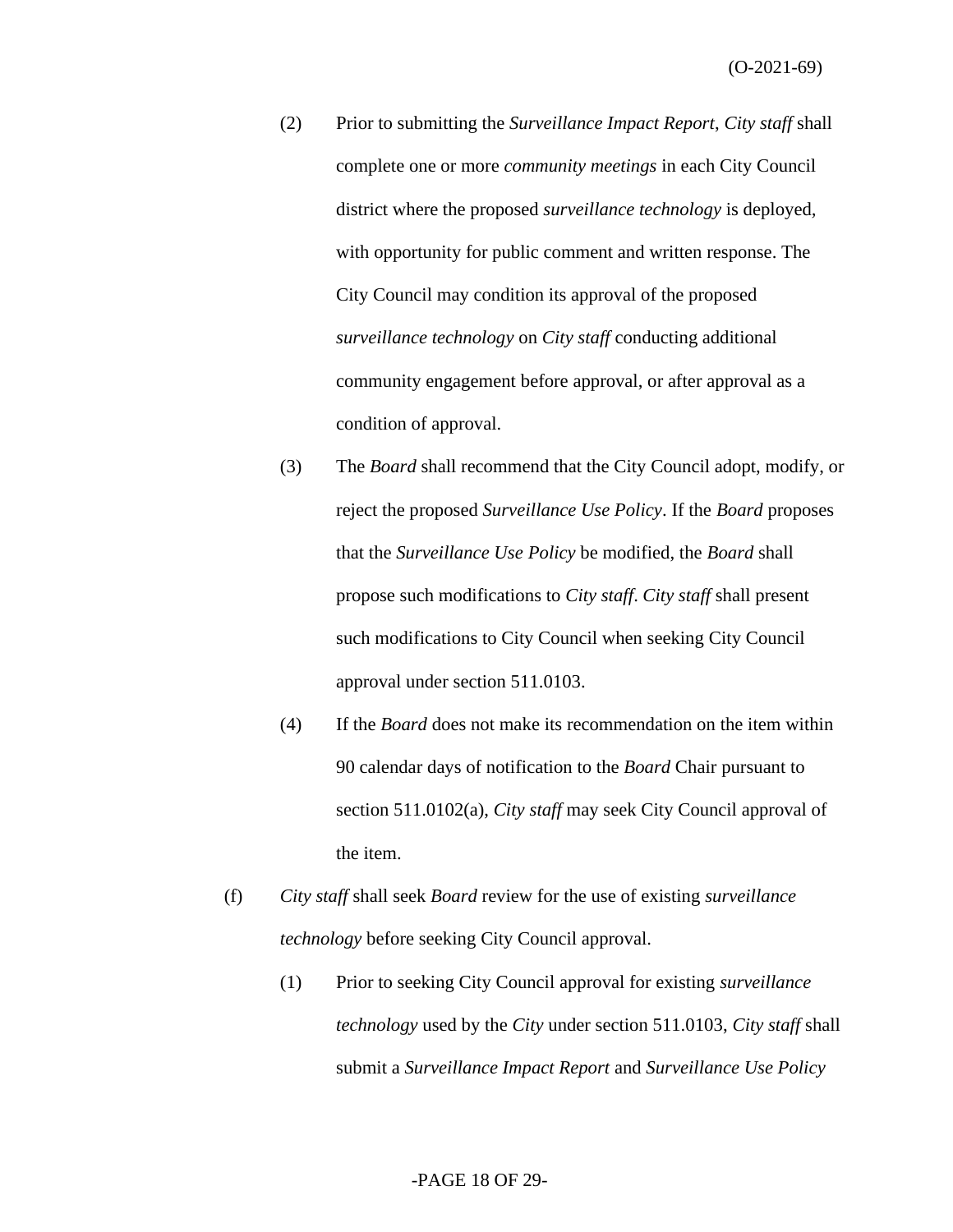- (2) Prior to submitting the *Surveillance Impact Report*, *City staff* shall complete one or more *community meetings* in each City Council district where the proposed *surveillance technology* is deployed*,* with opportunity for public comment and written response. The City Council may condition its approval of the proposed *surveillance technology* on *City staff* conducting additional community engagement before approval, or after approval as a condition of approval.
- (3) The *Board* shall recommend that the City Council adopt, modify, or reject the proposed *Surveillance Use Policy*. If the *Board* proposes that the *Surveillance Use Policy* be modified, the *Board* shall propose such modifications to *City staff*. *City staff* shall present such modifications to City Council when seeking City Council approval under section 511.0103.
- (4) If the *Board* does not make its recommendation on the item within 90 calendar days of notification to the *Board* Chair pursuant to section 511.0102(a), *City staff* may seek City Council approval of the item.
- (f) *City staff* shall seek *Board* review for the use of existing *surveillance technology* before seeking City Council approval.
	- (1) Prior to seeking City Council approval for existing *surveillance technology* used by the *City* under section 511.0103, *City staff* shall submit a *Surveillance Impact Report* and *Surveillance Use Policy*

#### -PAGE 18 OF 29-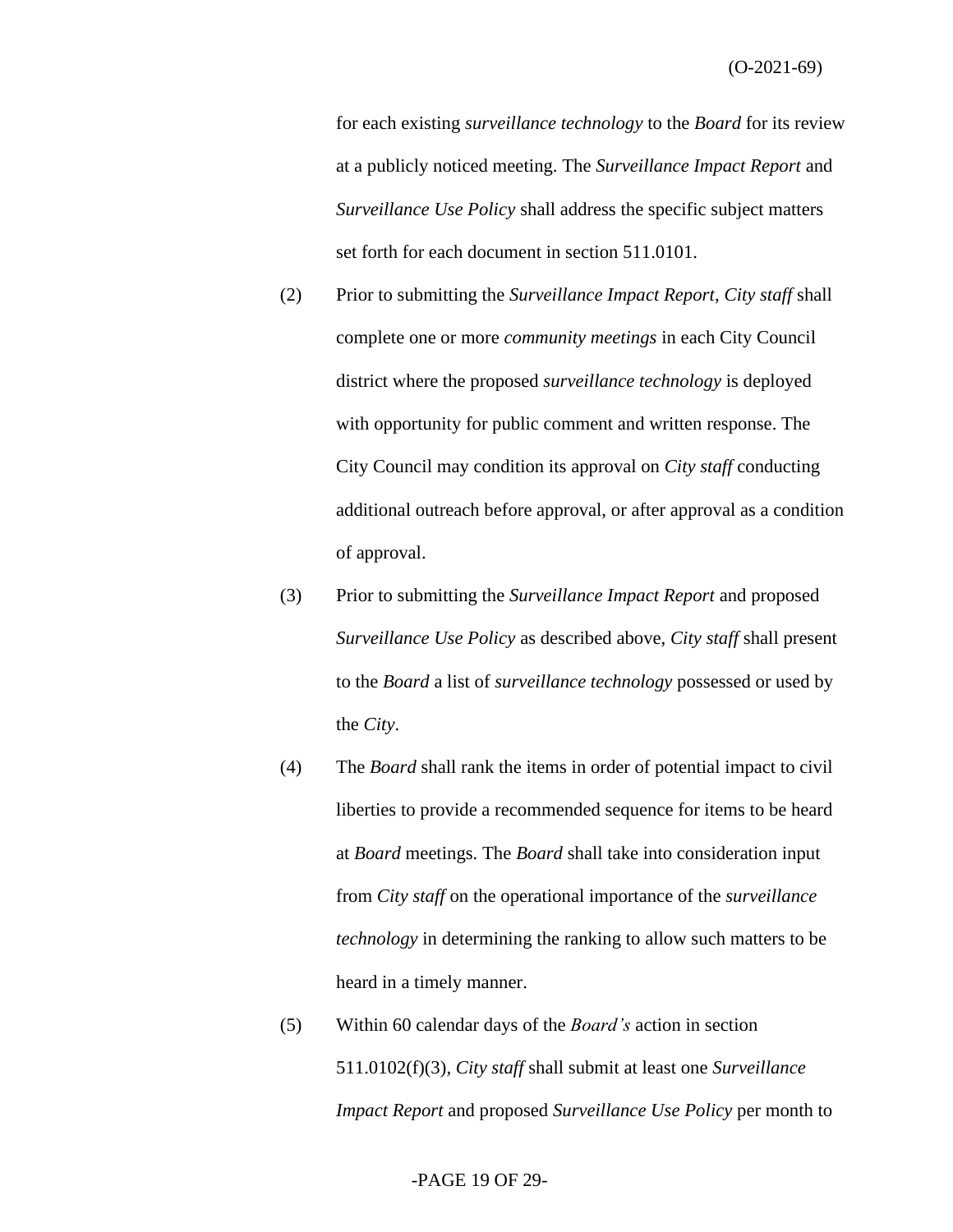for each existing *surveillance technology* to the *Board* for its review at a publicly noticed meeting. The *Surveillance Impact Report* and *Surveillance Use Policy* shall address the specific subject matters set forth for each document in section 511.0101.

- (2) Prior to submitting the *Surveillance Impact Report*, *City staff* shall complete one or more *community meetings* in each City Council district where the proposed *surveillance technology* is deployed with opportunity for public comment and written response. The City Council may condition its approval on *City staff* conducting additional outreach before approval, or after approval as a condition of approval.
- (3) Prior to submitting the *Surveillance Impact Report* and proposed *Surveillance Use Policy* as described above, *City staff* shall present to the *Board* a list of *surveillance technology* possessed or used by the *City*.
- (4) The *Board* shall rank the items in order of potential impact to civil liberties to provide a recommended sequence for items to be heard at *Board* meetings. The *Board* shall take into consideration input from *City staff* on the operational importance of the *surveillance technology* in determining the ranking to allow such matters to be heard in a timely manner.
- (5) Within 60 calendar days of the *Board's* action in section 511.0102(f)(3), *City staff* shall submit at least one *Surveillance Impact Report* and proposed *Surveillance Use Policy* per month to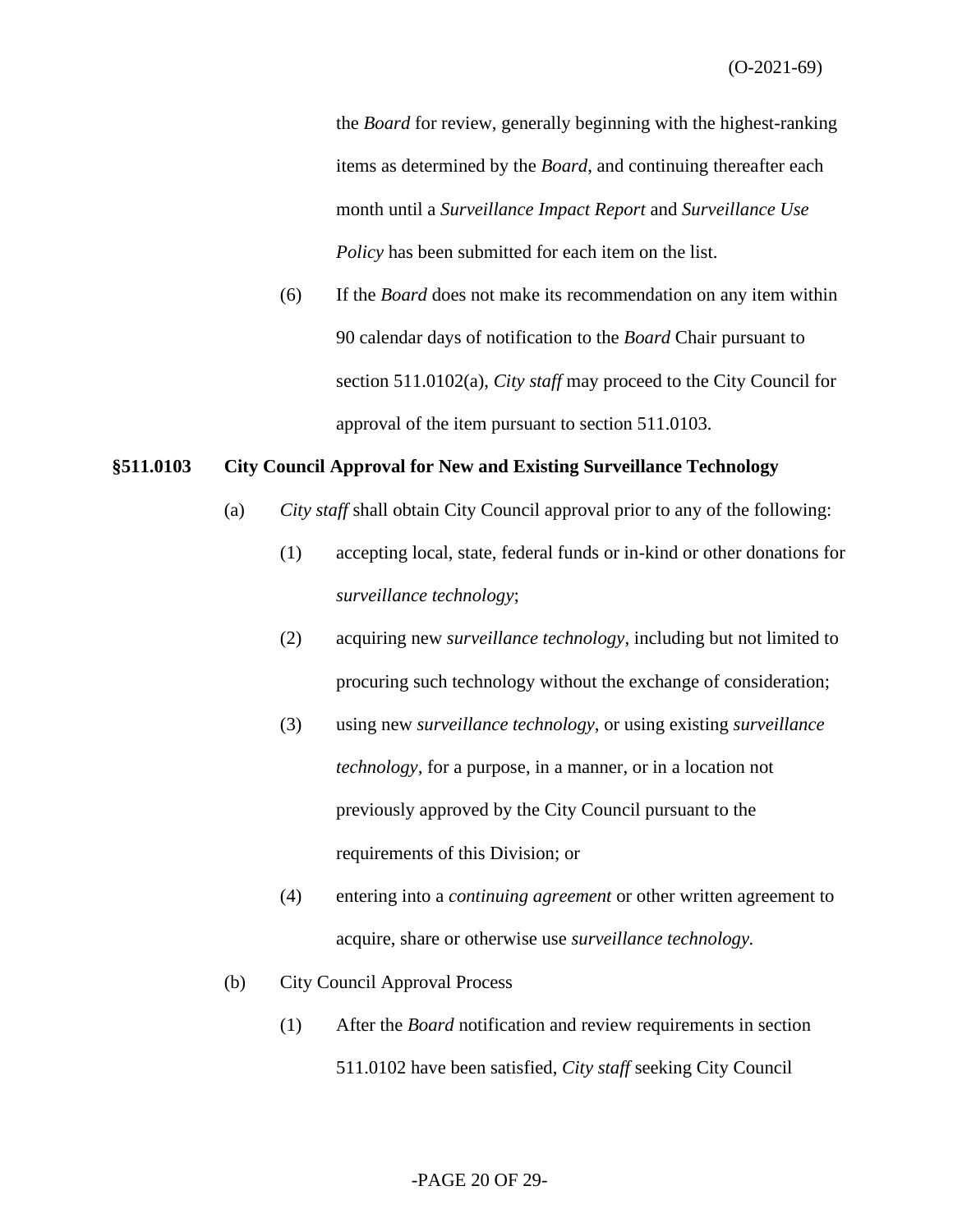the *Board* for review, generally beginning with the highest-ranking items as determined by the *Board*, and continuing thereafter each month until a *Surveillance Impact Report* and *Surveillance Use Policy* has been submitted for each item on the list.

(6) If the *Board* does not make its recommendation on any item within 90 calendar days of notification to the *Board* Chair pursuant to section 511.0102(a), *City staff* may proceed to the City Council for approval of the item pursuant to section 511.0103.

#### **§511.0103 City Council Approval for New and Existing Surveillance Technology**

- (a) *City staff* shall obtain City Council approval prior to any of the following:
	- (1) accepting local, state, federal funds or in-kind or other donations for *surveillance technology*;
	- (2) acquiring new *surveillance technology*, including but not limited to procuring such technology without the exchange of consideration;
	- (3) using new *surveillance technology*, or using existing *surveillance technology,* for a purpose, in a manner, or in a location not previously approved by the City Council pursuant to the requirements of this Division; or
	- (4) entering into a *continuing agreement* or other written agreement to acquire, share or otherwise use *surveillance technology.*
- (b) City Council Approval Process
	- (1) After the *Board* notification and review requirements in section 511.0102 have been satisfied, *City staff* seeking City Council

#### -PAGE 20 OF 29-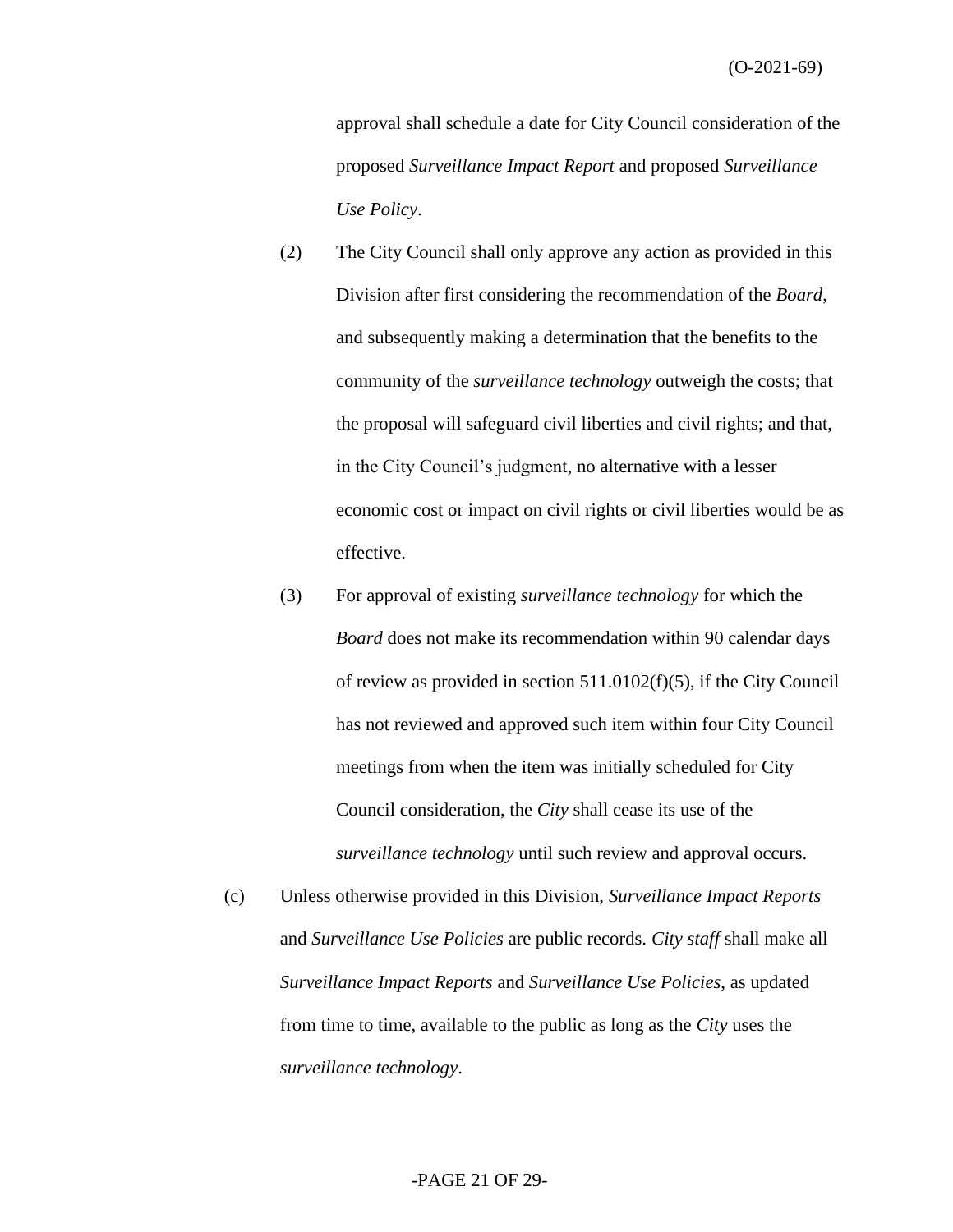approval shall schedule a date for City Council consideration of the proposed *Surveillance Impact Report* and proposed *Surveillance Use Policy*.

- (2) The City Council shall only approve any action as provided in this Division after first considering the recommendation of the *Board*, and subsequently making a determination that the benefits to the community of the *surveillance technology* outweigh the costs; that the proposal will safeguard civil liberties and civil rights; and that, in the City Council's judgment, no alternative with a lesser economic cost or impact on civil rights or civil liberties would be as effective.
- (3) For approval of existing *surveillance technology* for which the *Board* does not make its recommendation within 90 calendar days of review as provided in section 511.0102(f)(5), if the City Council has not reviewed and approved such item within four City Council meetings from when the item was initially scheduled for City Council consideration, the *City* shall cease its use of the *surveillance technology* until such review and approval occurs.
- (c) Unless otherwise provided in this Division, *Surveillance Impact Reports* and *Surveillance Use Policies* are public records. *City staff* shall make all *Surveillance Impact Reports* and *Surveillance Use Policies*, as updated from time to time, available to the public as long as the *City* uses the *surveillance technology*.

#### -PAGE 21 OF 29-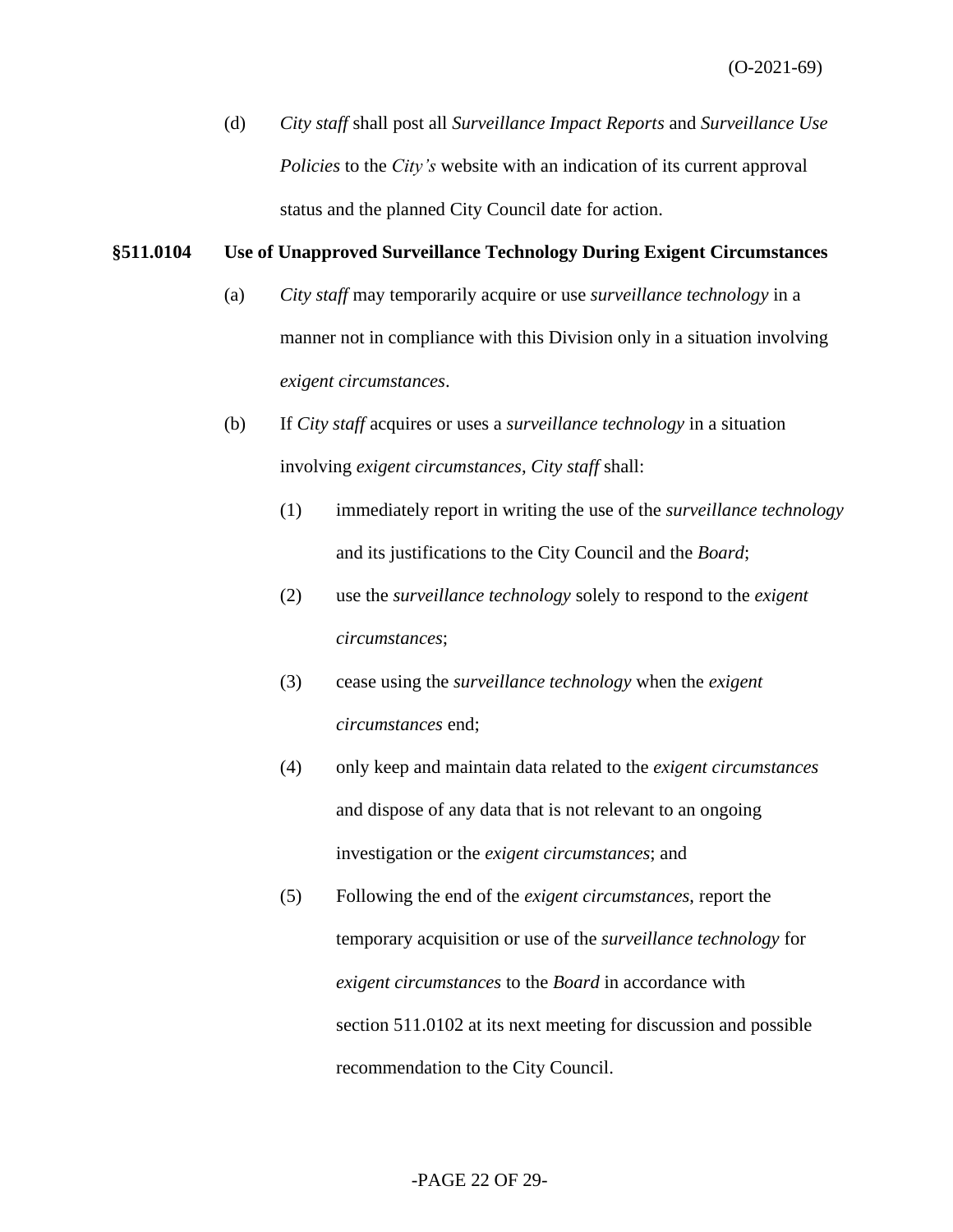(d) *City staff* shall post all *Surveillance Impact Reports* and *Surveillance Use Policies* to the *City's* website with an indication of its current approval status and the planned City Council date for action.

#### **§511.0104 Use of Unapproved Surveillance Technology During Exigent Circumstances**

- (a) *City staff* may temporarily acquire or use *surveillance technology* in a manner not in compliance with this Division only in a situation involving *exigent circumstances*.
- (b) If *City staff* acquires or uses a *surveillance technology* in a situation involving *exigent circumstances*, *City staff* shall:
	- (1) immediately report in writing the use of the *surveillance technology* and its justifications to the City Council and the *Board*;
	- (2) use the *surveillance technology* solely to respond to the *exigent circumstances*;
	- (3) cease using the *surveillance technology* when the *exigent circumstances* end;
	- (4) only keep and maintain data related to the *exigent circumstances* and dispose of any data that is not relevant to an ongoing investigation or the *exigent circumstances*; and
	- (5) Following the end of the *exigent circumstances*, report the temporary acquisition or use of the *surveillance technology* for *exigent circumstances* to the *Board* in accordance with section 511.0102 at its next meeting for discussion and possible recommendation to the City Council.

#### -PAGE 22 OF 29-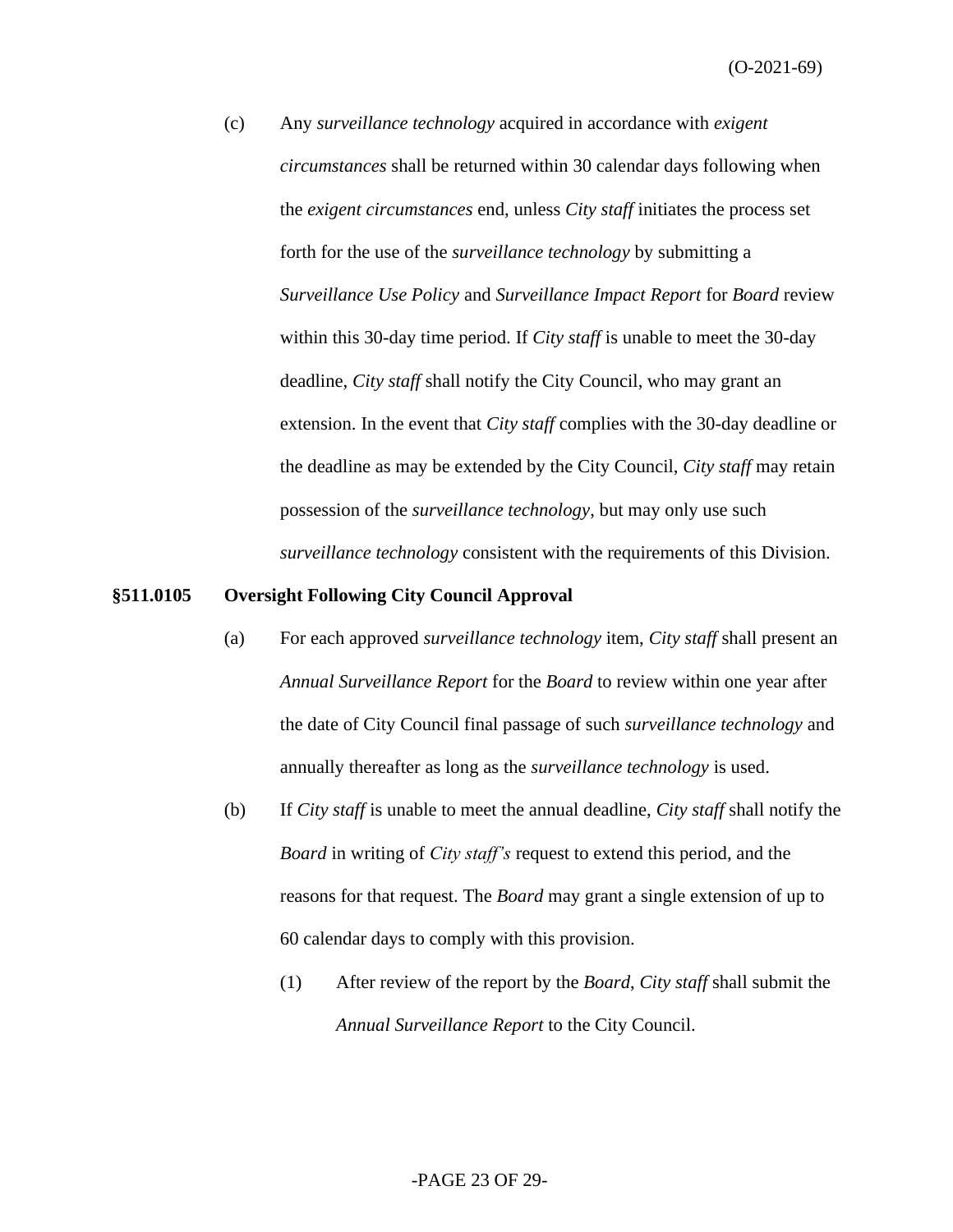(c) Any *surveillance technology* acquired in accordance with *exigent circumstances* shall be returned within 30 calendar days following when the *exigent circumstances* end, unless *City staff* initiates the process set forth for the use of the *surveillance technology* by submitting a *Surveillance Use Policy* and *Surveillance Impact Report* for *Board* review within this 30-day time period. If *City staff* is unable to meet the 30-day deadline, *City staff* shall notify the City Council, who may grant an extension. In the event that *City staff* complies with the 30-day deadline or the deadline as may be extended by the City Council, *City staff* may retain possession of the *surveillance technology*, but may only use such *surveillance technology* consistent with the requirements of this Division.

#### **§511.0105 Oversight Following City Council Approval**

- (a) For each approved *surveillance technology* item, *City staff* shall present an *Annual Surveillance Report* for the *Board* to review within one year after the date of City Council final passage of such *surveillance technology* and annually thereafter as long as the *surveillance technology* is used.
- (b) If *City staff* is unable to meet the annual deadline, *City staff* shall notify the *Board* in writing of *City staff's* request to extend this period, and the reasons for that request. The *Board* may grant a single extension of up to 60 calendar days to comply with this provision.
	- (1) After review of the report by the *Board*, *City staff* shall submit the *Annual Surveillance Report* to the City Council.

#### -PAGE 23 OF 29-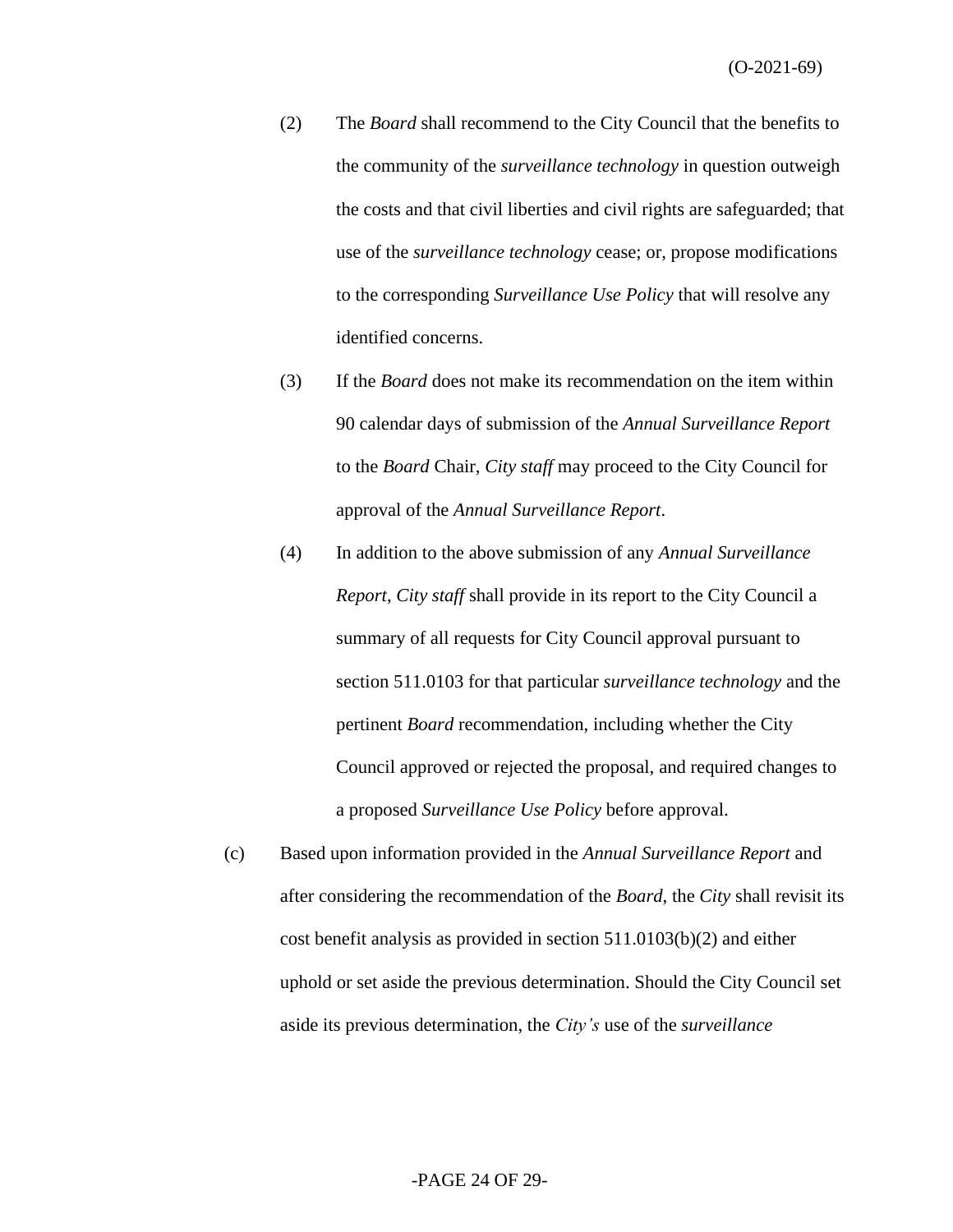- (2) The *Board* shall recommend to the City Council that the benefits to the community of the *surveillance technology* in question outweigh the costs and that civil liberties and civil rights are safeguarded; that use of the *surveillance technology* cease; or, propose modifications to the corresponding *Surveillance Use Policy* that will resolve any identified concerns.
- (3) If the *Board* does not make its recommendation on the item within 90 calendar days of submission of the *Annual Surveillance Report* to the *Board* Chair, *City staff* may proceed to the City Council for approval of the *Annual Surveillance Report*.
- (4) In addition to the above submission of any *Annual Surveillance Report*, *City staff* shall provide in its report to the City Council a summary of all requests for City Council approval pursuant to section 511.0103 for that particular *surveillance technology* and the pertinent *Board* recommendation, including whether the City Council approved or rejected the proposal, and required changes to a proposed *Surveillance Use Policy* before approval.
- (c) Based upon information provided in the *Annual Surveillance Report* and after considering the recommendation of the *Board*, the *City* shall revisit its cost benefit analysis as provided in section 511.0103(b)(2) and either uphold or set aside the previous determination. Should the City Council set aside its previous determination, the *City's* use of the *surveillance*

## -PAGE 24 OF 29-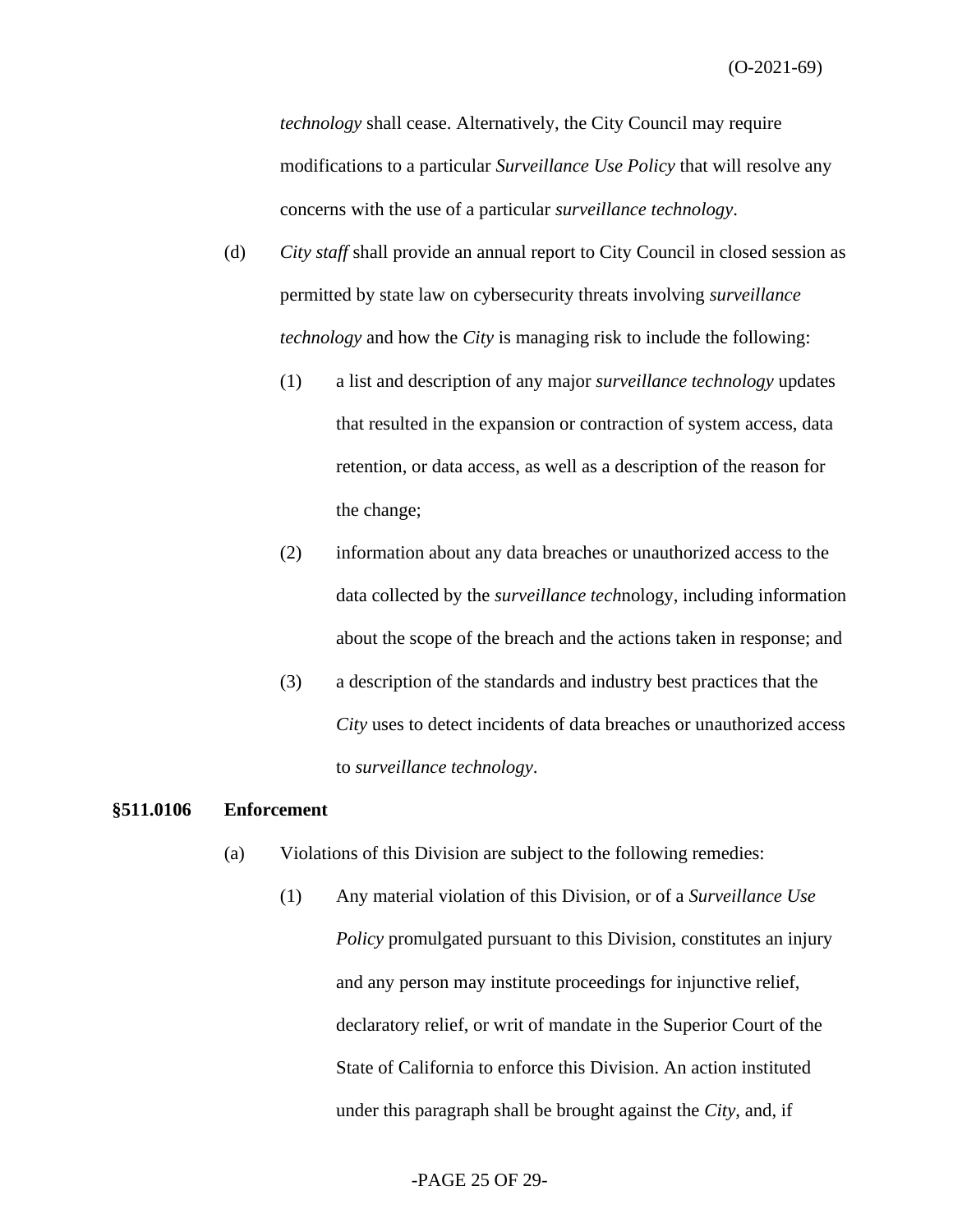*technology* shall cease. Alternatively, the City Council may require modifications to a particular *Surveillance Use Policy* that will resolve any concerns with the use of a particular *surveillance technology*.

- (d) *City staff* shall provide an annual report to City Council in closed session as permitted by state law on cybersecurity threats involving *surveillance technology* and how the *City* is managing risk to include the following:
	- (1) a list and description of any major *surveillance technology* updates that resulted in the expansion or contraction of system access, data retention, or data access, as well as a description of the reason for the change;
	- (2) information about any data breaches or unauthorized access to the data collected by the *surveillance tech*nology, including information about the scope of the breach and the actions taken in response; and
	- (3) a description of the standards and industry best practices that the *City* uses to detect incidents of data breaches or unauthorized access to *surveillance technology*.

#### **§511.0106 Enforcement**

- (a) Violations of this Division are subject to the following remedies:
	- (1) Any material violation of this Division, or of a *Surveillance Use Policy* promulgated pursuant to this Division, constitutes an injury and any person may institute proceedings for injunctive relief, declaratory relief, or writ of mandate in the Superior Court of the State of California to enforce this Division. An action instituted under this paragraph shall be brought against the *City*, and, if

#### -PAGE 25 OF 29-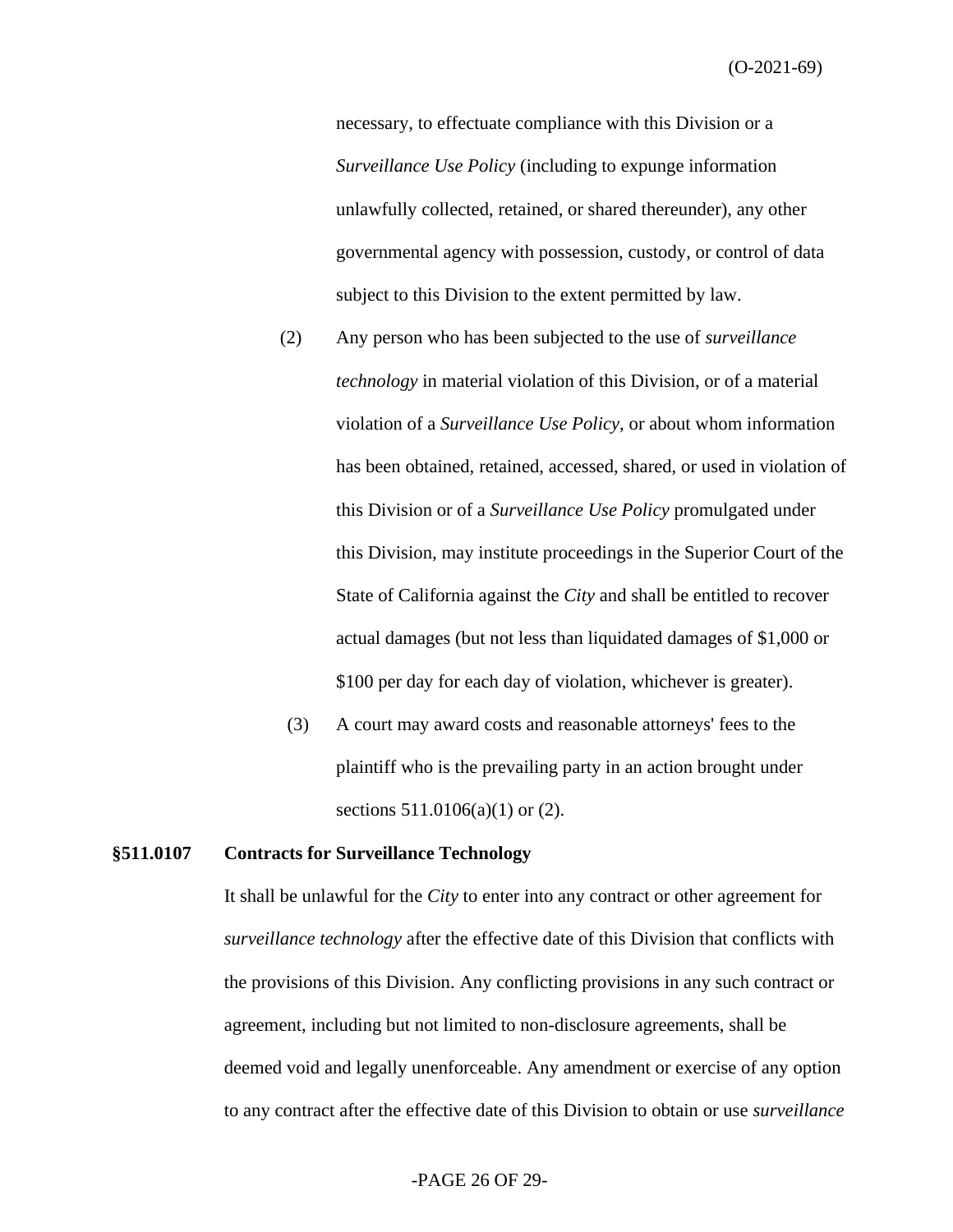necessary, to effectuate compliance with this Division or a *Surveillance Use Policy* (including to expunge information unlawfully collected, retained, or shared thereunder), any other governmental agency with possession, custody, or control of data subject to this Division to the extent permitted by law.

- (2) Any person who has been subjected to the use of *surveillance technology* in material violation of this Division, or of a material violation of a *Surveillance Use Policy*, or about whom information has been obtained, retained, accessed, shared, or used in violation of this Division or of a *Surveillance Use Policy* promulgated under this Division, may institute proceedings in the Superior Court of the State of California against the *City* and shall be entitled to recover actual damages (but not less than liquidated damages of \$1,000 or \$100 per day for each day of violation, whichever is greater).
- (3) A court may award costs and reasonable attorneys' fees to the plaintiff who is the prevailing party in an action brought under sections 511.0106(a)(1) or (2).

#### **§511.0107 Contracts for Surveillance Technology**

It shall be unlawful for the *City* to enter into any contract or other agreement for *surveillance technology* after the effective date of this Division that conflicts with the provisions of this Division. Any conflicting provisions in any such contract or agreement, including but not limited to non-disclosure agreements, shall be deemed void and legally unenforceable. Any amendment or exercise of any option to any contract after the effective date of this Division to obtain or use *surveillance*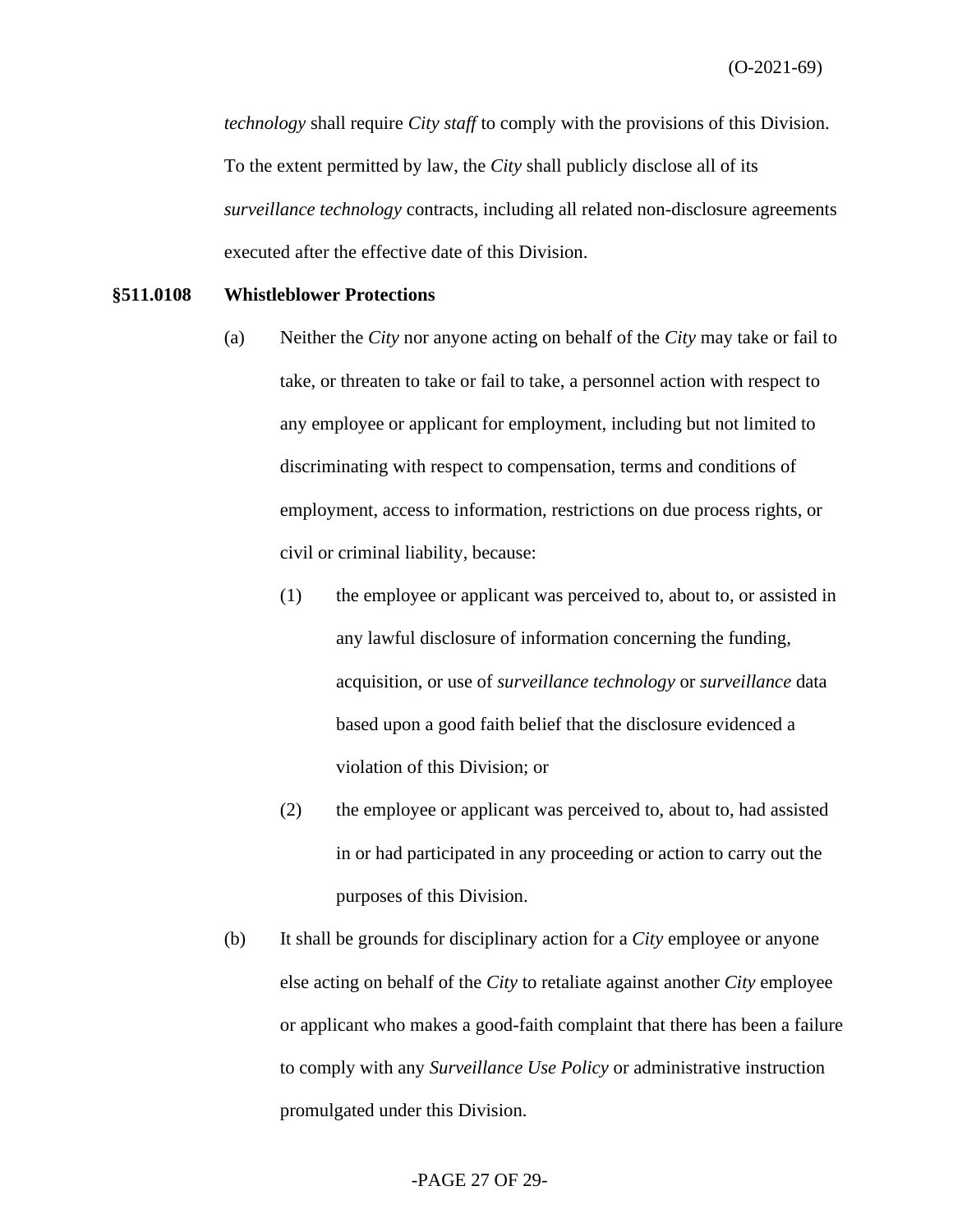*technology* shall require *City staff* to comply with the provisions of this Division. To the extent permitted by law, the *City* shall publicly disclose all of its *surveillance technology* contracts, including all related non-disclosure agreements executed after the effective date of this Division.

#### **§511.0108 Whistleblower Protections**

- (a) Neither the *City* nor anyone acting on behalf of the *City* may take or fail to take, or threaten to take or fail to take, a personnel action with respect to any employee or applicant for employment, including but not limited to discriminating with respect to compensation, terms and conditions of employment, access to information, restrictions on due process rights, or civil or criminal liability, because:
	- (1) the employee or applicant was perceived to, about to, or assisted in any lawful disclosure of information concerning the funding, acquisition, or use of *surveillance technology* or *surveillance* data based upon a good faith belief that the disclosure evidenced a violation of this Division; or
	- (2) the employee or applicant was perceived to, about to, had assisted in or had participated in any proceeding or action to carry out the purposes of this Division.
- (b) It shall be grounds for disciplinary action for a *City* employee or anyone else acting on behalf of the *City* to retaliate against another *City* employee or applicant who makes a good-faith complaint that there has been a failure to comply with any *Surveillance Use Policy* or administrative instruction promulgated under this Division.

#### -PAGE 27 OF 29-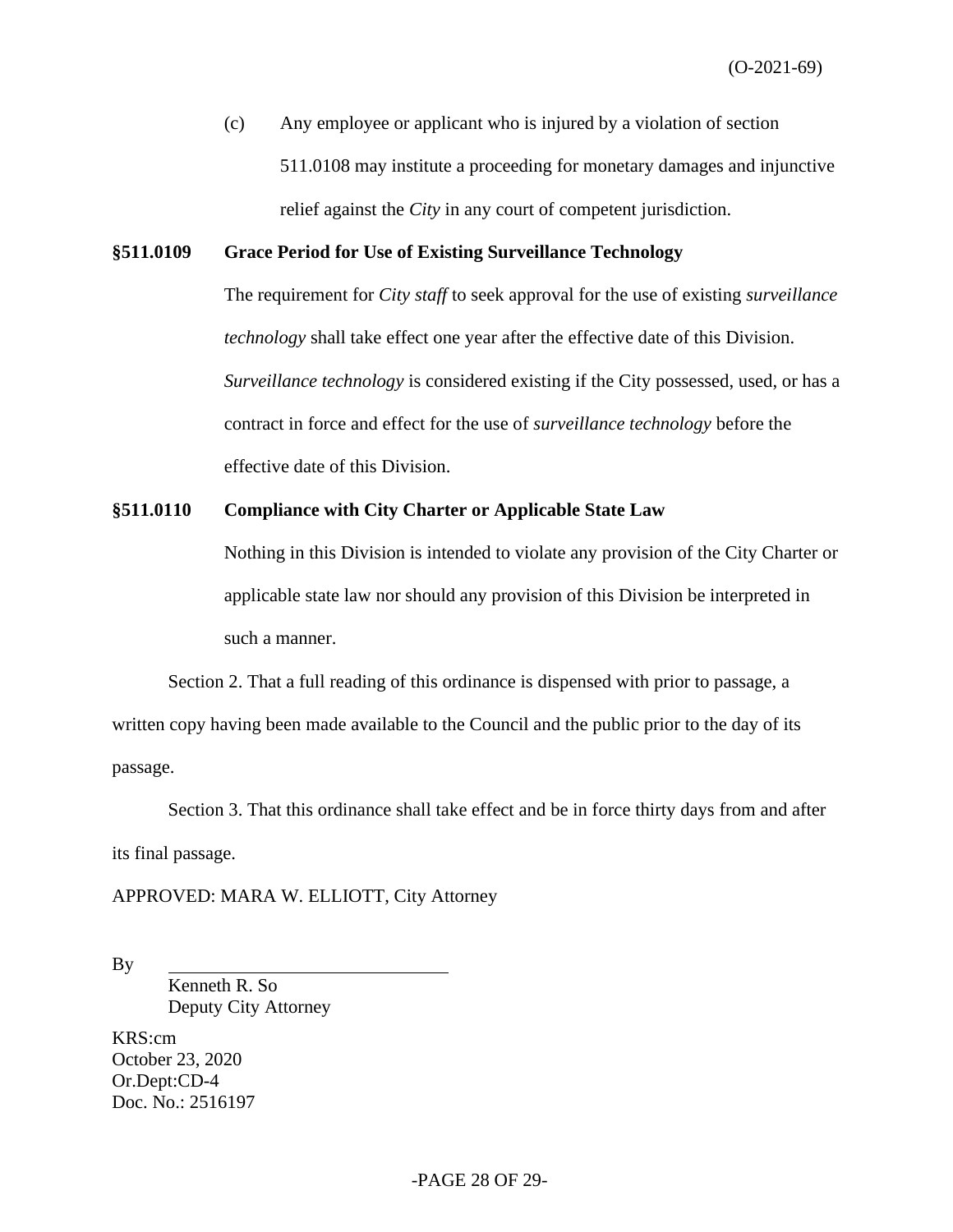(c) Any employee or applicant who is injured by a violation of section 511.0108 may institute a proceeding for monetary damages and injunctive relief against the *City* in any court of competent jurisdiction.

#### **§511.0109 Grace Period for Use of Existing Surveillance Technology**

The requirement for *City staff* to seek approval for the use of existing *surveillance technology* shall take effect one year after the effective date of this Division. *Surveillance technology* is considered existing if the City possessed, used, or has a contract in force and effect for the use of *surveillance technology* before the effective date of this Division.

#### **§511.0110 Compliance with City Charter or Applicable State Law**

Nothing in this Division is intended to violate any provision of the City Charter or applicable state law nor should any provision of this Division be interpreted in such a manner.

Section 2. That a full reading of this ordinance is dispensed with prior to passage, a written copy having been made available to the Council and the public prior to the day of its passage.

Section 3. That this ordinance shall take effect and be in force thirty days from and after its final passage.

APPROVED: MARA W. ELLIOTT, City Attorney

By

Kenneth R. So Deputy City Attorney

KRS:cm October 23, 2020 Or.Dept:CD-4 Doc. No.: 2516197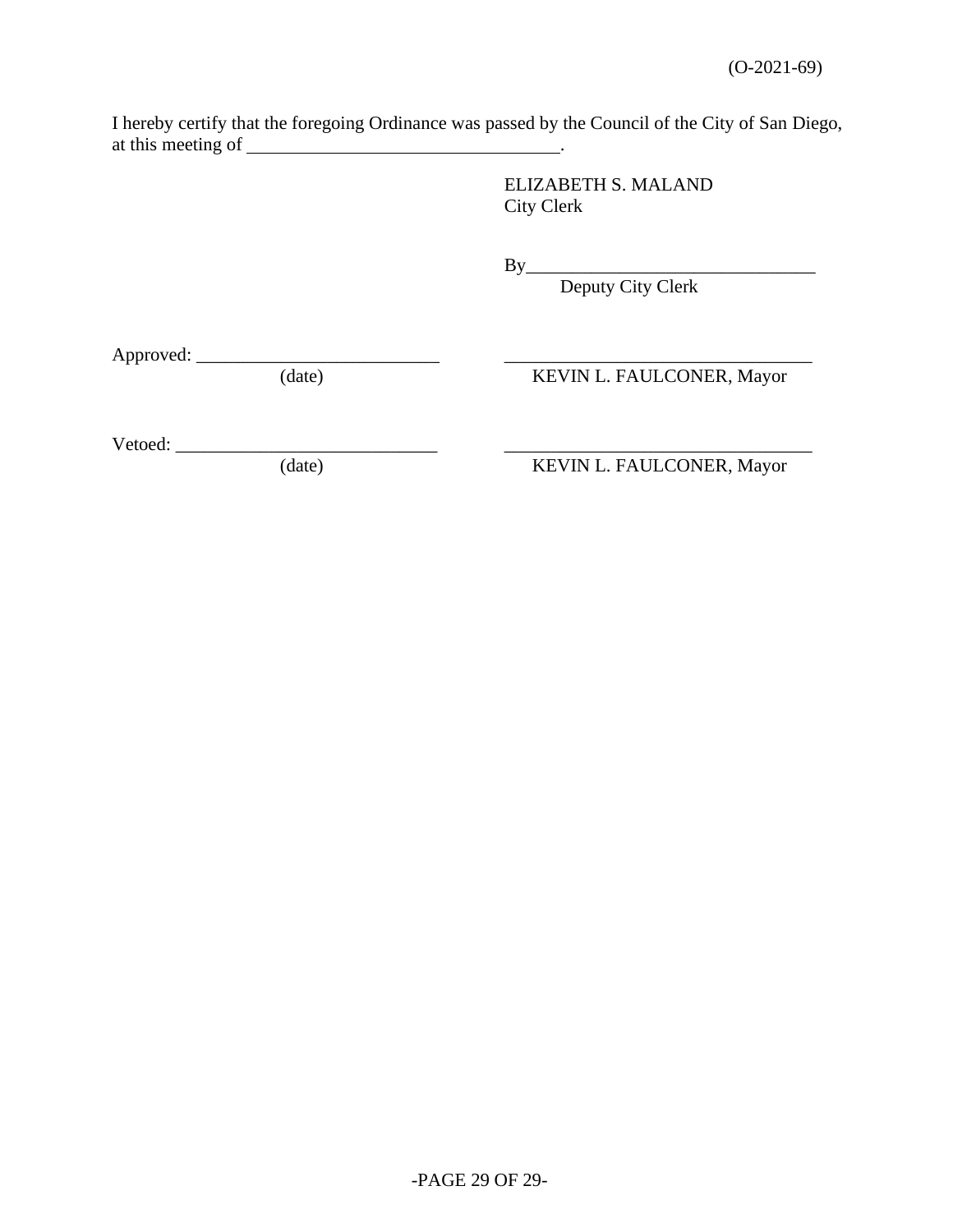I hereby certify that the foregoing Ordinance was passed by the Council of the City of San Diego, at this meeting of \_\_\_\_\_\_

> ELIZABETH S. MALAND City Clerk

By\_\_\_\_\_\_\_\_\_\_\_\_\_\_\_\_\_\_\_\_\_\_\_\_\_\_\_\_\_\_\_

Deputy City Clerk

Approved: \_\_\_\_\_\_\_\_\_\_\_\_\_\_\_\_\_\_\_\_\_\_\_\_\_\_ \_\_\_\_\_\_\_\_\_\_\_\_\_\_\_\_\_\_\_\_\_\_\_\_\_\_\_\_\_\_\_\_\_

KEVIN L. FAULCONER, Mayor

Vetoed: \_\_\_\_\_\_\_\_\_\_\_\_\_\_\_\_\_\_\_\_\_\_\_\_\_\_\_\_ \_\_\_\_\_\_\_\_\_\_\_\_\_\_\_\_\_\_\_\_\_\_\_\_\_\_\_\_\_\_\_\_\_

KEVIN L. FAULCONER, Mayor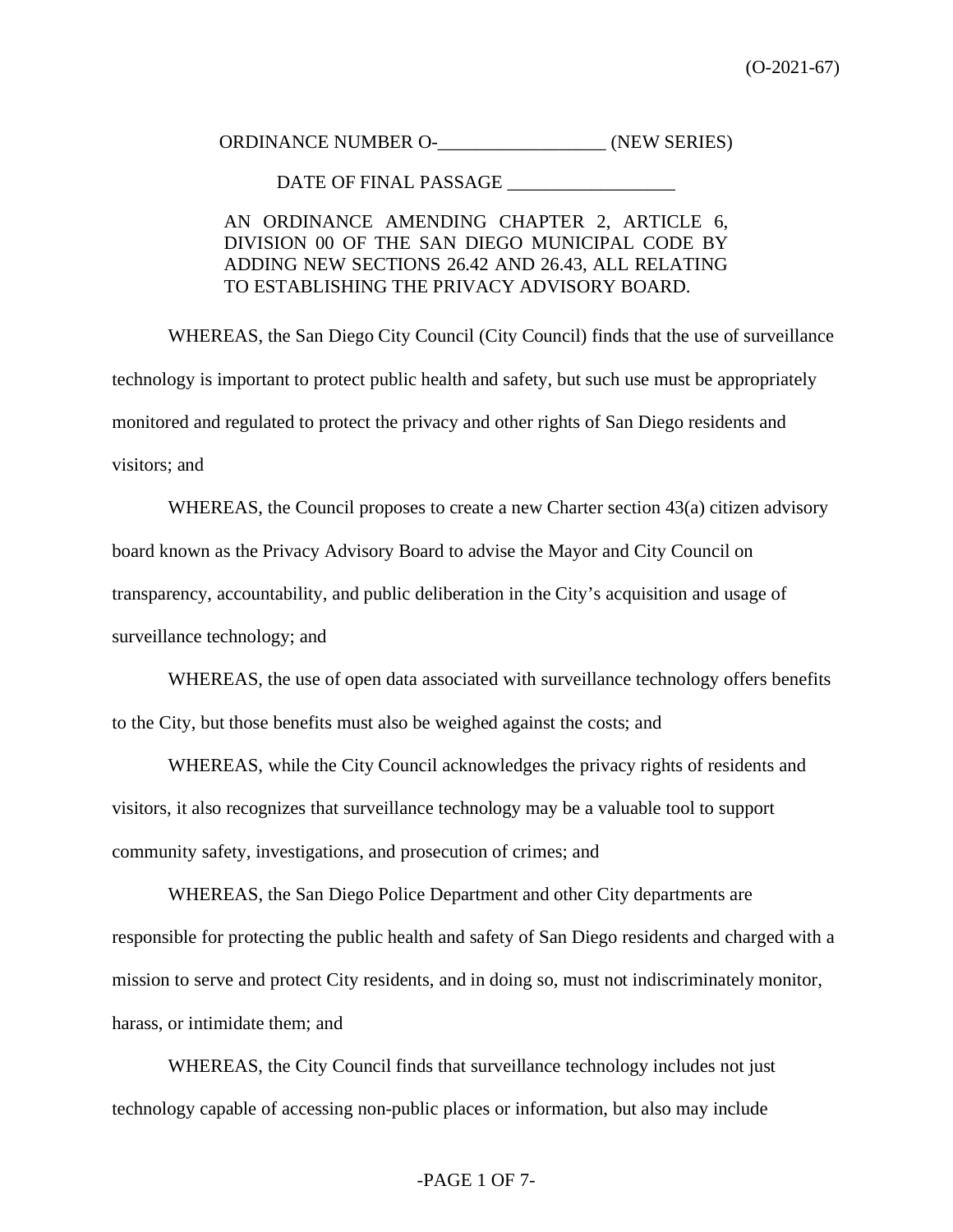ORDINANCE NUMBER O- (NEW SERIES)

DATE OF FINAL PASSAGE

## AN ORDINANCE AMENDING CHAPTER 2, ARTICLE 6, DIVISION 00 OF THE SAN DIEGO MUNICIPAL CODE BY ADDING NEW SECTIONS 26.42 AND 26.43, ALL RELATING TO ESTABLISHING THE PRIVACY ADVISORY BOARD.

WHEREAS, the San Diego City Council (City Council) finds that the use of surveillance technology is important to protect public health and safety, but such use must be appropriately monitored and regulated to protect the privacy and other rights of San Diego residents and visitors; and

WHEREAS, the Council proposes to create a new Charter section 43(a) citizen advisory board known as the Privacy Advisory Board to advise the Mayor and City Council on transparency, accountability, and public deliberation in the City's acquisition and usage of surveillance technology; and

WHEREAS, the use of open data associated with surveillance technology offers benefits to the City, but those benefits must also be weighed against the costs; and

WHEREAS, while the City Council acknowledges the privacy rights of residents and visitors, it also recognizes that surveillance technology may be a valuable tool to support community safety, investigations, and prosecution of crimes; and

WHEREAS, the San Diego Police Department and other City departments are responsible for protecting the public health and safety of San Diego residents and charged with a mission to serve and protect City residents, and in doing so, must not indiscriminately monitor, harass, or intimidate them; and

WHEREAS, the City Council finds that surveillance technology includes not just technology capable of accessing non-public places or information, but also may include

#### -PAGE 1 OF 7-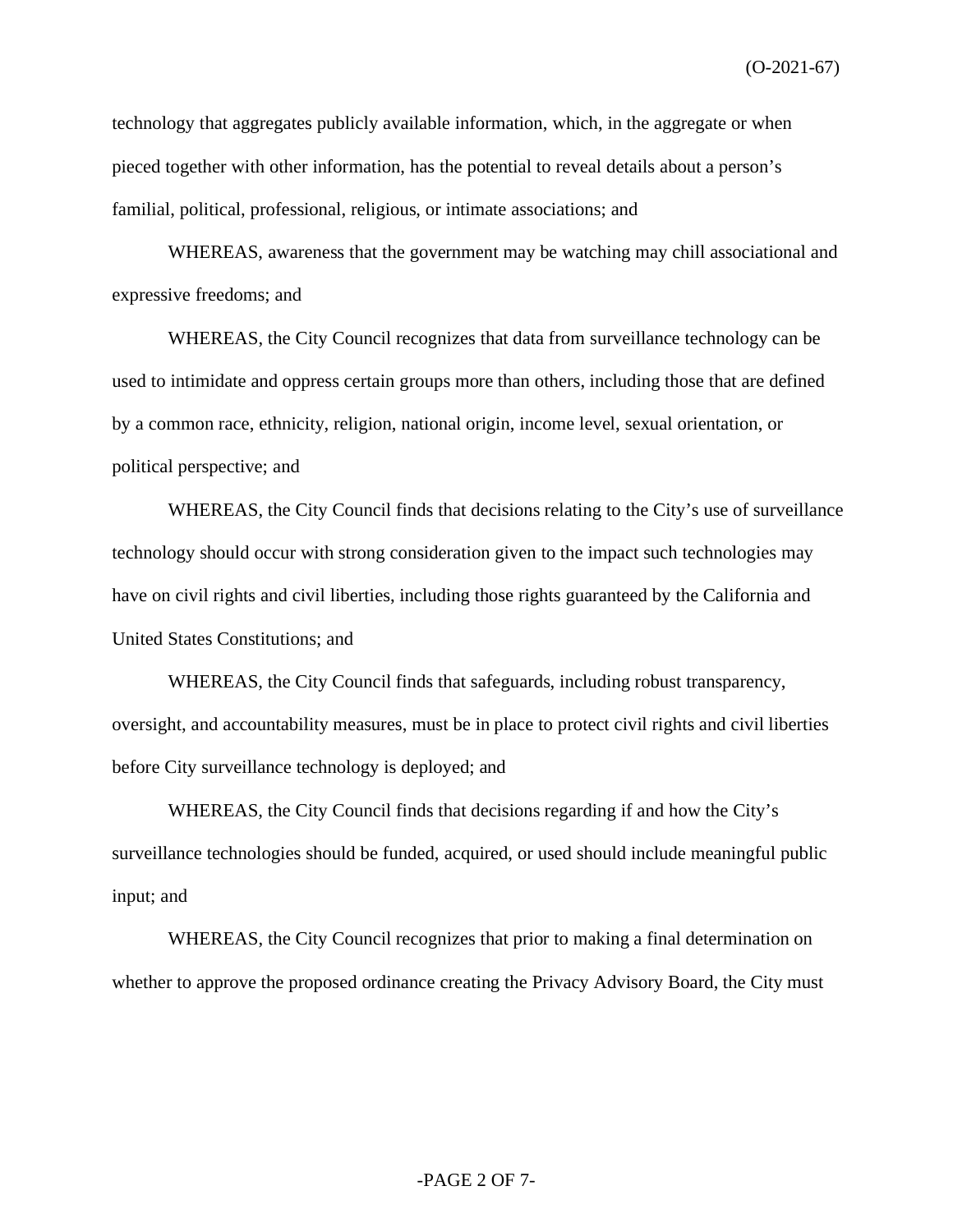technology that aggregates publicly available information, which, in the aggregate or when pieced together with other information, has the potential to reveal details about a person's familial, political, professional, religious, or intimate associations; and

WHEREAS, awareness that the government may be watching may chill associational and expressive freedoms; and

WHEREAS, the City Council recognizes that data from surveillance technology can be used to intimidate and oppress certain groups more than others, including those that are defined by a common race, ethnicity, religion, national origin, income level, sexual orientation, or political perspective; and

WHEREAS, the City Council finds that decisions relating to the City's use of surveillance technology should occur with strong consideration given to the impact such technologies may have on civil rights and civil liberties, including those rights guaranteed by the California and United States Constitutions; and

WHEREAS, the City Council finds that safeguards, including robust transparency, oversight, and accountability measures, must be in place to protect civil rights and civil liberties before City surveillance technology is deployed; and

WHEREAS, the City Council finds that decisions regarding if and how the City's surveillance technologies should be funded, acquired, or used should include meaningful public input; and

WHEREAS, the City Council recognizes that prior to making a final determination on whether to approve the proposed ordinance creating the Privacy Advisory Board, the City must

#### -PAGE 2 OF 7-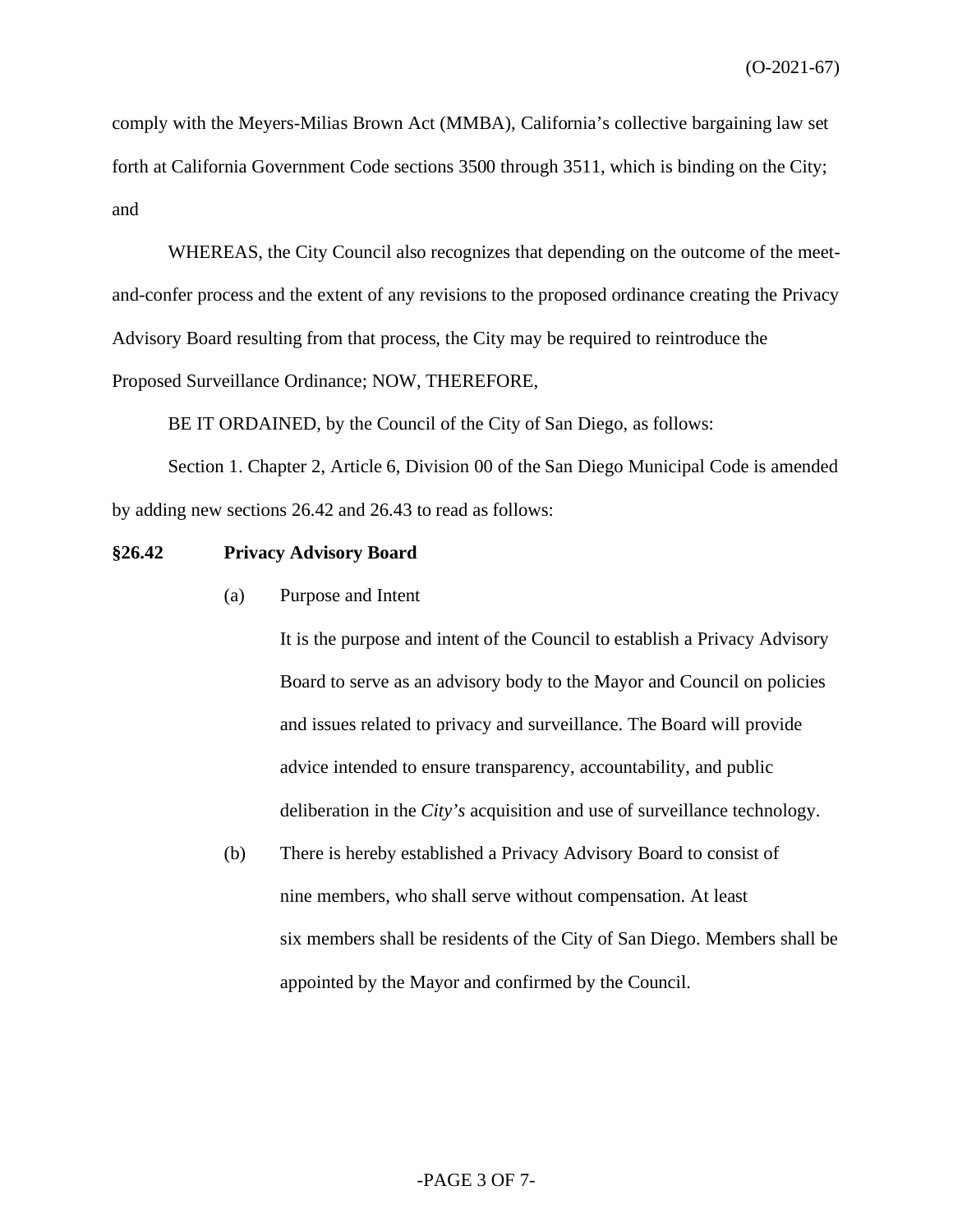comply with the Meyers-Milias Brown Act (MMBA), California's collective bargaining law set forth at California Government Code sections 3500 through 3511, which is binding on the City; and

WHEREAS, the City Council also recognizes that depending on the outcome of the meetand-confer process and the extent of any revisions to the proposed ordinance creating the Privacy Advisory Board resulting from that process, the City may be required to reintroduce the Proposed Surveillance Ordinance; NOW, THEREFORE,

BE IT ORDAINED, by the Council of the City of San Diego, as follows:

Section 1. Chapter 2, Article 6, Division 00 of the San Diego Municipal Code is amended by adding new sections 26.42 and 26.43 to read as follows:

#### **§26.42 Privacy Advisory Board**

(a) Purpose and Intent

It is the purpose and intent of the Council to establish a Privacy Advisory Board to serve as an advisory body to the Mayor and Council on policies and issues related to privacy and surveillance. The Board will provide advice intended to ensure transparency, accountability, and public deliberation in the *City's* acquisition and use of surveillance technology.

(b) There is hereby established a Privacy Advisory Board to consist of nine members, who shall serve without compensation. At least six members shall be residents of the City of San Diego. Members shall be appointed by the Mayor and confirmed by the Council.

#### -PAGE 3 OF 7-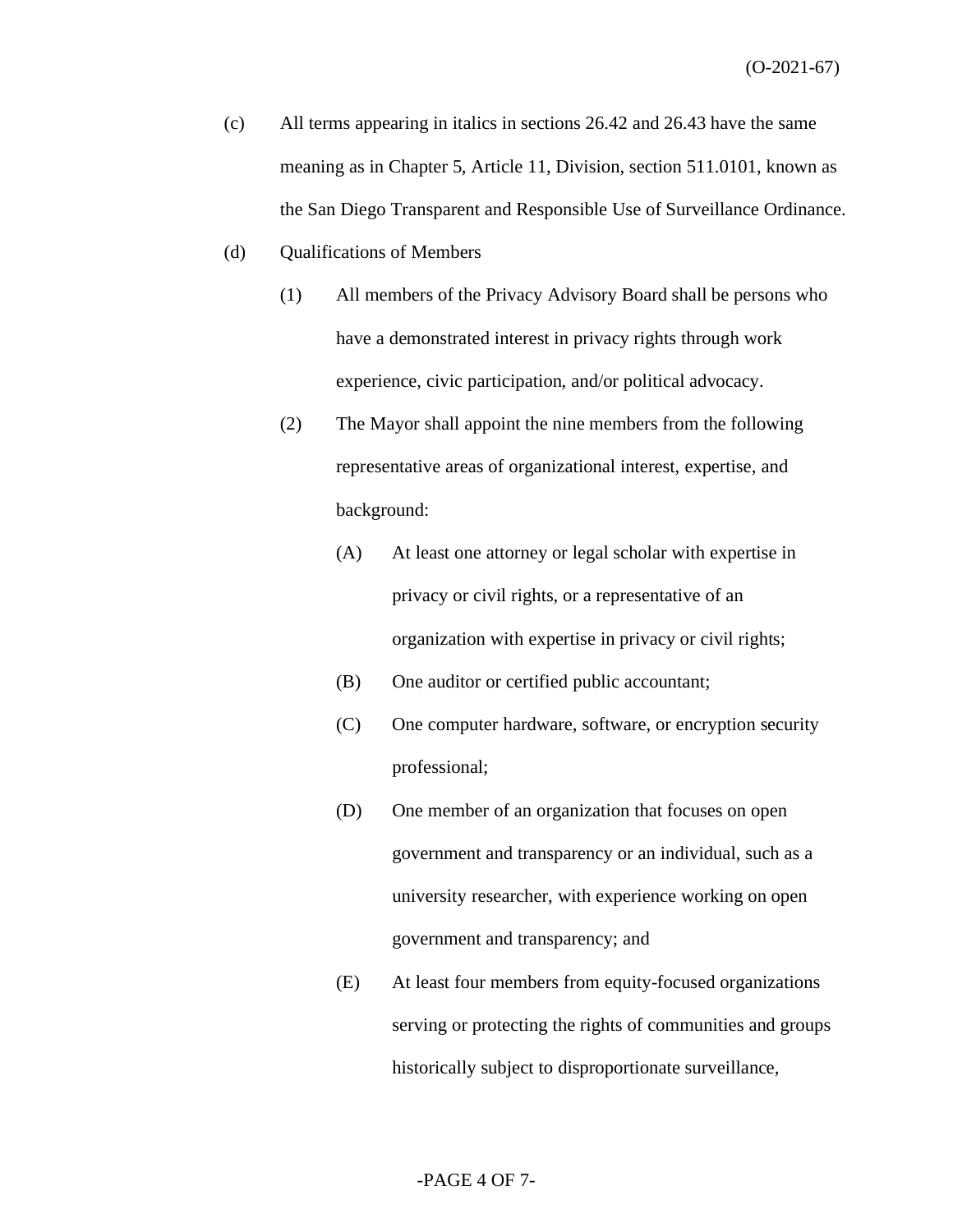- (c) All terms appearing in italics in sections 26.42 and 26.43 have the same meaning as in Chapter 5, Article 11, Division, section 511.0101, known as the San Diego Transparent and Responsible Use of Surveillance Ordinance.
- (d) Qualifications of Members
	- (1) All members of the Privacy Advisory Board shall be persons who have a demonstrated interest in privacy rights through work experience, civic participation, and/or political advocacy.
	- (2) The Mayor shall appoint the nine members from the following representative areas of organizational interest, expertise, and background:
		- (A) At least one attorney or legal scholar with expertise in privacy or civil rights, or a representative of an organization with expertise in privacy or civil rights;
		- (B) One auditor or certified public accountant;
		- (C) One computer hardware, software, or encryption security professional;
		- (D) One member of an organization that focuses on open government and transparency or an individual, such as a university researcher, with experience working on open government and transparency; and
		- (E) At least four members from equity-focused organizations serving or protecting the rights of communities and groups historically subject to disproportionate surveillance,

#### -PAGE 4 OF 7-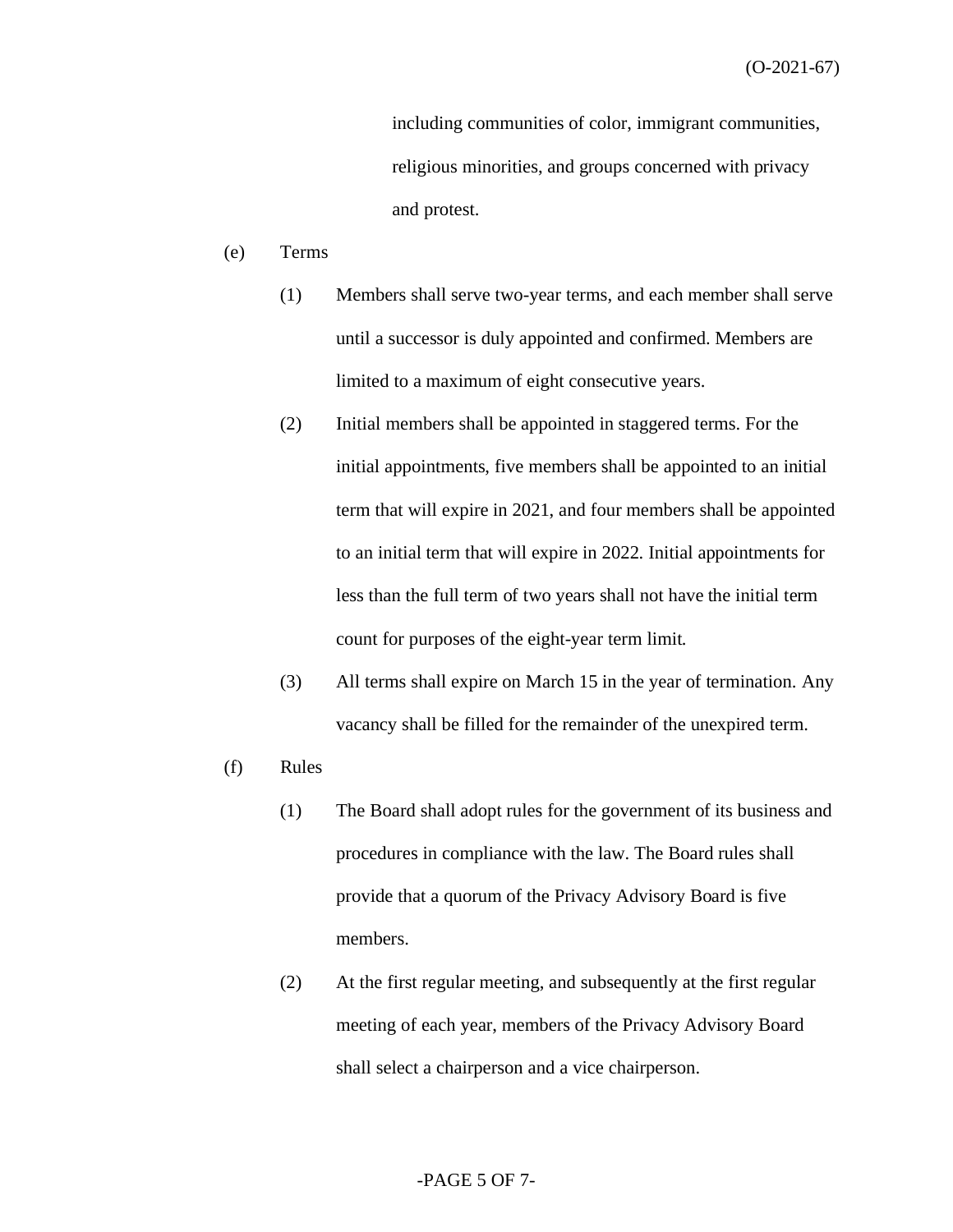including communities of color, immigrant communities, religious minorities, and groups concerned with privacy and protest.

- (e) Terms
	- (1) Members shall serve two-year terms, and each member shall serve until a successor is duly appointed and confirmed. Members are limited to a maximum of eight consecutive years.
	- (2) Initial members shall be appointed in staggered terms. For the initial appointments, five members shall be appointed to an initial term that will expire in 2021, and four members shall be appointed to an initial term that will expire in 2022. Initial appointments for less than the full term of two years shall not have the initial term count for purposes of the eight-year term limit.
	- (3) All terms shall expire on March 15 in the year of termination. Any vacancy shall be filled for the remainder of the unexpired term.
- (f) Rules
	- (1) The Board shall adopt rules for the government of its business and procedures in compliance with the law. The Board rules shall provide that a quorum of the Privacy Advisory Board is five members.
	- (2) At the first regular meeting, and subsequently at the first regular meeting of each year, members of the Privacy Advisory Board shall select a chairperson and a vice chairperson.

#### -PAGE 5 OF 7-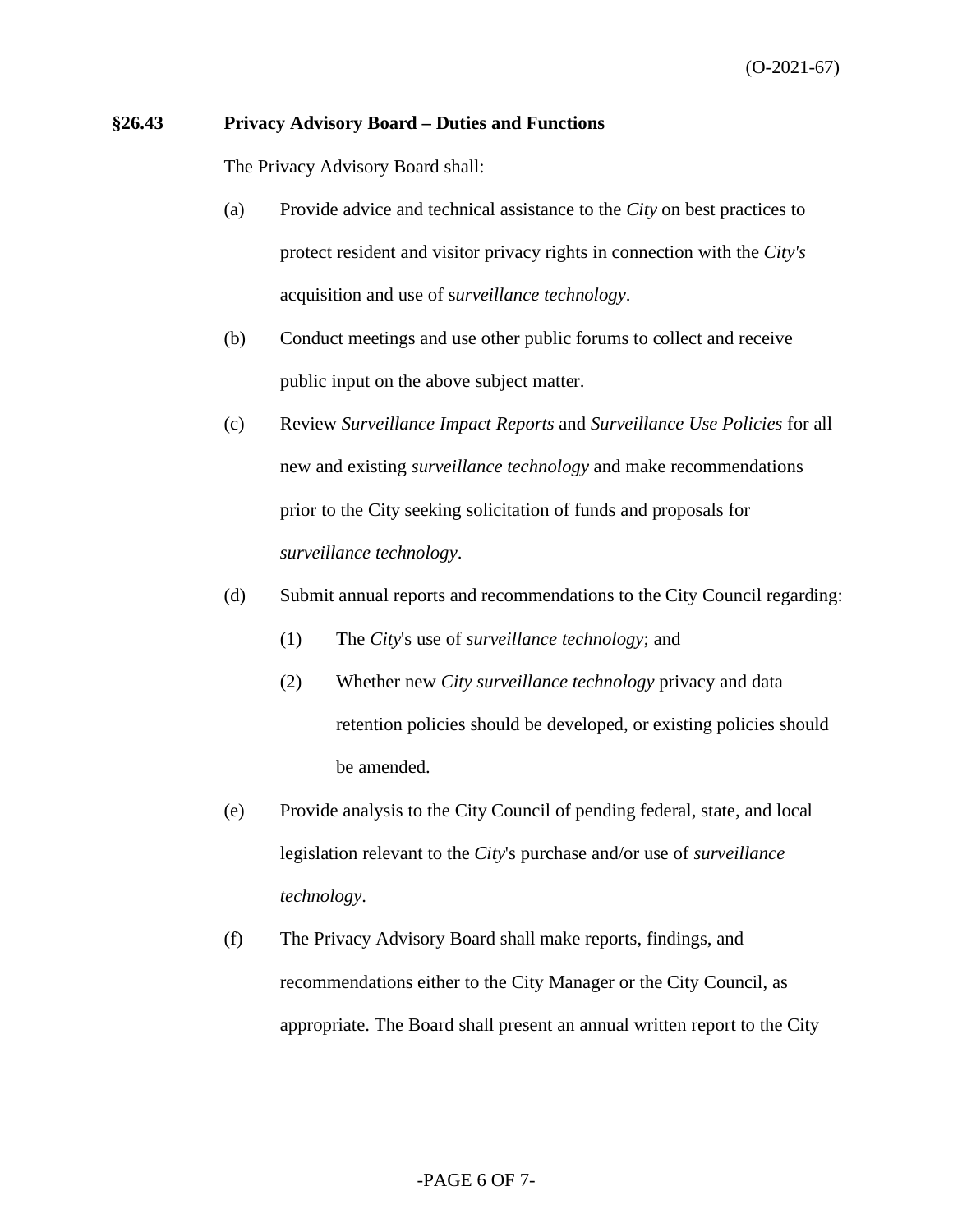#### **§26.43 Privacy Advisory Board – Duties and Functions**

The Privacy Advisory Board shall:

- (a) Provide advice and technical assistance to the *City* on best practices to protect resident and visitor privacy rights in connection with the *City's* acquisition and use of s*urveillance technology*.
- (b) Conduct meetings and use other public forums to collect and receive public input on the above subject matter.
- (c) Review *Surveillance Impact Reports* and *Surveillance Use Policies* for all new and existing *surveillance technology* and make recommendations prior to the City seeking solicitation of funds and proposals for *surveillance technology*.
- (d) Submit annual reports and recommendations to the City Council regarding:
	- (1) The *City*'s use of *surveillance technology*; and
	- (2) Whether new *City surveillance technology* privacy and data retention policies should be developed, or existing policies should be amended.
- (e) Provide analysis to the City Council of pending federal, state, and local legislation relevant to the *City*'s purchase and/or use of *surveillance technology*.
- (f) The Privacy Advisory Board shall make reports, findings, and recommendations either to the City Manager or the City Council, as appropriate. The Board shall present an annual written report to the City

#### -PAGE 6 OF 7-